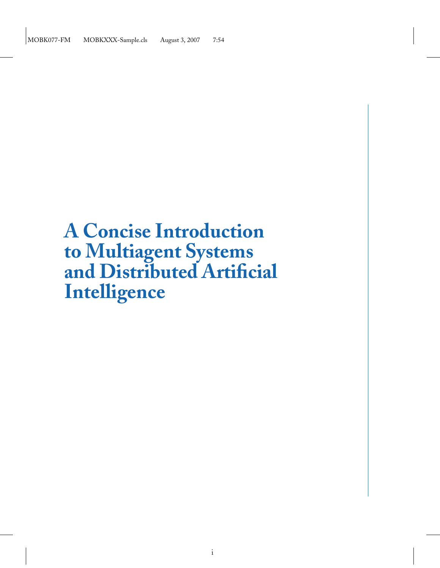**A Concise Introduction to Multiagent Systems and Distributed Artificial Intelligence**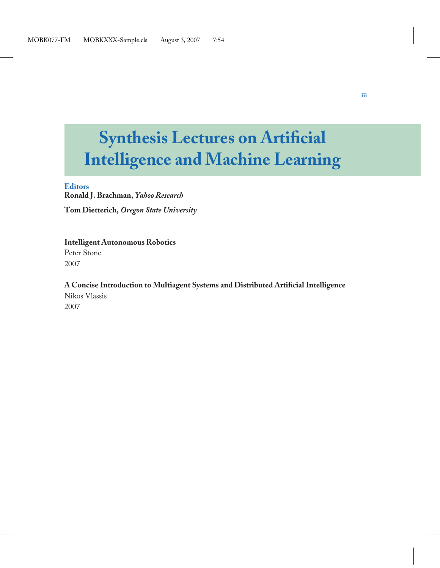# **Synthesis Lectures on Artificial Intelligence and Machine Learning**

## **Editors**

**Ronald J. Brachman,** *Yahoo Research*

**Tom Dietterich,** *Oregon State University*

## **Intelligent Autonomous Robotics**

Peter Stone 2007

**A Concise Introduction to Multiagent Systems and Distributed Artificial Intelligence** Nikos Vlassis

2007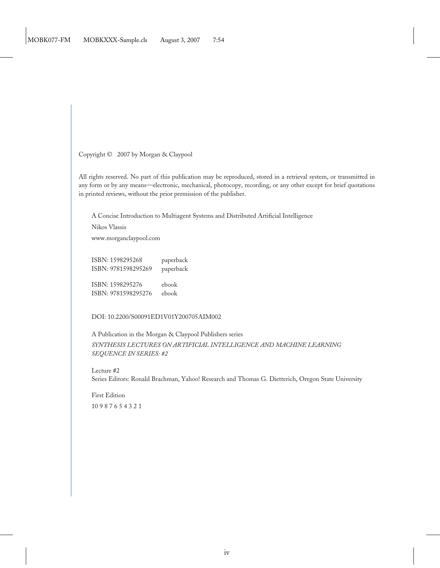Copyright © 2007 by Morgan & Claypool

All rights reserved. No part of this publication may be reproduced, stored in a retrieval system, or transmitted in any form or by any means—electronic, mechanical, photocopy, recording, or any other except for brief quotations in printed reviews, without the prior permission of the publisher.

A Concise Introduction to Multiagent Systems and Distributed Artificial Intelligence

Nikos Vlassis

www.morganclaypool.com

| paperback |
|-----------|
| paperback |
|           |
| ebook     |
|           |
|           |

DOI: 10.2200/S00091ED1V01Y200705AIM002

A Publication in the Morgan & Claypool Publishers series *SYNTHESIS LECTURES ON ARTIFICIAL INTELLIGENCE AND MACHINE LEARNING SEQUENCE IN SERIES: #2*

Lecture #2 Series Editors: Ronald Brachman, Yahoo! Research and Thomas G. Dietterich, Oregon State University

First Edition 10 9 8 7 6 5 4 3 2 1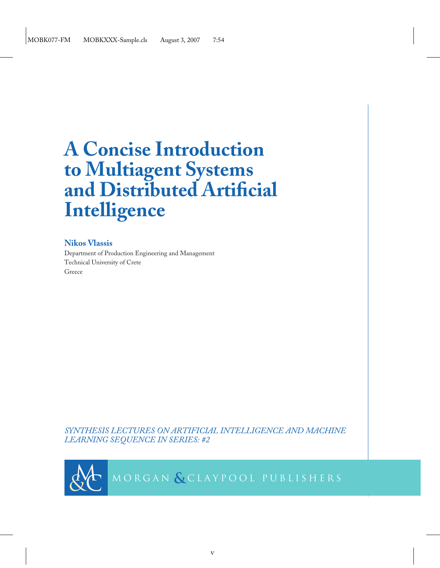# **A Concise Introduction to Multiagent Systems and Distributed Artificial Intelligence**

## **Nikos Vlassis**

Department of Production Engineering and Management Technical University of Crete **Greece** 

*SYNTHESIS LECTURES ON ARTIFICIAL INTELLIGENCE AND MACHINE LEARNING SEQUENCE IN SERIES: #2*



MC Morgan **&**Claypool Publishers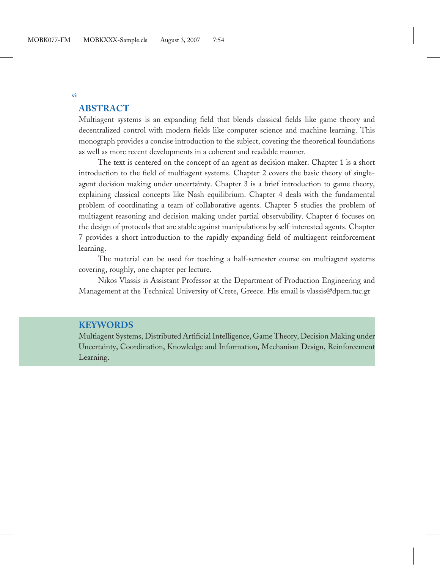## **ABSTRACT**

Multiagent systems is an expanding field that blends classical fields like game theory and decentralized control with modern fields like computer science and machine learning. This monograph provides a concise introduction to the subject, covering the theoretical foundations as well as more recent developments in a coherent and readable manner.

The text is centered on the concept of an agent as decision maker. Chapter 1 is a short introduction to the field of multiagent systems. Chapter 2 covers the basic theory of singleagent decision making under uncertainty. Chapter 3 is a brief introduction to game theory, explaining classical concepts like Nash equilibrium. Chapter 4 deals with the fundamental problem of coordinating a team of collaborative agents. Chapter 5 studies the problem of multiagent reasoning and decision making under partial observability. Chapter 6 focuses on the design of protocols that are stable against manipulations by self-interested agents. Chapter 7 provides a short introduction to the rapidly expanding field of multiagent reinforcement learning.

The material can be used for teaching a half-semester course on multiagent systems covering, roughly, one chapter per lecture.

Nikos Vlassis is Assistant Professor at the Department of Production Engineering and Management at the Technical University of Crete, Greece. His email is vlassis@dpem.tuc.gr

## **KEYWORDS**

Multiagent Systems, Distributed Artificial Intelligence, Game Theory, Decision Making under Uncertainty, Coordination, Knowledge and Information, Mechanism Design, Reinforcement Learning.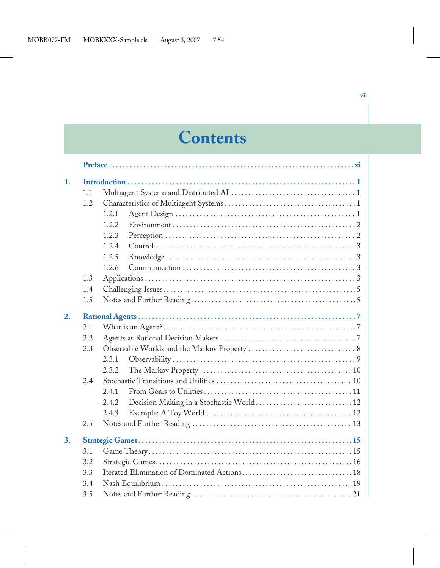# **Contents**

| 1. |     |       |  |  |
|----|-----|-------|--|--|
|    | 1.1 |       |  |  |
|    | 1.2 |       |  |  |
|    |     | 1.2.1 |  |  |
|    |     | 1.2.2 |  |  |
|    |     | 1.2.3 |  |  |
|    |     | 1.2.4 |  |  |
|    |     | 1.2.5 |  |  |
|    |     | 1.2.6 |  |  |
|    | 1.3 |       |  |  |
|    | 1.4 |       |  |  |
|    | 1.5 |       |  |  |
| 2. |     |       |  |  |
|    | 2.1 |       |  |  |
|    | 2.2 |       |  |  |
|    | 2.3 |       |  |  |
|    |     | 2.3.1 |  |  |
|    |     | 2.3.2 |  |  |
|    | 2.4 |       |  |  |
|    |     | 2.4.1 |  |  |
|    |     | 2.4.2 |  |  |
|    |     | 2.4.3 |  |  |
|    | 2.5 |       |  |  |
| 3. |     |       |  |  |
|    | 3.1 |       |  |  |
|    | 3.2 |       |  |  |
|    | 3.3 |       |  |  |
|    | 3.4 |       |  |  |
|    | 3.5 |       |  |  |

**vii**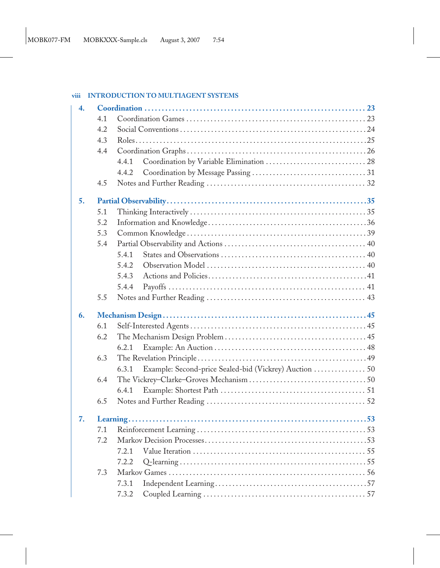| $\overline{4}$ . |     |                                                                 |  |
|------------------|-----|-----------------------------------------------------------------|--|
|                  | 4.1 |                                                                 |  |
|                  | 4.2 |                                                                 |  |
|                  | 4.3 |                                                                 |  |
|                  | 4.4 |                                                                 |  |
|                  |     | 4.4.1                                                           |  |
|                  |     | 4.4.2                                                           |  |
|                  | 4.5 |                                                                 |  |
| 5.               |     |                                                                 |  |
|                  | 5.1 |                                                                 |  |
|                  | 5.2 |                                                                 |  |
|                  | 5.3 |                                                                 |  |
|                  | 5.4 |                                                                 |  |
|                  |     | 5.4.1                                                           |  |
|                  |     | 5.4.2                                                           |  |
|                  |     | 5.4.3                                                           |  |
|                  |     | 5.4.4                                                           |  |
|                  | 5.5 |                                                                 |  |
| 6.               |     |                                                                 |  |
|                  | 6.1 |                                                                 |  |
|                  | 6.2 |                                                                 |  |
|                  |     | 6.2.1                                                           |  |
|                  | 6.3 |                                                                 |  |
|                  |     | Example: Second-price Sealed-bid (Vickrey) Auction  50<br>6.3.1 |  |
|                  | 6.4 |                                                                 |  |
|                  |     | 6.4.1                                                           |  |
|                  | 6.5 |                                                                 |  |
| 7.               |     |                                                                 |  |
|                  | 7.1 |                                                                 |  |
|                  | 7.2 |                                                                 |  |
|                  |     | 7.2.1                                                           |  |
|                  |     | 7.2.2                                                           |  |
|                  | 7.3 |                                                                 |  |
|                  |     | 7.3.1                                                           |  |
|                  |     | 7.3.2                                                           |  |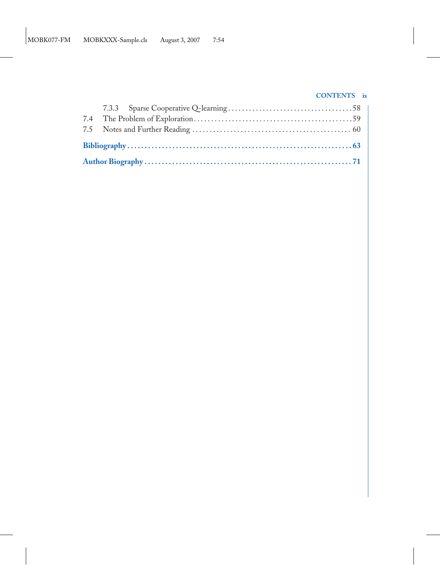### **CONTENTS ix**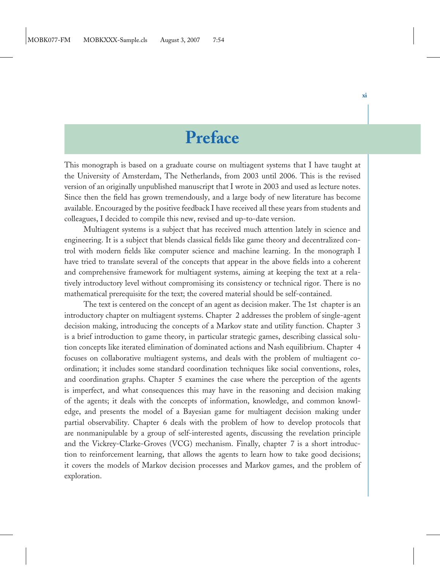# **Preface**

This monograph is based on a graduate course on multiagent systems that I have taught at the University of Amsterdam, The Netherlands, from 2003 until 2006. This is the revised version of an originally unpublished manuscript that I wrote in 2003 and used as lecture notes. Since then the field has grown tremendously, and a large body of new literature has become available. Encouraged by the positive feedback I have received all these years from students and colleagues, I decided to compile this new, revised and up-to-date version.

Multiagent systems is a subject that has received much attention lately in science and engineering. It is a subject that blends classical fields like game theory and decentralized control with modern fields like computer science and machine learning. In the monograph I have tried to translate several of the concepts that appear in the above fields into a coherent and comprehensive framework for multiagent systems, aiming at keeping the text at a relatively introductory level without compromising its consistency or technical rigor. There is no mathematical prerequisite for the text; the covered material should be self-contained.

The text is centered on the concept of an agent as decision maker. The 1st chapter is an introductory chapter on multiagent systems. Chapter 2 addresses the problem of single-agent decision making, introducing the concepts of a Markov state and utility function. Chapter 3 is a brief introduction to game theory, in particular strategic games, describing classical solution concepts like iterated elimination of dominated actions and Nash equilibrium. Chapter 4 focuses on collaborative multiagent systems, and deals with the problem of multiagent coordination; it includes some standard coordination techniques like social conventions, roles, and coordination graphs. Chapter 5 examines the case where the perception of the agents is imperfect, and what consequences this may have in the reasoning and decision making of the agents; it deals with the concepts of information, knowledge, and common knowledge, and presents the model of a Bayesian game for multiagent decision making under partial observability. Chapter 6 deals with the problem of how to develop protocols that are nonmanipulable by a group of self-interested agents, discussing the revelation principle and the Vickrey-Clarke-Groves (VCG) mechanism. Finally, chapter 7 is a short introduction to reinforcement learning, that allows the agents to learn how to take good decisions; it covers the models of Markov decision processes and Markov games, and the problem of exploration.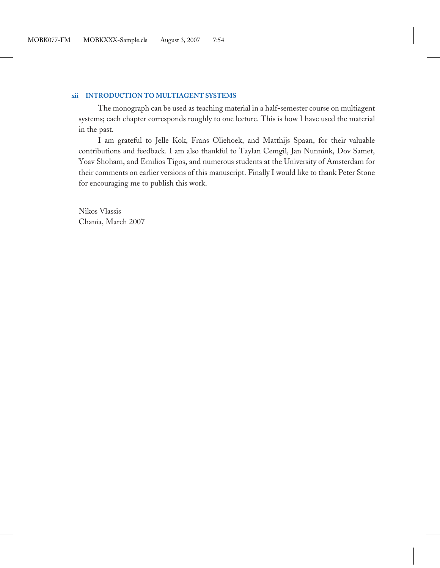The monograph can be used as teaching material in a half-semester course on multiagent systems; each chapter corresponds roughly to one lecture. This is how I have used the material in the past.

I am grateful to Jelle Kok, Frans Oliehoek, and Matthijs Spaan, for their valuable contributions and feedback. I am also thankful to Taylan Cemgil, Jan Nunnink, Dov Samet, Yoav Shoham, and Emilios Tigos, and numerous students at the University of Amsterdam for their comments on earlier versions of this manuscript. Finally I would like to thank Peter Stone for encouraging me to publish this work.

Nikos Vlassis Chania, March 2007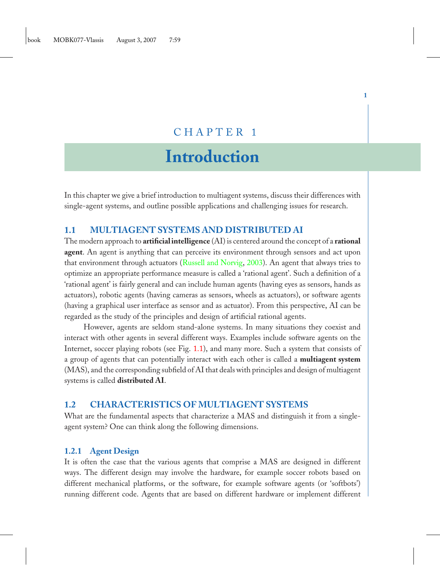## CHAPTER 1

# **Introduction**

<span id="page-12-0"></span>In this chapter we give a brief introduction to multiagent systems, discuss their differences with single-agent systems, and outline possible applications and challenging issues for research.

## **1.1 MULTIAGENT SYSTEMS AND DISTRIBUTED AI**

The modern approach to **artificial intelligence** (AI) is centered around the concept of a **rational agent**. An agent is anything that can perceive its environment through sensors and act upon that environment through actuators [\(Russell and Norvig,](#page-79-0) [2003\)](#page-79-0). An agent that always tries to optimize an appropriate performance measure is called a 'rational agent'. Such a definition of a 'rational agent' is fairly general and can include human agents (having eyes as sensors, hands as actuators), robotic agents (having cameras as sensors, wheels as actuators), or software agents (having a graphical user interface as sensor and as actuator). From this perspective, AI can be regarded as the study of the principles and design of artificial rational agents.

However, agents are seldom stand-alone systems. In many situations they coexist and interact with other agents in several different ways. Examples include software agents on the Internet, soccer playing robots (see Fig. [1.1\)](#page-13-0), and many more. Such a system that consists of a group of agents that can potentially interact with each other is called a **multiagent system** (MAS), and the corresponding subfield of AI that deals with principles and design of multiagent systems is called **distributed AI**.

## **1.2 CHARACTERISTICS OF MULTIAGENT SYSTEMS**

What are the fundamental aspects that characterize a MAS and distinguish it from a singleagent system? One can think along the following dimensions.

#### **1.2.1 Agent Design**

It is often the case that the various agents that comprise a MAS are designed in different ways. The different design may involve the hardware, for example soccer robots based on different mechanical platforms, or the software, for example software agents (or 'softbots') running different code. Agents that are based on different hardware or implement different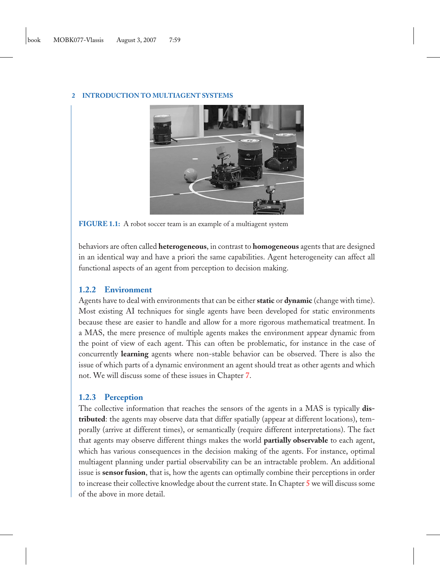

**FIGURE 1.1:** A robot soccer team is an example of a multiagent system

<span id="page-13-0"></span>behaviors are often called **heterogeneous**, in contrast to **homogeneous** agents that are designed in an identical way and have a priori the same capabilities. Agent heterogeneity can affect all functional aspects of an agent from perception to decision making.

## **1.2.2 Environment**

Agents have to deal with environments that can be either **static** or **dynamic** (change with time). Most existing AI techniques for single agents have been developed for static environments because these are easier to handle and allow for a more rigorous mathematical treatment. In a MAS, the mere presence of multiple agents makes the environment appear dynamic from the point of view of each agent. This can often be problematic, for instance in the case of concurrently **learning** agents where non-stable behavior can be observed. There is also the issue of which parts of a dynamic environment an agent should treat as other agents and which not. We will discuss some of these issues in Chapter [7.](#page-64-0)

## **1.2.3 Perception**

The collective information that reaches the sensors of the agents in a MAS is typically **distributed**: the agents may observe data that differ spatially (appear at different locations), temporally (arrive at different times), or semantically (require different interpretations). The fact that agents may observe different things makes the world **partially observable** to each agent, which has various consequences in the decision making of the agents. For instance, optimal multiagent planning under partial observability can be an intractable problem. An additional issue is **sensor fusion**, that is, how the agents can optimally combine their perceptions in order to increase their collective knowledge about the current state. In Chapter [5](#page-45-0) we will discuss some of the above in more detail.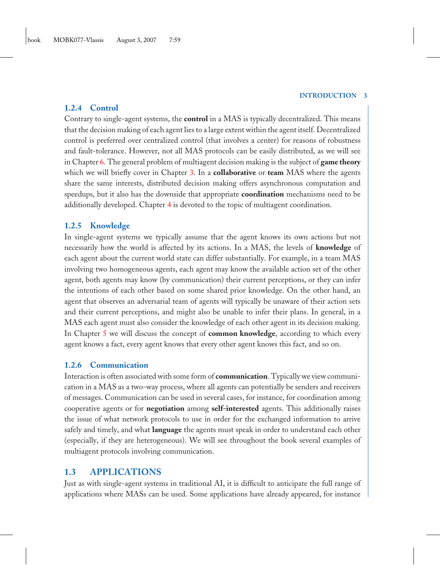#### **INTRODUCTION 3**

### **1.2.4 Control**

Contrary to single-agent systems, the **control** in a MAS is typically decentralized. This means that the decision making of each agent lies to a large extent within the agent itself. Decentralized control is preferred over centralized control (that involves a center) for reasons of robustness and fault-tolerance. However, not all MAS protocols can be easily distributed, as we will see in Chapter [6.](#page-56-0) The general problem of multiagent decision making is the subject of **game theory** which we will briefly cover in Chapter [3.](#page-25-0) In a **collaborative** or **team** MAS where the agents share the same interests, distributed decision making offers asynchronous computation and speedups, but it also has the downside that appropriate **coordination** mechanisms need to be additionally developed. Chapter [4](#page-33-0) is devoted to the topic of multiagent coordination.

## **1.2.5 Knowledge**

In single-agent systems we typically assume that the agent knows its own actions but not necessarily how the world is affected by its actions. In a MAS, the levels of **knowledge** of each agent about the current world state can differ substantially. For example, in a team MAS involving two homogeneous agents, each agent may know the available action set of the other agent, both agents may know (by communication) their current perceptions, or they can infer the intentions of each other based on some shared prior knowledge. On the other hand, an agent that observes an adversarial team of agents will typically be unaware of their action sets and their current perceptions, and might also be unable to infer their plans. In general, in a MAS each agent must also consider the knowledge of each other agent in its decision making. In Chapter [5](#page-45-0) we will discuss the concept of **common knowledge**, according to which every agent knows a fact, every agent knows that every other agent knows this fact, and so on.

### **1.2.6 Communication**

Interaction is often associated with some form of **communication**. Typically we view communication in a MAS as a two-way process, where all agents can potentially be senders and receivers of messages. Communication can be used in several cases, for instance, for coordination among cooperative agents or for **negotiation** among **self-interested** agents. This additionally raises the issue of what network protocols to use in order for the exchanged information to arrive safely and timely, and what **language** the agents must speak in order to understand each other (especially, if they are heterogeneous). We will see throughout the book several examples of multiagent protocols involving communication.

## **1.3 APPLICATIONS**

Just as with single-agent systems in traditional AI, it is difficult to anticipate the full range of applications where MASs can be used. Some applications have already appeared, for instance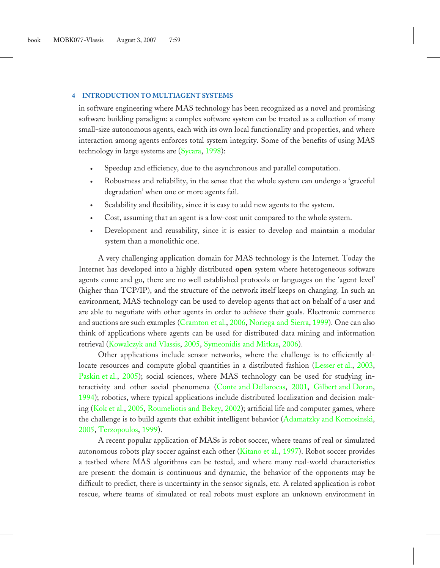in software engineering where MAS technology has been recognized as a novel and promising software building paradigm: a complex software system can be treated as a collection of many small-size autonomous agents, each with its own local functionality and properties, and where interaction among agents enforces total system integrity. Some of the benefits of using MAS technology in large systems are [\(Sycara](#page-80-0), [1998\)](#page-80-0):

- Speedup and efficiency, due to the asynchronous and parallel computation.
- Robustness and reliability, in the sense that the whole system can undergo a 'graceful degradation' when one or more agents fail.
- Scalability and flexibility, since it is easy to add new agents to the system.
- Cost, assuming that an agent is a low-cost unit compared to the whole system.
- Development and reusability, since it is easier to develop and maintain a modular system than a monolithic one.

A very challenging application domain for MAS technology is the Internet. Today the Internet has developed into a highly distributed **open** system where heterogeneous software agents come and go, there are no well established protocols or languages on the 'agent level' (higher than TCP/IP), and the structure of the network itself keeps on changing. In such an environment, MAS technology can be used to develop agents that act on behalf of a user and are able to negotiate with other agents in order to achieve their goals. Electronic commerce and auctions are such examples [\(Cramton et al.,](#page-75-0) [2006,](#page-75-0) [Noriega and Sierra,](#page-78-0) [1999](#page-78-0)). One can also think of applications where agents can be used for distributed data mining and information retrieval [\(Kowalczyk and Vlassis,](#page-77-0) [2005](#page-77-0), [Symeonidis and Mitkas,](#page-80-1) [2006](#page-80-1)).

Other applications include sensor networks, where the challenge is to efficiently al-locate resources and compute global quantities in a distributed fashion [\(Lesser et al.](#page-77-1), [2003](#page-77-1), [Paskin et al.,](#page-78-1) [2005](#page-78-1)); social sciences, where MAS technology can be used for studying interactivity and other social phenomena [\(Conte and Dellarocas](#page-75-1), [2001,](#page-75-1) [Gilbert and Doran](#page-76-0), [1994](#page-76-0)); robotics, where typical applications include distributed localization and decision making [\(Kok et al.,](#page-77-2) [2005,](#page-77-2) [Roumeliotis and Bekey,](#page-79-1) [2002](#page-79-1)); artificial life and computer games, where the challenge is to build agents that exhibit intelligent behavior [\(Adamatzky and Komosinski](#page-74-0), [2005](#page-74-0), [Terzopoulos](#page-80-2), [1999\)](#page-80-2).

A recent popular application of MASs is robot soccer, where teams of real or simulated autonomous robots play soccer against each other [\(Kitano et al.](#page-77-3), [1997\)](#page-77-3). Robot soccer provides a testbed where MAS algorithms can be tested, and where many real-world characteristics are present: the domain is continuous and dynamic, the behavior of the opponents may be difficult to predict, there is uncertainty in the sensor signals, etc. A related application is robot rescue, where teams of simulated or real robots must explore an unknown environment in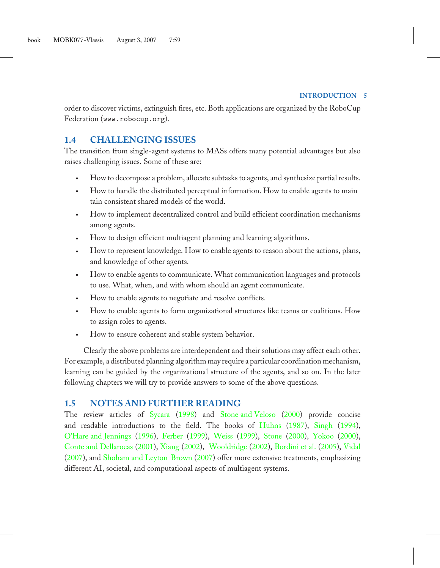## **INTRODUCTION 5**

order to discover victims, extinguish fires, etc. Both applications are organized by the RoboCup Federation (www.robocup.org).

## **1.4 CHALLENGING ISSUES**

The transition from single-agent systems to MASs offers many potential advantages but also raises challenging issues. Some of these are:

- How to decompose a problem, allocate subtasks to agents, and synthesize partial results.
- How to handle the distributed perceptual information. How to enable agents to maintain consistent shared models of the world.
- How to implement decentralized control and build efficient coordination mechanisms among agents.
- How to design efficient multiagent planning and learning algorithms.
- How to represent knowledge. How to enable agents to reason about the actions, plans, and knowledge of other agents.
- How to enable agents to communicate. What communication languages and protocols to use. What, when, and with whom should an agent communicate.
- How to enable agents to negotiate and resolve conflicts.
- How to enable agents to form organizational structures like teams or coalitions. How to assign roles to agents.
- How to ensure coherent and stable system behavior.

Clearly the above problems are interdependent and their solutions may affect each other. For example, a distributed planning algorithm may require a particular coordination mechanism, learning can be guided by the organizational structure of the agents, and so on. In the later following chapters we will try to provide answers to some of the above questions.

## **1.5 NOTES AND FURTHER READING**

The review articles of [Sycara](#page-80-0) [\(1998](#page-80-0)) and [Stone and Veloso](#page-79-2) [\(2000](#page-79-2)) provide concise and readable introductions to the field. The books of [Huhns](#page-76-1) [\(1987\)](#page-76-1), [Singh](#page-79-3) [\(1994\)](#page-79-3), [O'Hare and Jennings](#page-78-2) [\(1996\)](#page-78-2), [Ferber](#page-75-2) [\(1999\)](#page-75-2), [Weiss](#page-80-3) [\(1999](#page-80-3)), [Stone](#page-79-4) [\(2000\)](#page-79-4), [Yokoo](#page-81-0) [\(2000\)](#page-81-0), [Conte and Dellarocas](#page-75-1) [\(2001\)](#page-75-1), [Xiang](#page-81-1) [\(2002](#page-81-1)), [Wooldridge](#page-81-2) [\(2002\)](#page-81-2), [Bordini et al.](#page-74-1) [\(2005\)](#page-74-1), [Vidal](#page-80-4) [\(2007](#page-80-4)), and [Shoham and Leyton-Brown](#page-79-5) [\(2007](#page-79-5)) offer more extensive treatments, emphasizing different AI, societal, and computational aspects of multiagent systems.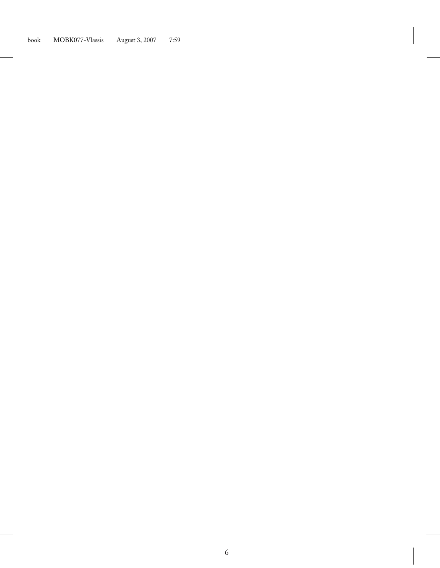<span id="page-17-0"></span>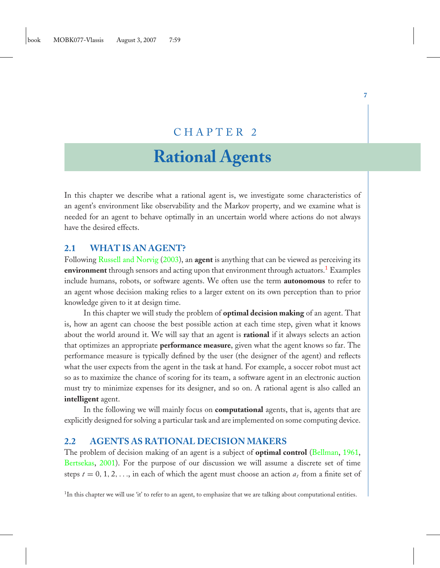## CHAPTER 2

# **Rational Agents**

In this chapter we describe what a rational agent is, we investigate some characteristics of an agent's environment like observability and the Markov property, and we examine what is needed for an agent to behave optimally in an uncertain world where actions do not always have the desired effects.

## **2.1 WHAT IS AN AGENT?**

Following [Russell and Norvig](#page-79-0) [\(2003\)](#page-79-0), an **agent** is anything that can be viewed as perceiving its **environment** through sensors and acting upon that environment through actuators.<sup>1</sup> Examples include humans, robots, or software agents. We often use the term **autonomous** to refer to an agent whose decision making relies to a larger extent on its own perception than to prior knowledge given to it at design time.

In this chapter we will study the problem of **optimal decision making** of an agent. That is, how an agent can choose the best possible action at each time step, given what it knows about the world around it. We will say that an agent is **rational** if it always selects an action that optimizes an appropriate **performance measure**, given what the agent knows so far. The performance measure is typically defined by the user (the designer of the agent) and reflects what the user expects from the agent in the task at hand. For example, a soccer robot must act so as to maximize the chance of scoring for its team, a software agent in an electronic auction must try to minimize expenses for its designer, and so on. A rational agent is also called an **intelligent** agent.

In the following we will mainly focus on **computational** agents, that is, agents that are explicitly designed for solving a particular task and are implemented on some computing device.

### **2.2 AGENTS AS RATIONAL DECISION MAKERS**

The problem of decision making of an agent is a subject of **optimal control** [\(Bellman](#page-74-2), [1961](#page-74-2), [Bertsekas](#page-74-3), [2001](#page-74-3)). For the purpose of our discussion we will assume a discrete set of time steps  $t = 0, 1, 2, \ldots$ , in each of which the agent must choose an action  $a_t$  from a finite set of

<span id="page-18-0"></span><sup>1</sup>In this chapter we will use 'it' to refer to an agent, to emphasize that we are talking about computational entities.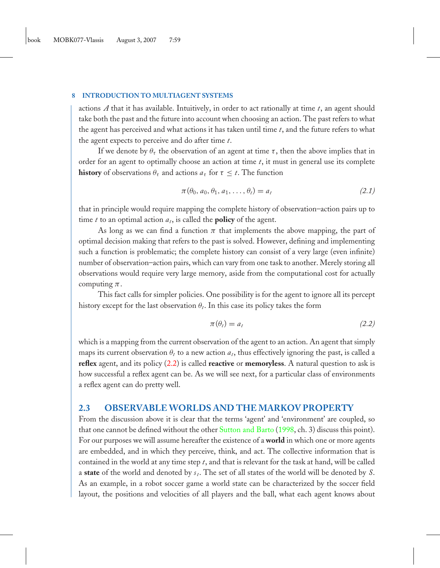actions  $A$  that it has available. Intuitively, in order to act rationally at time  $t$ , an agent should take both the past and the future into account when choosing an action. The past refers to what the agent has perceived and what actions it has taken until time *t*, and the future refers to what the agent expects to perceive and do after time *t*.

If we denote by  $\theta_{\tau}$  the observation of an agent at time  $\tau$ , then the above implies that in order for an agent to optimally choose an action at time *t*, it must in general use its complete **history** of observations  $\theta_{\tau}$  and actions  $a_{\tau}$  for  $\tau \leq t$ . The function

<span id="page-19-1"></span>
$$
\pi(\theta_0, a_0, \theta_1, a_1, \dots, \theta_t) = a_t \tag{2.1}
$$

that in principle would require mapping the complete history of observation–action pairs up to time *t* to an optimal action  $a_t$ , is called the **policy** of the agent.

As long as we can find a function  $\pi$  that implements the above mapping, the part of optimal decision making that refers to the past is solved. However, defining and implementing such a function is problematic; the complete history can consist of a very large (even infinite) number of observation–action pairs, which can vary from one task to another. Merely storing all observations would require very large memory, aside from the computational cost for actually computing  $\pi$ .

This fact calls for simpler policies. One possibility is for the agent to ignore all its percept history except for the last observation  $\theta_t$ . In this case its policy takes the form

<span id="page-19-0"></span>
$$
\pi(\theta_t) = a_t \tag{2.2}
$$

which is a mapping from the current observation of the agent to an action. An agent that simply maps its current observation  $\theta_t$  to a new action  $a_t$ , thus effectively ignoring the past, is called a **reflex** agent, and its policy [\(2.2\)](#page-19-0) is called **reactive** or **memoryless**. A natural question to ask is how successful a reflex agent can be. As we will see next, for a particular class of environments a reflex agent can do pretty well.

## **2.3 OBSERVABLE WORLDS AND THE MARKOV PROPERTY**

From the discussion above it is clear that the terms 'agent' and 'environment' are coupled, so that one cannot be defined without the other [Sutton and Barto](#page-80-5) [\(1998](#page-80-5), ch. 3) discuss this point). For our purposes we will assume hereafter the existence of a **world** in which one or more agents are embedded, and in which they perceive, think, and act. The collective information that is contained in the world at any time step *t*, and that is relevant for the task at hand, will be called a **state** of the world and denoted by *st*. The set of all states of the world will be denoted by *S*. As an example, in a robot soccer game a world state can be characterized by the soccer field layout, the positions and velocities of all players and the ball, what each agent knows about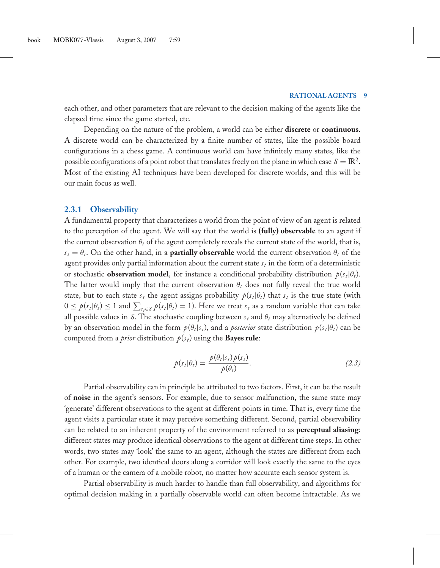#### **RATIONAL AGENTS 9**

each other, and other parameters that are relevant to the decision making of the agents like the elapsed time since the game started, etc.

Depending on the nature of the problem, a world can be either **discrete** or **continuous**. A discrete world can be characterized by a finite number of states, like the possible board configurations in a chess game. A continuous world can have infinitely many states, like the possible configurations of a point robot that translates freely on the plane in which case  $S = \mathbb{R}^2$ . Most of the existing AI techniques have been developed for discrete worlds, and this will be our main focus as well.

#### **2.3.1 Observability**

A fundamental property that characterizes a world from the point of view of an agent is related to the perception of the agent. We will say that the world is **(fully) observable** to an agent if the current observation  $\theta_t$  of the agent completely reveals the current state of the world, that is,  $s_t = \theta_t$ . On the other hand, in a **partially observable** world the current observation  $\theta_t$  of the agent provides only partial information about the current state  $s_t$  in the form of a deterministic or stochastic **observation model**, for instance a conditional probability distribution  $p(s_t|\theta_t)$ . The latter would imply that the current observation  $\theta_t$  does not fully reveal the true world state, but to each state  $s_t$  the agent assigns probability  $p(s_t|\theta_t)$  that  $s_t$  is the true state (with  $0 \leq p(s_t | \theta_t) \leq 1$  and  $\sum_{s_t \in S} p(s_t | \theta_t) = 1$ ). Here we treat  $s_t$  as a random variable that can take all possible values in *S*. The stochastic coupling between  $s_t$  and  $\theta_t$  may alternatively be defined by an observation model in the form  $p(\theta_t|s_t)$ , and a *posterior* state distribution  $p(s_t|\theta_t)$  can be computed from a *prior* distribution  $p(s_t)$  using the **Bayes rule**:

$$
p(s_t|\theta_t) = \frac{p(\theta_t|s_t)p(s_t)}{p(\theta_t)}.
$$
\n(2.3)

Partial observability can in principle be attributed to two factors. First, it can be the result of **noise** in the agent's sensors. For example, due to sensor malfunction, the same state may 'generate' different observations to the agent at different points in time. That is, every time the agent visits a particular state it may perceive something different. Second, partial observability can be related to an inherent property of the environment referred to as **perceptual aliasing**: different states may produce identical observations to the agent at different time steps. In other words, two states may 'look' the same to an agent, although the states are different from each other. For example, two identical doors along a corridor will look exactly the same to the eyes of a human or the camera of a mobile robot, no matter how accurate each sensor system is.

Partial observability is much harder to handle than full observability, and algorithms for optimal decision making in a partially observable world can often become intractable. As we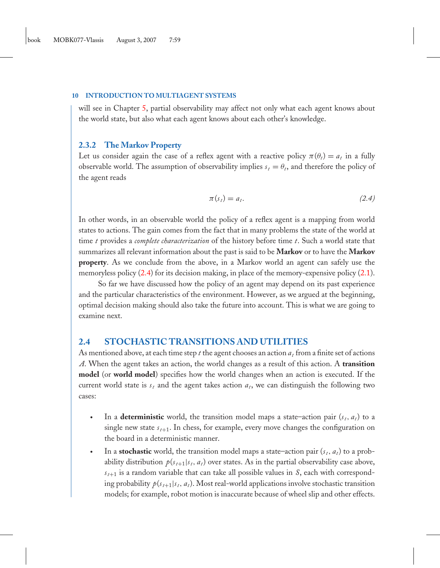will see in Chapter [5,](#page-45-0) partial observability may affect not only what each agent knows about the world state, but also what each agent knows about each other's knowledge.

#### **2.3.2 The Markov Property**

<span id="page-21-0"></span>Let us consider again the case of a reflex agent with a reactive policy  $\pi(\theta_t) = a_t$  in a fully observable world. The assumption of observability implies  $s_t = \theta_t$ , and therefore the policy of the agent reads

$$
\pi(s_t) = a_t. \tag{2.4}
$$

In other words, in an observable world the policy of a reflex agent is a mapping from world states to actions. The gain comes from the fact that in many problems the state of the world at time *t* provides a *complete characterization* of the history before time *t*. Such a world state that summarizes all relevant information about the past is said to be **Markov** or to have the **Markov property**. As we conclude from the above, in a Markov world an agent can safely use the memoryless policy  $(2.4)$  for its decision making, in place of the memory-expensive policy  $(2.1)$ .

So far we have discussed how the policy of an agent may depend on its past experience and the particular characteristics of the environment. However, as we argued at the beginning, optimal decision making should also take the future into account. This is what we are going to examine next.

## **2.4 STOCHASTIC TRANSITIONS AND UTILITIES**

As mentioned above, at each time step *t* the agent chooses an action *at* from a finite set of actions *A*. When the agent takes an action, the world changes as a result of this action. A **transition model** (or **world model**) specifies how the world changes when an action is executed. If the current world state is  $s_t$  and the agent takes action  $a_t$ , we can distinguish the following two cases:

- In a **deterministic** world, the transition model maps a state–action pair  $(s_t, a_t)$  to a single new state  $s_{t+1}$ . In chess, for example, every move changes the configuration on the board in a deterministic manner.
- In a **stochastic** world, the transition model maps a state–action pair  $(s_t, a_t)$  to a probability distribution  $p(s_{t+1}|s_t, a_t)$  over states. As in the partial observability case above,  $s_{t+1}$  is a random variable that can take all possible values in *S*, each with corresponding probability  $p(s_{t+1}|s_t, a_t)$ . Most real-world applications involve stochastic transition models; for example, robot motion is inaccurate because of wheel slip and other effects.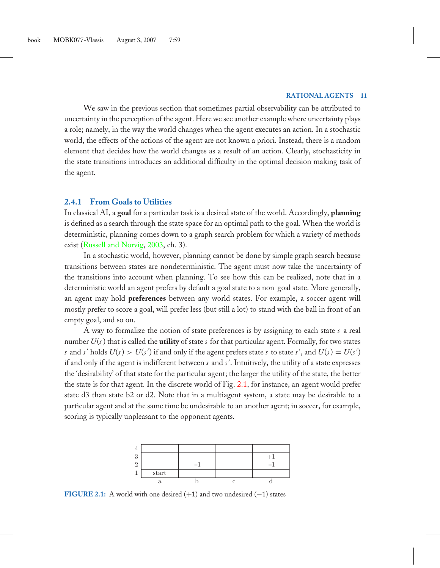#### **RATIONAL AGENTS 11**

We saw in the previous section that sometimes partial observability can be attributed to uncertainty in the perception of the agent. Here we see another example where uncertainty plays a role; namely, in the way the world changes when the agent executes an action. In a stochastic world, the effects of the actions of the agent are not known a priori. Instead, there is a random element that decides how the world changes as a result of an action. Clearly, stochasticity in the state transitions introduces an additional difficulty in the optimal decision making task of the agent.

#### **2.4.1 From Goals to Utilities**

In classical AI, a **goal** for a particular task is a desired state of the world. Accordingly, **planning** is defined as a search through the state space for an optimal path to the goal. When the world is deterministic, planning comes down to a graph search problem for which a variety of methods exist [\(Russell and Norvig,](#page-79-0) [2003](#page-79-0), ch. 3).

In a stochastic world, however, planning cannot be done by simple graph search because transitions between states are nondeterministic. The agent must now take the uncertainty of the transitions into account when planning. To see how this can be realized, note that in a deterministic world an agent prefers by default a goal state to a non-goal state. More generally, an agent may hold **preferences** between any world states. For example, a soccer agent will mostly prefer to score a goal, will prefer less (but still a lot) to stand with the ball in front of an empty goal, and so on.

A way to formalize the notion of state preferences is by assigning to each state *s* a real number  $U(s)$  that is called the **utility** of state *s* for that particular agent. Formally, for two states *s* and *s'* holds  $U(s) > U(s')$  if and only if the agent prefers state *s* to state *s'*, and  $U(s) = U(s')$ if and only if the agent is indifferent between *s* and *s* . Intuitively, the utility of a state expresses the 'desirability' of that state for the particular agent; the larger the utility of the state, the better the state is for that agent. In the discrete world of Fig. [2.1,](#page-22-0) for instance, an agent would prefer state d3 than state b2 or d2. Note that in a multiagent system, a state may be desirable to a particular agent and at the same time be undesirable to an another agent; in soccer, for example, scoring is typically unpleasant to the opponent agents.



<span id="page-22-0"></span>**FIGURE 2.1:** A world with one desired (+1) and two undesired (−1) states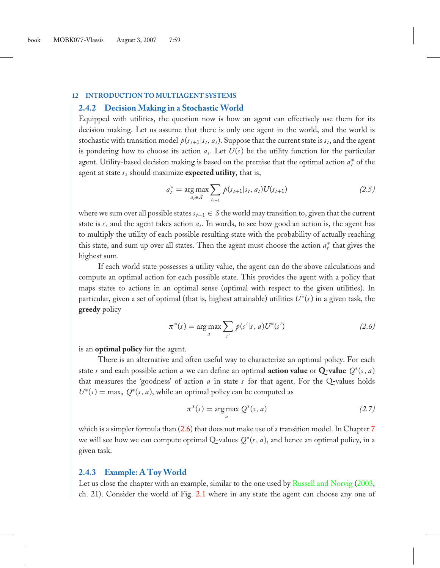#### **2.4.2 Decision Making in a Stochastic World**

Equipped with utilities, the question now is how an agent can effectively use them for its decision making. Let us assume that there is only one agent in the world, and the world is stochastic with transition model  $p(s_{t+1}|s_t, a_t)$ . Suppose that the current state is  $s_t$ , and the agent is pondering how to choose its action  $a_t$ . Let  $U(s)$  be the utility function for the particular agent. Utility-based decision making is based on the premise that the optimal action  $a_t^*$  of the agent at state  $s_t$  should maximize **expected utility**, that is,

$$
a_t^* = \underset{a_t \in A}{\arg \max} \sum_{s_{t+1}} p(s_{t+1}|s_t, a_t) U(s_{t+1})
$$
\n(2.5)

where we sum over all possible states  $s_{t+1} \in S$  the world may transition to, given that the current state is  $s_t$  and the agent takes action  $a_t$ . In words, to see how good an action is, the agent has to multiply the utility of each possible resulting state with the probability of actually reaching this state, and sum up over all states. Then the agent must choose the action  $a_t^*$  that gives the highest sum.

<span id="page-23-0"></span>If each world state possesses a utility value, the agent can do the above calculations and compute an optimal action for each possible state. This provides the agent with a policy that maps states to actions in an optimal sense (optimal with respect to the given utilities). In particular, given a set of optimal (that is, highest attainable) utilities *U*<sup>∗</sup>(*s*) in a given task, the **greedy** policy

$$
\pi^*(s) = \underset{a}{\text{arg max}} \sum_{s'} p(s'|s, a) U^*(s')
$$
 (2.6)

is an **optimal policy** for the agent.

There is an alternative and often useful way to characterize an optimal policy. For each state *s* and each possible action *a* we can define an optimal **action value** or **Q-value**  $Q^*(s, a)$ that measures the 'goodness' of action *a* in state *s* for that agent. For the Q-values holds  $U^*(s) = \max_a Q^*(s, a)$ , while an optimal policy can be computed as

$$
\pi^*(s) = \underset{a}{\text{arg max }} Q^*(s, a) \tag{2.7}
$$

which is a simpler formula than  $(2.6)$  that does not make use of a transition model. In Chapter [7](#page-64-0) we will see how we can compute optimal Q-values  $Q^*(s, a)$ , and hence an optimal policy, in a given task.

#### **2.4.3 Example: A Toy World**

Let us close the chapter with an example, similar to the one used by [Russell and Norvig](#page-79-0) [\(2003](#page-79-0), ch. 21). Consider the world of Fig. [2.1](#page-22-0) where in any state the agent can choose any one of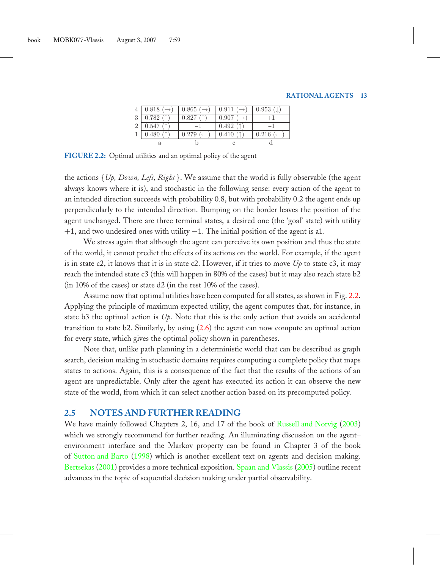#### **RATIONAL AGENTS 13**

| $4 \mid 0.818 \; (\rightarrow)$ | $0.865 \; (\rightarrow)$ | $0.911 \rightarrow$      | $0.953$ (1)        |
|---------------------------------|--------------------------|--------------------------|--------------------|
| 3   0.782 (1)                   | $0.827\overline{(1)}$    | $0.907 \; (\rightarrow)$ |                    |
| $2\lceil 0.547(\uparrow)$       |                          | 0.492(1)                 |                    |
| $0.480$ (1)                     | $0.279 \leftarrow$       | 0.410(1)                 | $0.216 \leftarrow$ |
|                                 |                          |                          |                    |

<span id="page-24-0"></span>**FIGURE 2.2:** Optimal utilities and an optimal policy of the agent

the actions {*Up, Down, Left, Right* }. We assume that the world is fully observable (the agent always knows where it is), and stochastic in the following sense: every action of the agent to an intended direction succeeds with probability 0.8, but with probability 0.2 the agent ends up perpendicularly to the intended direction. Bumping on the border leaves the position of the agent unchanged. There are three terminal states, a desired one (the 'goal' state) with utility +1, and two undesired ones with utility −1. The initial position of the agent is a1.

We stress again that although the agent can perceive its own position and thus the state of the world, it cannot predict the effects of its actions on the world. For example, if the agent is in state c2, it knows that it is in state c2. However, if it tries to move *Up* to state c3, it may reach the intended state c3 (this will happen in 80% of the cases) but it may also reach state b2 (in 10% of the cases) or state d2 (in the rest 10% of the cases).

Assume now that optimal utilities have been computed for all states, as shown in Fig. [2.2.](#page-24-0) Applying the principle of maximum expected utility, the agent computes that, for instance, in state b3 the optimal action is *Up*. Note that this is the only action that avoids an accidental transition to state b2. Similarly, by using [\(2.6\)](#page-23-0) the agent can now compute an optimal action for every state, which gives the optimal policy shown in parentheses.

Note that, unlike path planning in a deterministic world that can be described as graph search, decision making in stochastic domains requires computing a complete policy that maps states to actions. Again, this is a consequence of the fact that the results of the actions of an agent are unpredictable. Only after the agent has executed its action it can observe the new state of the world, from which it can select another action based on its precomputed policy.

### **2.5 NOTES AND FURTHER READING**

We have mainly followed Chapters 2, 16, and 17 of the book of [Russell and Norvig](#page-79-0) [\(2003](#page-79-0)) which we strongly recommend for further reading. An illuminating discussion on the agent– environment interface and the Markov property can be found in Chapter 3 of the book of [Sutton and Barto](#page-80-5) [\(1998](#page-80-5)) which is another excellent text on agents and decision making. [Bertsekas](#page-74-3) [\(2001](#page-74-3)) provides a more technical exposition. [Spaan and Vlassis](#page-79-6) [\(2005\)](#page-79-6) outline recent advances in the topic of sequential decision making under partial observability.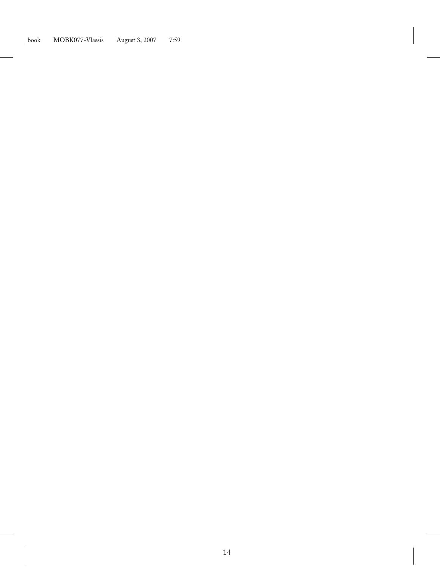<span id="page-25-0"></span>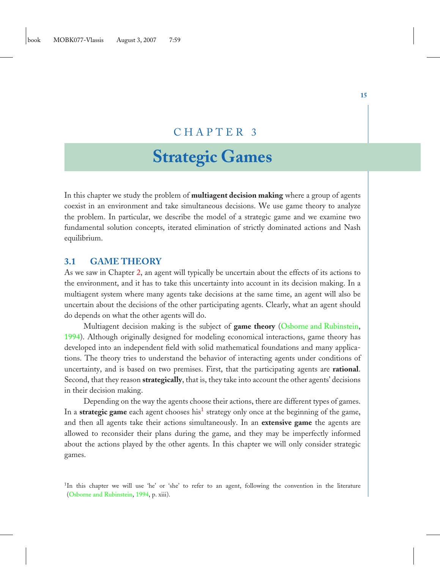## CHAPTER 3

# **Strategic Games**

In this chapter we study the problem of **multiagent decision making** where a group of agents coexist in an environment and take simultaneous decisions. We use game theory to analyze the problem. In particular, we describe the model of a strategic game and we examine two fundamental solution concepts, iterated elimination of strictly dominated actions and Nash equilibrium.

## **3.1 GAME THEORY**

As we saw in Chapter [2,](#page-17-0) an agent will typically be uncertain about the effects of its actions to the environment, and it has to take this uncertainty into account in its decision making. In a multiagent system where many agents take decisions at the same time, an agent will also be uncertain about the decisions of the other participating agents. Clearly, what an agent should do depends on what the other agents will do.

Multiagent decision making is the subject of **game theory** [\(Osborne and Rubinstein](#page-78-3), [1994](#page-78-3)). Although originally designed for modeling economical interactions, game theory has developed into an independent field with solid mathematical foundations and many applications. The theory tries to understand the behavior of interacting agents under conditions of uncertainty, and is based on two premises. First, that the participating agents are **rational**. Second, that they reason **strategically**, that is, they take into account the other agents' decisions in their decision making.

Depending on the way the agents choose their actions, there are different types of games. In a **strategic game** each agent chooses his<sup>[1](#page-26-0)</sup> strategy only once at the beginning of the game, and then all agents take their actions simultaneously. In an **extensive game** the agents are allowed to reconsider their plans during the game, and they may be imperfectly informed about the actions played by the other agents. In this chapter we will only consider strategic games.

<span id="page-26-0"></span><sup>&</sup>lt;sup>1</sup>In this chapter we will use 'he' or 'she' to refer to an agent, following the convention in the literature [\(Osborne and Rubinstein](#page-78-3), [1994,](#page-78-3) p. xiii).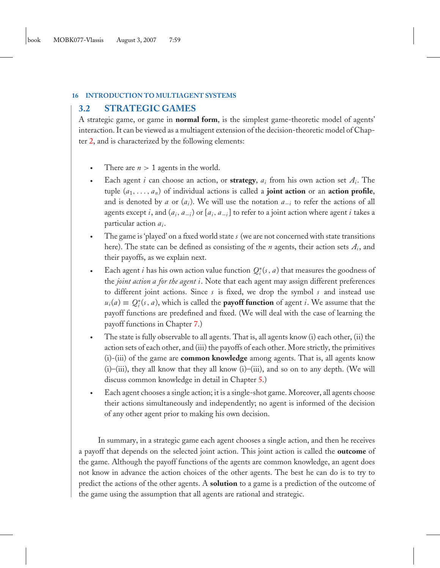## <span id="page-27-0"></span>**3.2 STRATEGIC GAMES**

A strategic game, or game in **normal form**, is the simplest game-theoretic model of agents' interaction. It can be viewed as a multiagent extension of the decision-theoretic model of Chapter [2,](#page-17-0) and is characterized by the following elements:

- There are  $n > 1$  agents in the world.
- Each agent *i* can choose an action, or **strategy**,  $a_i$  from his own action set  $A_i$ . The tuple  $(a_1, \ldots, a_n)$  of individual actions is called a **joint action** or an **action profile**, and is denoted by *a* or  $(a_i)$ . We will use the notation  $a_{-i}$  to refer the actions of all agents except *i*, and  $(a_i, a_{-i})$  or  $[a_i, a_{-i}]$  to refer to a joint action where agent *i* takes a particular action *ai* .
- The game is 'played' on a fixed world state *s* (we are not concerned with state transitions here). The state can be defined as consisting of the *n* agents, their action sets  $A_i$ , and their payoffs, as we explain next.
- Each agent *i* has his own action value function  $Q_i^*(s, a)$  that measures the goodness of the *joint action a for the agent i*. Note that each agent may assign different preferences to different joint actions. Since *s* is fixed, we drop the symbol *s* and instead use  $u_i(a) \equiv Q_i^*(s, a)$ , which is called the **payoff function** of agent *i*. We assume that the payoff functions are predefined and fixed. (We will deal with the case of learning the payoff functions in Chapter [7.](#page-64-0))
- The state is fully observable to all agents. That is, all agents know (i) each other, (ii) the action sets of each other, and (iii) the payoffs of each other. More strictly, the primitives (i)-(iii) of the game are **common knowledge** among agents. That is, all agents know (i)–(iii), they all know that they all know (i)–(iii), and so on to any depth. (We will discuss common knowledge in detail in Chapter [5.](#page-45-0))
- Each agent chooses a single action; it is a single-shot game. Moreover, all agents choose their actions simultaneously and independently; no agent is informed of the decision of any other agent prior to making his own decision.

In summary, in a strategic game each agent chooses a single action, and then he receives a payoff that depends on the selected joint action. This joint action is called the **outcome** of the game. Although the payoff functions of the agents are common knowledge, an agent does not know in advance the action choices of the other agents. The best he can do is to try to predict the actions of the other agents. A **solution** to a game is a prediction of the outcome of the game using the assumption that all agents are rational and strategic.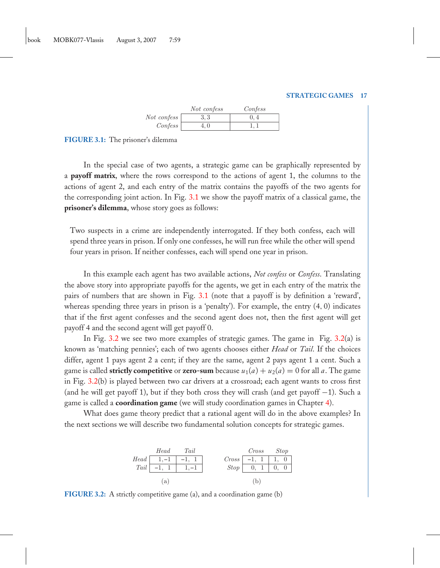#### **STRATEGIC GAMES 17**

|             | Not confess | Confess |
|-------------|-------------|---------|
| Not confess | 3.3         | 0,4     |
| Confess     |             |         |

<span id="page-28-0"></span>**FIGURE 3.1:** The prisoner's dilemma

In the special case of two agents, a strategic game can be graphically represented by a **payoff matrix**, where the rows correspond to the actions of agent 1, the columns to the actions of agent 2, and each entry of the matrix contains the payoffs of the two agents for the corresponding joint action. In Fig. [3.1](#page-28-0) we show the payoff matrix of a classical game, the **prisoner's dilemma**, whose story goes as follows:

Two suspects in a crime are independently interrogated. If they both confess, each will spend three years in prison. If only one confesses, he will run free while the other will spend four years in prison. If neither confesses, each will spend one year in prison.

In this example each agent has two available actions, *Not confess* or *Confess*. Translating the above story into appropriate payoffs for the agents, we get in each entry of the matrix the pairs of numbers that are shown in Fig. [3.1](#page-28-0) (note that a payoff is by definition a 'reward', whereas spending three years in prison is a 'penalty'). For example, the entry  $(4, 0)$  indicates that if the first agent confesses and the second agent does not, then the first agent will get payoff 4 and the second agent will get payoff 0.

In Fig. [3.2](#page-28-1) we see two more examples of strategic games. The game in Fig. [3.2\(](#page-28-1)a) is known as 'matching pennies'; each of two agents chooses either *Head* or *Tail*. If the choices differ, agent 1 pays agent 2 a cent; if they are the same, agent 2 pays agent 1 a cent. Such a game is called **strictly competitive** or **zero-sum** because  $u_1(a) + u_2(a) = 0$  for all *a*. The game in Fig. [3.2\(](#page-28-1)b) is played between two car drivers at a crossroad; each agent wants to cross first (and he will get payoff 1), but if they both cross they will crash (and get payoff  $-1$ ). Such a game is called a **coordination game** (we will study coordination games in Chapter [4\)](#page-33-0).

What does game theory predict that a rational agent will do in the above examples? In the next sections we will describe two fundamental solution concepts for strategic games.



<span id="page-28-1"></span>**FIGURE 3.2:** A strictly competitive game (a), and a coordination game (b)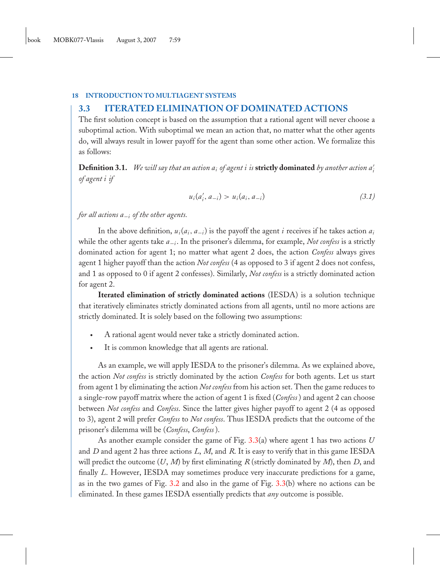## **3.3 ITERATED ELIMINATION OF DOMINATED ACTIONS**

The first solution concept is based on the assumption that a rational agent will never choose a suboptimal action. With suboptimal we mean an action that, no matter what the other agents do, will always result in lower payoff for the agent than some other action. We formalize this as follows:

<span id="page-29-0"></span>**Definition 3.1.** *We will say that an action ai of agent i is* **strictly dominated** *by another action a i of agent i if*

$$
u_i(a'_i, a_{-i}) > u_i(a_i, a_{-i})
$$
\n(3.1)

*for all actions a*<sup>−</sup>*<sup>i</sup> of the other agents.*

In the above definition,  $u_i(a_i, a_{-i})$  is the payoff the agent *i* receives if he takes action  $a_i$ while the other agents take *a*<sup>−</sup>*<sup>i</sup>* . In the prisoner's dilemma, for example, *Not confess* is a strictly dominated action for agent 1; no matter what agent 2 does, the action *Confess* always gives agent 1 higher payoff than the action *Not confess* (4 as opposed to 3 if agent 2 does not confess, and 1 as opposed to 0 if agent 2 confesses). Similarly, *Not confess* is a strictly dominated action for agent 2.

**Iterated elimination of strictly dominated actions** (IESDA) is a solution technique that iteratively eliminates strictly dominated actions from all agents, until no more actions are strictly dominated. It is solely based on the following two assumptions:

- A rational agent would never take a strictly dominated action.
- It is common knowledge that all agents are rational.

As an example, we will apply IESDA to the prisoner's dilemma. As we explained above, the action *Not confess* is strictly dominated by the action *Confess* for both agents. Let us start from agent 1 by eliminating the action *Not confess* from his action set. Then the game reduces to a single-row payoff matrix where the action of agent 1 is fixed (*Confess* ) and agent 2 can choose between *Not confess* and *Confess*. Since the latter gives higher payoff to agent 2 (4 as opposed to 3), agent 2 will prefer *Confess* to *Not confess*. Thus IESDA predicts that the outcome of the prisoner's dilemma will be (*Confess*, *Confess* ).

As another example consider the game of Fig. [3.3\(](#page-30-0)a) where agent 1 has two actions *U* and *D* and agent 2 has three actions *L*, *M*, and *R*. It is easy to verify that in this game IESDA will predict the outcome (*U*, *M*) by first eliminating *R* (strictly dominated by *M*), then *D*, and finally *L*. However, IESDA may sometimes produce very inaccurate predictions for a game, as in the two games of Fig. [3.2](#page-28-1) and also in the game of Fig. [3.3\(](#page-30-0)b) where no actions can be eliminated. In these games IESDA essentially predicts that *any* outcome is possible.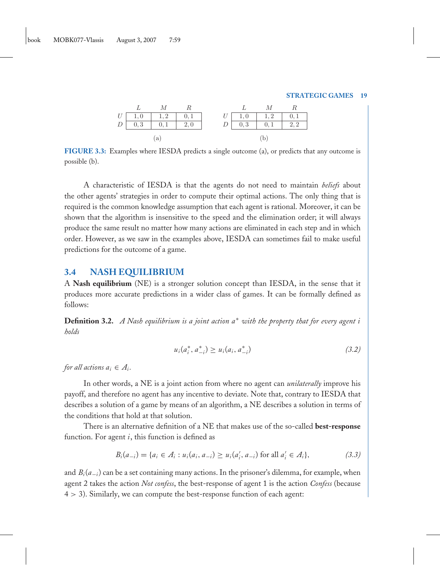#### **STRATEGIC GAMES 19**

|   |                  | $\overline{M}$                                            |  |                  | $M_{-}$                                              |     |
|---|------------------|-----------------------------------------------------------|--|------------------|------------------------------------------------------|-----|
|   |                  | $U \begin{array}{ c c c c } \hline 1,0 & 1,2 \end{array}$ |  |                  | $U\left[\begin{array}{c c}1,0&1,2\end{array}\right]$ | 0.1 |
| D | $\overline{0,3}$ |                                                           |  | $\overline{0,3}$ | 0, 1                                                 |     |
|   |                  | (a)                                                       |  |                  |                                                      |     |

<span id="page-30-0"></span>**FIGURE 3.3:** Examples where IESDA predicts a single outcome (a), or predicts that any outcome is possible (b).

A characteristic of IESDA is that the agents do not need to maintain *beliefs* about the other agents' strategies in order to compute their optimal actions. The only thing that is required is the common knowledge assumption that each agent is rational. Moreover, it can be shown that the algorithm is insensitive to the speed and the elimination order; it will always produce the same result no matter how many actions are eliminated in each step and in which order. However, as we saw in the examples above, IESDA can sometimes fail to make useful predictions for the outcome of a game.

#### **3.4 NASH EQUILIBRIUM**

A **Nash equilibrium** (NE) is a stronger solution concept than IESDA, in the sense that it produces more accurate predictions in a wider class of games. It can be formally defined as follows:

<span id="page-30-3"></span><span id="page-30-1"></span>**Definition 3.2.** *A Nash equilibrium is a joint action a*<sup>\*</sup> *with the property that for every agent i holds*

$$
u_i(a_i^*, a_{-i}^*) \ge u_i(a_i, a_{-i}^*)
$$
\n(3.2)

*for all actions*  $a_i \in A_i$ *.* 

In other words, a NE is a joint action from where no agent can *unilaterally* improve his payoff, and therefore no agent has any incentive to deviate. Note that, contrary to IESDA that describes a solution of a game by means of an algorithm, a NE describes a solution in terms of the conditions that hold at that solution.

There is an alternative definition of a NE that makes use of the so-called **best-response** function. For agent *i*, this function is defined as

<span id="page-30-2"></span>
$$
B_i(a_{-i}) = \{a_i \in A_i : u_i(a_i, a_{-i}) \ge u_i(a'_i, a_{-i}) \text{ for all } a'_i \in A_i\},\tag{3.3}
$$

and  $B_i(a_{-i})$  can be a set containing many actions. In the prisoner's dilemma, for example, when agent 2 takes the action *Not confess*, the best-response of agent 1 is the action *Confess* (because 4 > 3). Similarly, we can compute the best-response function of each agent: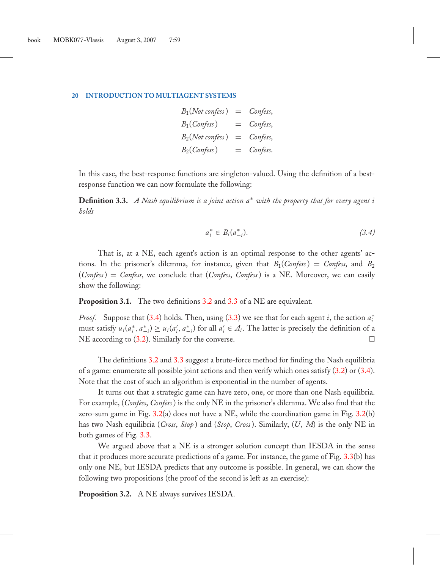| $B_1(Not\text{ confess})$  | $=$ Confess, |
|----------------------------|--------------|
| $B_1(Confess)$             | $=$ Confess, |
| $B_2(Not \text{ confess})$ | $=$ Confess, |
| $B_2$ (Confess)            | $=$ Confess. |

<span id="page-31-0"></span>In this case, the best-response functions are singleton-valued. Using the definition of a bestresponse function we can now formulate the following:

<span id="page-31-1"></span>**Definition 3.3.** *A Nash equilibrium is a joint action a* <sup>∗</sup> *with the property that for every agent i holds*

$$
a_i^* \in B_i(a_{-i}^*). \tag{3.4}
$$

That is, at a NE, each agent's action is an optimal response to the other agents' actions. In the prisoner's dilemma, for instance, given that  $B_1(Confess) = Confess$ , and  $B_2$ (*Confess* ) = *Confess*, we conclude that (*Confess*, *Confess* ) is a NE. Moreover, we can easily show the following:

**Proposition 3.1.** The two definitions [3.2](#page-30-1) and [3.3](#page-31-0) of a NE are equivalent.

*Proof.* Suppose that [\(3.4\)](#page-31-1) holds. Then, using [\(3.3\)](#page-30-2) we see that for each agent *i*, the action  $a_i^*$ must satisfy  $u_i(a_i^*, a_{-i}^*) \geq u_i(a_i', a_{-i}^*)$  for all  $a_i' \in A_i$ . The latter is precisely the definition of a NE according to  $(3.2)$ . Similarly for the converse.

The definitions [3.2](#page-30-1) and [3.3](#page-31-0) suggest a brute-force method for finding the Nash equilibria of a game: enumerate all possible joint actions and then verify which ones satisfy [\(3.2\)](#page-30-3) or [\(3.4\)](#page-31-1). Note that the cost of such an algorithm is exponential in the number of agents.

It turns out that a strategic game can have zero, one, or more than one Nash equilibria. For example, (*Confess*, *Confess* ) is the only NE in the prisoner's dilemma. We also find that the zero-sum game in Fig. [3.2\(](#page-28-1)a) does not have a NE, while the coordination game in Fig. [3.2\(](#page-28-1)b) has two Nash equilibria (*Cross*, *Stop* ) and (*Stop*, *Cross* ). Similarly, (*U*, *M*) is the only NE in both games of Fig. [3.3.](#page-30-0)

We argued above that a NE is a stronger solution concept than IESDA in the sense that it produces more accurate predictions of a game. For instance, the game of Fig. [3.3\(](#page-30-0)b) has only one NE, but IESDA predicts that any outcome is possible. In general, we can show the following two propositions (the proof of the second is left as an exercise):

**Proposition 3.2.** A NE always survives IESDA.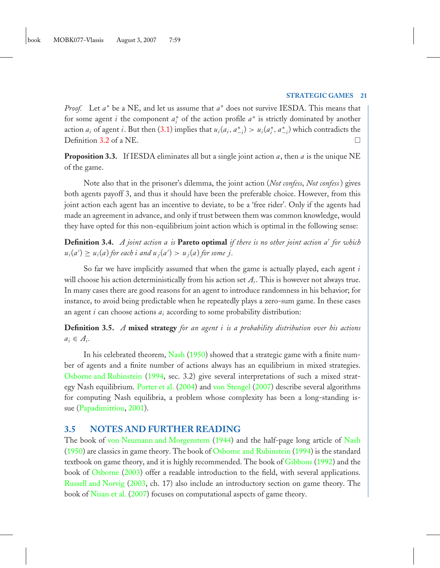#### **STRATEGIC GAMES 21**

*Proof.* Let  $a^*$  be a NE, and let us assume that  $a^*$  does not survive IESDA. This means that for some agent *i* the component  $a_i^*$  of the action profile  $a^*$  is strictly dominated by another action *a<sub>i</sub>* of agent *i*. But then [\(3.1\)](#page-29-0) implies that  $u_i(a_i, a_{-i}^*) > u_i(a_i^*, a_{-i}^*)$  which contradicts the Definition [3.2](#page-30-1) of a NE.

**Proposition 3.3.** If IESDA eliminates all but a single joint action *a*, then *a* is the unique NE of the game.

Note also that in the prisoner's dilemma, the joint action (*Not confess*, *Not confess* ) gives both agents payoff 3, and thus it should have been the preferable choice. However, from this joint action each agent has an incentive to deviate, to be a 'free rider'. Only if the agents had made an agreement in advance, and only if trust between them was common knowledge, would they have opted for this non-equilibrium joint action which is optimal in the following sense:

**Definition 3.4.** *A joint action a is* **Pareto optimal** *if there is no other joint action a for which*  $u_i(a') \geq u_i(a)$  for each i and  $u_j(a') > u_j(a)$  for some j.

So far we have implicitly assumed that when the game is actually played, each agent *i* will choose his action deterministically from his action set  $A_i$ . This is however not always true. In many cases there are good reasons for an agent to introduce randomness in his behavior; for instance, to avoid being predictable when he repeatedly plays a zero-sum game. In these cases an agent *i* can choose actions *ai* according to some probability distribution:

**Definition 3.5.** *A* **mixed strategy** *for an agent i is a probability distribution over his actions*  $a_i \in A_i$ .

In his celebrated theorem, [Nash](#page-77-4) [\(1950\)](#page-77-4) showed that a strategic game with a finite number of agents and a finite number of actions always has an equilibrium in mixed strategies. [Osborne and Rubinstein](#page-78-3) [\(1994,](#page-78-3) sec. 3.2) give several interpretations of such a mixed strategy Nash equilibrium. [Porter et al.](#page-78-4) [\(2004\)](#page-78-4) and [von Stengel](#page-80-6) [\(2007](#page-80-6)) describe several algorithms for computing Nash equilibria, a problem whose complexity has been a long-standing issue [\(Papadimitriou](#page-78-5), [2001\)](#page-78-5).

## **3.5 NOTES AND FURTHER READING**

The book of [von Neumann and Morgenstern](#page-80-7) [\(1944](#page-80-7)) and the half-page long article of [Nash](#page-77-4) [\(1950](#page-77-4)) are classics in game theory. The book of [Osborne and Rubinstein](#page-78-3) [\(1994\)](#page-78-3) is the standard textbook on game theory, and it is highly recommended. The book of [Gibbons](#page-76-2) [\(1992\)](#page-76-2) and the book of [Osborne](#page-78-6) [\(2003](#page-78-6)) offer a readable introduction to the field, with several applications. [Russell and Norvig](#page-79-0) [\(2003,](#page-79-0) ch. 17) also include an introductory section on game theory. The book of [Nisan et al.](#page-78-7) [\(2007](#page-78-7)) focuses on computational aspects of game theory.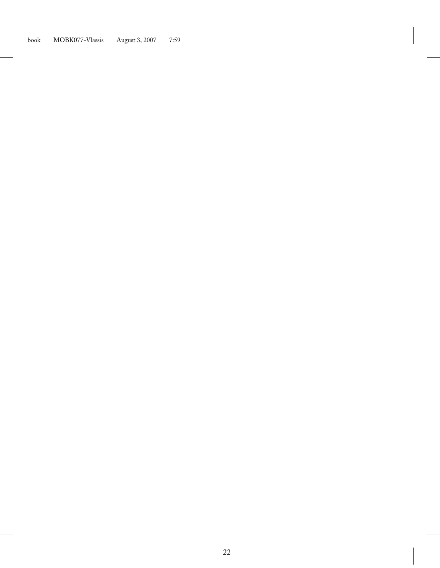<span id="page-33-0"></span>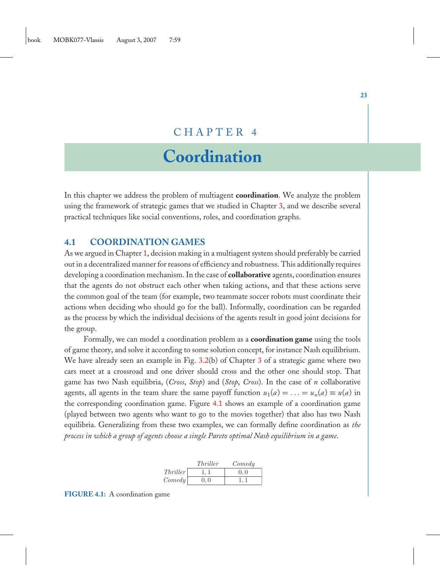## CHAPTER 4

# **Coordination**

In this chapter we address the problem of multiagent **coordination**. We analyze the problem using the framework of strategic games that we studied in Chapter [3,](#page-25-0) and we describe several practical techniques like social conventions, roles, and coordination graphs.

## **4.1 COORDINATION GAMES**

As we argued in Chapter [1,](#page-12-0) decision making in a multiagent system should preferably be carried out in a decentralized manner for reasons of efficiency and robustness. This additionally requires developing a coordination mechanism. In the case of **collaborative** agents, coordination ensures that the agents do not obstruct each other when taking actions, and that these actions serve the common goal of the team (for example, two teammate soccer robots must coordinate their actions when deciding who should go for the ball). Informally, coordination can be regarded as the process by which the individual decisions of the agents result in good joint decisions for the group.

Formally, we can model a coordination problem as a **coordination game** using the tools of game theory, and solve it according to some solution concept, for instance Nash equilibrium. We have already seen an example in Fig. [3.2\(](#page-28-1)b) of Chapter [3](#page-25-0) of a strategic game where two cars meet at a crossroad and one driver should cross and the other one should stop. That game has two Nash equilibria, (*Cross*, *Stop*) and (*Stop*, *Cross*). In the case of *n* collaborative agents, all agents in the team share the same payoff function  $u_1(a) = \ldots = u_n(a) \equiv u(a)$  in the corresponding coordination game. Figure [4.1](#page-34-0) shows an example of a coordination game (played between two agents who want to go to the movies together) that also has two Nash equilibria. Generalizing from these two examples, we can formally define coordination as *the process in which a group of agents choose a single Pareto optimal Nash equilibrium in a game*.

<span id="page-34-0"></span>

|                 | Thriller | Comedy |
|-----------------|----------|--------|
| <i>Thriller</i> |          | 0.0    |
| Comedy          | 0.0      |        |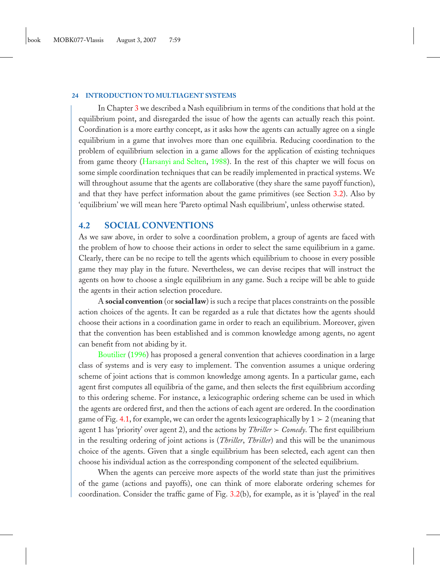In Chapter [3](#page-25-0) we described a Nash equilibrium in terms of the conditions that hold at the equilibrium point, and disregarded the issue of how the agents can actually reach this point. Coordination is a more earthy concept, as it asks how the agents can actually agree on a single equilibrium in a game that involves more than one equilibria. Reducing coordination to the problem of equilibrium selection in a game allows for the application of existing techniques from game theory [\(Harsanyi and Selten](#page-76-3), [1988\)](#page-76-3). In the rest of this chapter we will focus on some simple coordination techniques that can be readily implemented in practical systems. We will throughout assume that the agents are collaborative (they share the same payoff function), and that they have perfect information about the game primitives (see Section [3.2\)](#page-27-0). Also by 'equilibrium' we will mean here 'Pareto optimal Nash equilibrium', unless otherwise stated.

## **4.2 SOCIAL CONVENTIONS**

As we saw above, in order to solve a coordination problem, a group of agents are faced with the problem of how to choose their actions in order to select the same equilibrium in a game. Clearly, there can be no recipe to tell the agents which equilibrium to choose in every possible game they may play in the future. Nevertheless, we can devise recipes that will instruct the agents on how to choose a single equilibrium in any game. Such a recipe will be able to guide the agents in their action selection procedure.

A **social convention** (or **social law**) is such a recipe that places constraints on the possible action choices of the agents. It can be regarded as a rule that dictates how the agents should choose their actions in a coordination game in order to reach an equilibrium. Moreover, given that the convention has been established and is common knowledge among agents, no agent can benefit from not abiding by it.

[Boutilier](#page-74-4) [\(1996](#page-74-4)) has proposed a general convention that achieves coordination in a large class of systems and is very easy to implement. The convention assumes a unique ordering scheme of joint actions that is common knowledge among agents. In a particular game, each agent first computes all equilibria of the game, and then selects the first equilibrium according to this ordering scheme. For instance, a lexicographic ordering scheme can be used in which the agents are ordered first, and then the actions of each agent are ordered. In the coordination game of Fig. [4.1,](#page-34-0) for example, we can order the agents lexicographically by  $1 \succ 2$  (meaning that agent 1 has 'priority' over agent 2), and the actions by *Thriller Comedy*. The first equilibrium in the resulting ordering of joint actions is (*Thriller*, *Thriller*) and this will be the unanimous choice of the agents. Given that a single equilibrium has been selected, each agent can then choose his individual action as the corresponding component of the selected equilibrium.

When the agents can perceive more aspects of the world state than just the primitives of the game (actions and payoffs), one can think of more elaborate ordering schemes for coordination. Consider the traffic game of Fig. [3.2\(](#page-28-1)b), for example, as it is 'played' in the real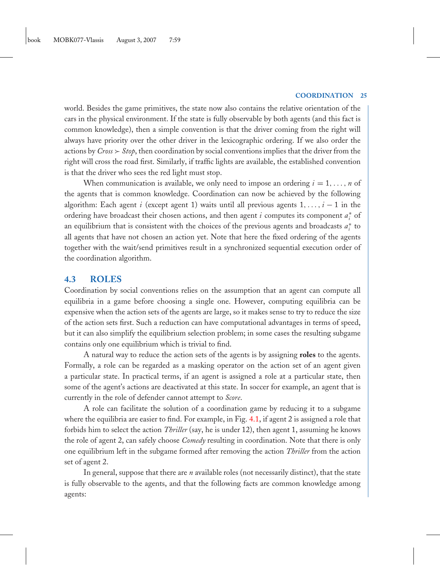## **COORDINATION 25**

world. Besides the game primitives, the state now also contains the relative orientation of the cars in the physical environment. If the state is fully observable by both agents (and this fact is common knowledge), then a simple convention is that the driver coming from the right will always have priority over the other driver in the lexicographic ordering. If we also order the actions by  $C$ *ross*  $> St \circ \rho$ , then coordination by social conventions implies that the driver from the right will cross the road first. Similarly, if traffic lights are available, the established convention is that the driver who sees the red light must stop.

When communication is available, we only need to impose an ordering  $i = 1, \ldots, n$  of the agents that is common knowledge. Coordination can now be achieved by the following algorithm: Each agent *i* (except agent 1) waits until all previous agents 1,...,*i* − 1 in the ordering have broadcast their chosen actions, and then agent *i* computes its component  $a_i^*$  of an equilibrium that is consistent with the choices of the previous agents and broadcasts  $a_i^*$  to all agents that have not chosen an action yet. Note that here the fixed ordering of the agents together with the wait/send primitives result in a synchronized sequential execution order of the coordination algorithm.

## <span id="page-36-0"></span>**4.3 ROLES**

Coordination by social conventions relies on the assumption that an agent can compute all equilibria in a game before choosing a single one. However, computing equilibria can be expensive when the action sets of the agents are large, so it makes sense to try to reduce the size of the action sets first. Such a reduction can have computational advantages in terms of speed, but it can also simplify the equilibrium selection problem; in some cases the resulting subgame contains only one equilibrium which is trivial to find.

A natural way to reduce the action sets of the agents is by assigning **roles** to the agents. Formally, a role can be regarded as a masking operator on the action set of an agent given a particular state. In practical terms, if an agent is assigned a role at a particular state, then some of the agent's actions are deactivated at this state. In soccer for example, an agent that is currently in the role of defender cannot attempt to *Score*.

A role can facilitate the solution of a coordination game by reducing it to a subgame where the equilibria are easier to find. For example, in Fig. [4.1,](#page-34-0) if agent 2 is assigned a role that forbids him to select the action *Thriller* (say, he is under 12), then agent 1, assuming he knows the role of agent 2, can safely choose *Comedy* resulting in coordination. Note that there is only one equilibrium left in the subgame formed after removing the action *Thriller* from the action set of agent 2.

In general, suppose that there are *n* available roles (not necessarily distinct), that the state is fully observable to the agents, and that the following facts are common knowledge among agents: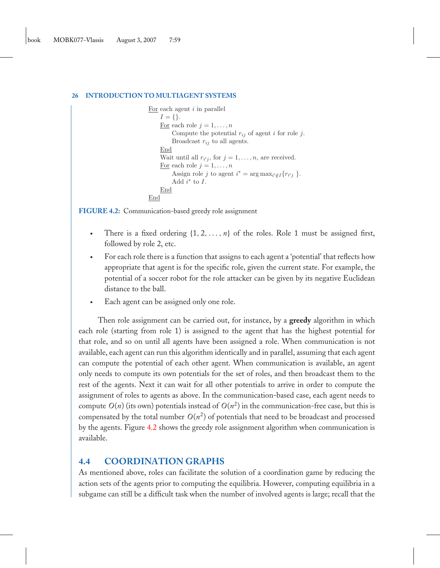```
For each agent i in parallel
    I = \{\}.For each role j = 1, \ldots, nCompute the potential r_{ij} of agent i for role j.
         Broadcast rij to all agents.
    End
    Wait until all r_{i'j}, for j = 1, \ldots, n, are received.
    For each role j = 1, \ldots, nAssign role j to agent i^* = \arg \max_{i' \notin I} \{r_{i'j}\}\.Add i^* to I.
    End
End
```
<span id="page-37-0"></span>**FIGURE 4.2:** Communication-based greedy role assignment

- There is a fixed ordering  $\{1, 2, \ldots, n\}$  of the roles. Role 1 must be assigned first, followed by role 2, etc.
- For each role there is a function that assigns to each agent a 'potential' that reflects how appropriate that agent is for the specific role, given the current state. For example, the potential of a soccer robot for the role attacker can be given by its negative Euclidean distance to the ball.
- Each agent can be assigned only one role.

Then role assignment can be carried out, for instance, by a **greedy** algorithm in which each role (starting from role 1) is assigned to the agent that has the highest potential for that role, and so on until all agents have been assigned a role. When communication is not available, each agent can run this algorithm identically and in parallel, assuming that each agent can compute the potential of each other agent. When communication is available, an agent only needs to compute its own potentials for the set of roles, and then broadcast them to the rest of the agents. Next it can wait for all other potentials to arrive in order to compute the assignment of roles to agents as above. In the communication-based case, each agent needs to compute  $O(n)$  (its own) potentials instead of  $O(n^2)$  in the communication-free case, but this is compensated by the total number  $O(n^2)$  of potentials that need to be broadcast and processed by the agents. Figure [4.2](#page-37-0) shows the greedy role assignment algorithm when communication is available.

## <span id="page-37-1"></span>**4.4 COORDINATION GRAPHS**

As mentioned above, roles can facilitate the solution of a coordination game by reducing the action sets of the agents prior to computing the equilibria. However, computing equilibria in a subgame can still be a difficult task when the number of involved agents is large; recall that the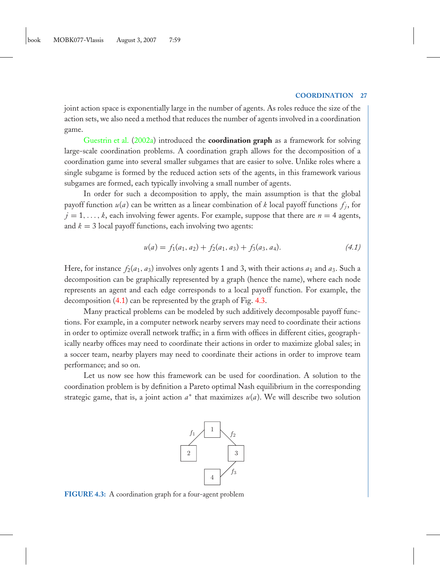## **COORDINATION 27**

joint action space is exponentially large in the number of agents. As roles reduce the size of the action sets, we also need a method that reduces the number of agents involved in a coordination game.

[Guestrin et al.](#page-76-0) [\(2002a](#page-76-0)) introduced the **coordination graph** as a framework for solving large-scale coordination problems. A coordination graph allows for the decomposition of a coordination game into several smaller subgames that are easier to solve. Unlike roles where a single subgame is formed by the reduced action sets of the agents, in this framework various subgames are formed, each typically involving a small number of agents.

In order for such a decomposition to apply, the main assumption is that the global payoff function  $u(a)$  can be written as a linear combination of k local payoff functions  $f_i$ , for  $j = 1, \ldots, k$ , each involving fewer agents. For example, suppose that there are  $n = 4$  agents, and  $k = 3$  local payoff functions, each involving two agents:

<span id="page-38-0"></span>
$$
u(a) = f_1(a_1, a_2) + f_2(a_1, a_3) + f_3(a_3, a_4). \tag{4.1}
$$

Here, for instance  $f_2(a_1, a_3)$  involves only agents 1 and 3, with their actions  $a_1$  and  $a_3$ . Such a decomposition can be graphically represented by a graph (hence the name), where each node represents an agent and each edge corresponds to a local payoff function. For example, the decomposition [\(4.1\)](#page-38-0) can be represented by the graph of Fig. [4.3.](#page-38-1)

Many practical problems can be modeled by such additively decomposable payoff functions. For example, in a computer network nearby servers may need to coordinate their actions in order to optimize overall network traffic; in a firm with offices in different cities, geographically nearby offices may need to coordinate their actions in order to maximize global sales; in a soccer team, nearby players may need to coordinate their actions in order to improve team performance; and so on.

Let us now see how this framework can be used for coordination. A solution to the coordination problem is by definition a Pareto optimal Nash equilibrium in the corresponding strategic game, that is, a joint action  $a^*$  that maximizes  $u(a)$ . We will describe two solution



<span id="page-38-1"></span>**FIGURE 4.3:** A coordination graph for a four-agent problem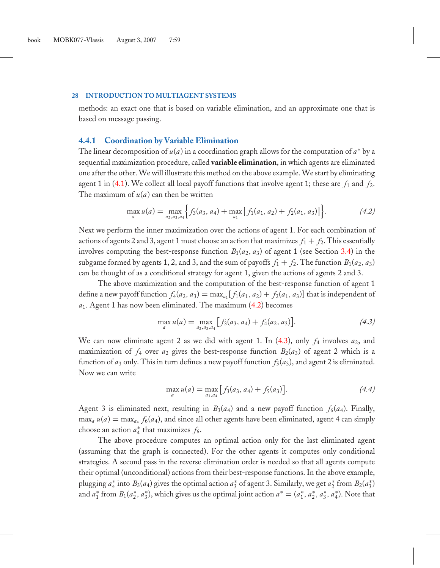methods: an exact one that is based on variable elimination, and an approximate one that is based on message passing.

## **4.4.1 Coordination by Variable Elimination**

The linear decomposition of  $u(a)$  in a coordination graph allows for the computation of  $a^*$  by a sequential maximization procedure, called **variable elimination**, in which agents are eliminated one after the other. We will illustrate this method on the above example. We start by eliminating agent 1 in [\(4.1\)](#page-38-0). We collect all local payoff functions that involve agent 1; these are  $f_1$  and  $f_2$ . The maximum of  $u(a)$  can then be written

<span id="page-39-0"></span>
$$
\max_{a} u(a) = \max_{a_2, a_3, a_4} \Big\{ f_3(a_3, a_4) + \max_{a_1} \Big[ f_1(a_1, a_2) + f_2(a_1, a_3) \Big] \Big\}.
$$
 (4.2)

Next we perform the inner maximization over the actions of agent 1. For each combination of actions of agents 2 and 3, agent 1 must choose an action that maximizes  $f_1 + f_2$ . This essentially involves computing the best-response function  $B_1(a_2, a_3)$  of agent 1 (see Section [3.4\)](#page-30-0) in the subgame formed by agents 1, 2, and 3, and the sum of payoffs  $f_1 + f_2$ . The function  $B_1(a_2, a_3)$ can be thought of as a conditional strategy for agent 1, given the actions of agents 2 and 3.

The above maximization and the computation of the best-response function of agent 1 define a new payoff function  $f_4(a_2, a_3) = \max_{a_1} [f_1(a_1, a_2) + f_2(a_1, a_3)]$  that is independent of  $a_1$ . Agent 1 has now been eliminated. The maximum  $(4.2)$  becomes

<span id="page-39-1"></span>
$$
\max_{a} u(a) = \max_{a_2, a_3, a_4} [f_3(a_3, a_4) + f_4(a_2, a_3)].
$$
\n(4.3)

We can now eliminate agent 2 as we did with agent 1. In  $(4.3)$ , only  $f_4$  involves  $a_2$ , and maximization of  $f_4$  over  $a_2$  gives the best-response function  $B_2(a_3)$  of agent 2 which is a function of  $a_3$  only. This in turn defines a new payoff function  $f_5(a_3)$ , and agent 2 is eliminated. Now we can write

$$
\max_{a} u(a) = \max_{a_3, a_4} [f_3(a_3, a_4) + f_5(a_3)]. \tag{4.4}
$$

Agent 3 is eliminated next, resulting in  $B_3(a_4)$  and a new payoff function  $f_6(a_4)$ . Finally,  $\max_a u(a) = \max_{a} f_6(a_4)$ , and since all other agents have been eliminated, agent 4 can simply choose an action  $a_4^*$  that maximizes  $f_6$ .

The above procedure computes an optimal action only for the last eliminated agent (assuming that the graph is connected). For the other agents it computes only conditional strategies. A second pass in the reverse elimination order is needed so that all agents compute their optimal (unconditional) actions from their best-response functions. In the above example, plugging  $a_4^*$  into  $B_3(a_4)$  gives the optimal action  $a_3^*$  of agent 3. Similarly, we get  $a_2^*$  from  $B_2(a_3^*)$ and  $a_1^*$  from  $B_1(a_2^*, a_3^*)$ , which gives us the optimal joint action  $a^* = (a_1^*, a_2^*, a_3^*, a_4^*)$ . Note that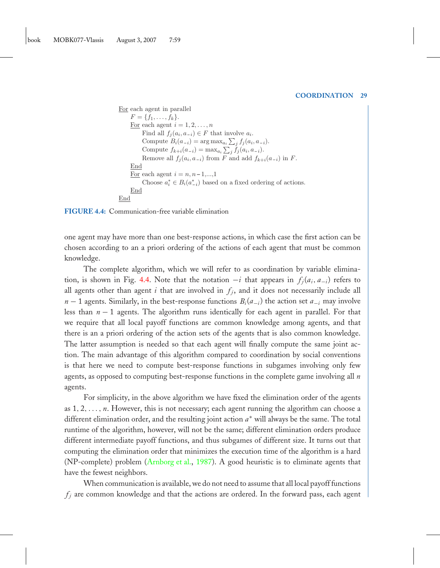### **COORDINATION 29**

For each agent in parallel

```
F = \{f_1, \ldots, f_k\}.For each agent i = 1, 2, \ldots, nFind all f_i(a_i, a_{-i}) \in F that involve a_i.
          Compute B_i(a_{-i}) = \arg \max_{a_i} \sum_j f_j(a_i, a_{-i}).Compute f_{k+i}(a_{-i}) = \max_{a_i} \sum_j f_j(a_i, a_{-i}).Remove all f_i(a_i, a_{-i}) from F and add f_{k+i}(a_{-i}) in F.
     End
     For each agent i = n, n-1, \ldots, 1Choose a_i^* \in B_i(a_{-i}^*) based on a fixed ordering of actions.
     End
End
```
#### <span id="page-40-0"></span>**FIGURE 4.4:** Communication-free variable elimination

one agent may have more than one best-response actions, in which case the first action can be chosen according to an a priori ordering of the actions of each agent that must be common knowledge.

The complete algorithm, which we will refer to as coordination by variable elimina-tion, is shown in Fig. [4.4.](#page-40-0) Note that the notation  $-i$  that appears in  $f_i(a_i, a_{-i})$  refers to all agents other than agent  $i$  that are involved in  $f_i$ , and it does not necessarily include all  $n-1$  agents. Similarly, in the best-response functions  $B_i(a_{-i})$  the action set  $a_{-i}$  may involve less than *n* − 1 agents. The algorithm runs identically for each agent in parallel. For that we require that all local payoff functions are common knowledge among agents, and that there is an a priori ordering of the action sets of the agents that is also common knowledge. The latter assumption is needed so that each agent will finally compute the same joint action. The main advantage of this algorithm compared to coordination by social conventions is that here we need to compute best-response functions in subgames involving only few agents, as opposed to computing best-response functions in the complete game involving all *n* agents.

For simplicity, in the above algorithm we have fixed the elimination order of the agents as 1, 2,..., *n*. However, this is not necessary; each agent running the algorithm can choose a different elimination order, and the resulting joint action  $a^*$  will always be the same. The total runtime of the algorithm, however, will not be the same; different elimination orders produce different intermediate payoff functions, and thus subgames of different size. It turns out that computing the elimination order that minimizes the execution time of the algorithm is a hard (NP-complete) problem [\(Arnborg et al.](#page-74-0), [1987\)](#page-74-0). A good heuristic is to eliminate agents that have the fewest neighbors.

When communication is available, we do not need to assume that all local payoff functions  $f_j$  are common knowledge and that the actions are ordered. In the forward pass, each agent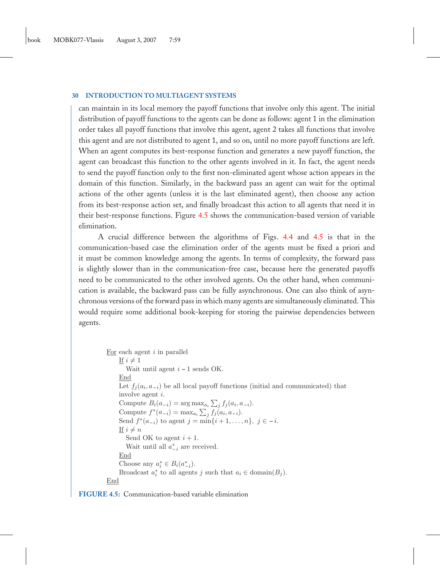can maintain in its local memory the payoff functions that involve only this agent. The initial distribution of payoff functions to the agents can be done as follows: agent 1 in the elimination order takes all payoff functions that involve this agent, agent 2 takes all functions that involve this agent and are not distributed to agent 1, and so on, until no more payoff functions are left. When an agent computes its best-response function and generates a new payoff function, the agent can broadcast this function to the other agents involved in it. In fact, the agent needs to send the payoff function only to the first non-eliminated agent whose action appears in the domain of this function. Similarly, in the backward pass an agent can wait for the optimal actions of the other agents (unless it is the last eliminated agent), then choose any action from its best-response action set, and finally broadcast this action to all agents that need it in their best-response functions. Figure [4.5](#page-41-0) shows the communication-based version of variable elimination.

A crucial difference between the algorithms of Figs. [4.4](#page-40-0) and [4.5](#page-41-0) is that in the communication-based case the elimination order of the agents must be fixed a priori and it must be common knowledge among the agents. In terms of complexity, the forward pass is slightly slower than in the communication-free case, because here the generated payoffs need to be communicated to the other involved agents. On the other hand, when communication is available, the backward pass can be fully asynchronous. One can also think of asynchronous versions of the forward pass in which many agents are simultaneously eliminated. This would require some additional book-keeping for storing the pairwise dependencies between agents.

```
For each agent i in parallel
    If i \neq 1Wait until agent i - 1 sends OK.
    End
     Let f_j(a_i, a_{-i}) be all local payoff functions (initial and communicated) that
    involve agent i.
     Compute B_i(a_{-i}) = \arg \max_{a_i} \sum_j f_j(a_i, a_{-i}).Compute f^*(a_{-i}) = \max_{a_i} \sum_j f_j(a_i, a_{-i}).Send f^*(a_{-i}) to agent j = \min\{i+1,\ldots,n\}, \ j \in -i.
    If i \neq nSend OK to agent i + 1.
        Wait until all a_{-i}^* are received.
     End
     Choose any a_i^* \in B_i(a_{-i}^*).
     Broadcast a_i^* to all agents j such that a_i \in \text{domain}(B_j).
End
```
<span id="page-41-0"></span>**FIGURE 4.5:** Communication-based variable elimination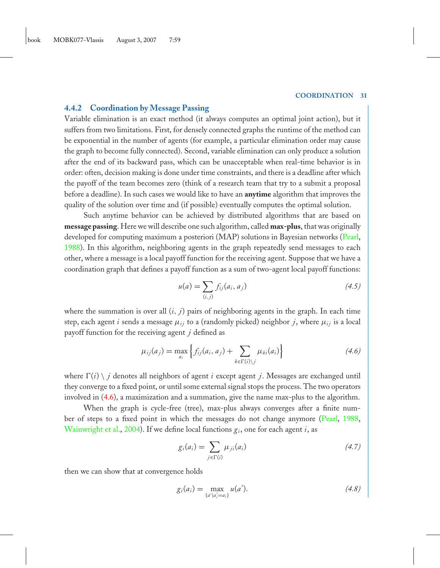#### **COORDINATION 31**

## **4.4.2 Coordination by Message Passing**

Variable elimination is an exact method (it always computes an optimal joint action), but it suffers from two limitations. First, for densely connected graphs the runtime of the method can be exponential in the number of agents (for example, a particular elimination order may cause the graph to become fully connected). Second, variable elimination can only produce a solution after the end of its backward pass, which can be unacceptable when real-time behavior is in order: often, decision making is done under time constraints, and there is a deadline after which the payoff of the team becomes zero (think of a research team that try to a submit a proposal before a deadline). In such cases we would like to have an **anytime** algorithm that improves the quality of the solution over time and (if possible) eventually computes the optimal solution.

Such anytime behavior can be achieved by distributed algorithms that are based on **message passing**. Here we will describe one such algorithm, called **max-plus**, that was originally developed for computing maximum a posteriori (MAP) solutions in Bayesian networks [\(Pearl](#page-78-0), [1988](#page-78-0)). In this algorithm, neighboring agents in the graph repeatedly send messages to each other, where a message is a local payoff function for the receiving agent. Suppose that we have a coordination graph that defines a payoff function as a sum of two-agent local payoff functions:

$$
u(a) = \sum_{(i,j)} f_{ij}(a_i, a_j)
$$
\n(4.5)

where the summation is over all  $(i, j)$  pairs of neighboring agents in the graph. In each time step, each agent *i* sends a message  $\mu_{ij}$  to a (randomly picked) neighbor *j*, where  $\mu_{ij}$  is a local payoff function for the receiving agent *j* defined as

<span id="page-42-0"></span>
$$
\mu_{ij}(a_j) = \max_{a_i} \left\{ f_{ij}(a_i, a_j) + \sum_{k \in \Gamma(i) \setminus j} \mu_{ki}(a_i) \right\} \tag{4.6}
$$

where  $\Gamma(i) \setminus j$  denotes all neighbors of agent *i* except agent *j*. Messages are exchanged until they converge to a fixed point, or until some external signal stops the process. The two operators involved in [\(4.6\)](#page-42-0), a maximization and a summation, give the name max-plus to the algorithm.

When the graph is cycle-free (tree), max-plus always converges after a finite number of steps to a fixed point in which the messages do not change anymore [\(Pearl,](#page-78-0) [1988](#page-78-0), [Wainwright et al.](#page-80-0), [2004\)](#page-80-0). If we define local functions  $g_i$ , one for each agent *i*, as

$$
g_i(a_i) = \sum_{j \in \Gamma(i)} \mu_{ji}(a_i) \tag{4.7}
$$

then we can show that at convergence holds

$$
g_i(a_i) = \max_{\{a' \mid a'_i = a_i\}} u(a'). \tag{4.8}
$$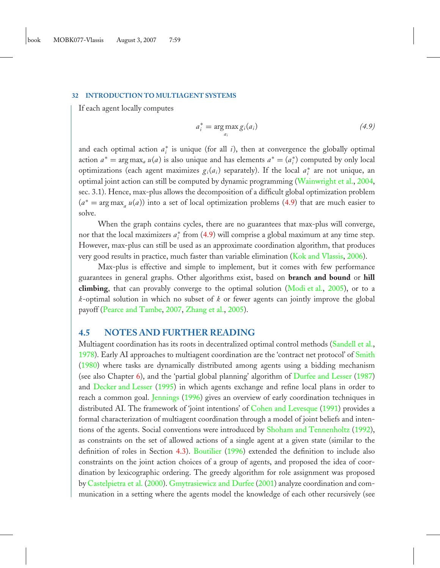<span id="page-43-0"></span>If each agent locally computes

$$
a_i^* = \underset{a_i}{\arg \max} \, g_i(a_i) \tag{4.9}
$$

and each optimal action  $a_i^*$  is unique (for all *i*), then at convergence the globally optimal action  $a^* = \arg \max_a u(a)$  is also unique and has elements  $a^* = (a_i^*)$  computed by only local optimizations (each agent maximizes  $g_i(a_i)$  separately). If the local  $a_i^*$  are not unique, an optimal joint action can still be computed by dynamic programming [\(Wainwright et al.,](#page-80-0) [2004](#page-80-0), sec. 3.1). Hence, max-plus allows the decomposition of a difficult global optimization problem  $(a^* = \arg \max_a u(a))$  into a set of local optimization problems [\(4.9\)](#page-43-0) that are much easier to solve.

When the graph contains cycles, there are no guarantees that max-plus will converge, nor that the local maximizers  $a_i^*$  from [\(4.9\)](#page-43-0) will comprise a global maximum at any time step. However, max-plus can still be used as an approximate coordination algorithm, that produces very good results in practice, much faster than variable elimination [\(Kok and Vlassis,](#page-77-0) [2006](#page-77-0)).

Max-plus is effective and simple to implement, but it comes with few performance guarantees in general graphs. Other algorithms exist, based on **branch and bound** or **hill climbing**, that can provably converge to the optimal solution [\(Modi et al.](#page-77-1), [2005\)](#page-77-1), or to a *k*-optimal solution in which no subset of *k* or fewer agents can jointly improve the global payoff [\(Pearce and Tambe](#page-78-1), [2007,](#page-78-1) [Zhang et al.,](#page-81-0) [2005](#page-81-0)).

## **4.5 NOTES AND FURTHER READING**

Multiagent coordination has its roots in decentralized optimal control methods [\(Sandell et al.](#page-79-0), [1978](#page-79-0)). Early AI approaches to multiagent coordination are the 'contract net protocol' of [Smith](#page-79-1) [\(1980\)](#page-79-1) where tasks are dynamically distributed among agents using a bidding mechanism (see also Chapter [6\)](#page-56-0), and the 'partial global planning' algorithm of [Durfee and Lesser](#page-75-0) [\(1987](#page-75-0)) and [Decker and Lesser](#page-75-1) [\(1995\)](#page-75-1) in which agents exchange and refine local plans in order to reach a common goal. [Jennings](#page-76-1) [\(1996\)](#page-76-1) gives an overview of early coordination techniques in distributed AI. The framework of 'joint intentions' of [Cohen and Levesque](#page-75-2) [\(1991\)](#page-75-2) provides a formal characterization of multiagent coordination through a model of joint beliefs and intentions of the agents. Social conventions were introduced by [Shoham and Tennenholtz](#page-79-2) [\(1992\)](#page-79-2), as constraints on the set of allowed actions of a single agent at a given state (similar to the definition of roles in Section [4.3\)](#page-36-0). [Boutilier](#page-74-1) [\(1996](#page-74-1)) extended the definition to include also constraints on the joint action choices of a group of agents, and proposed the idea of coordination by lexicographic ordering. The greedy algorithm for role assignment was proposed by [Castelpietra et al.](#page-74-2) [\(2000\)](#page-74-2). [Gmytrasiewicz and Durfee](#page-76-2) [\(2001\)](#page-76-2) analyze coordination and communication in a setting where the agents model the knowledge of each other recursively (see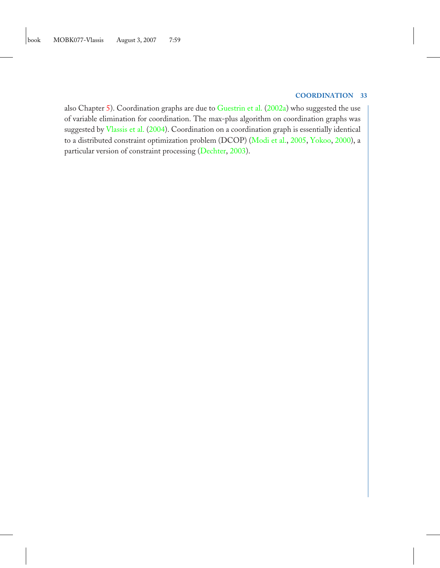## **COORDINATION 33**

also Chapter [5\)](#page-45-0). Coordination graphs are due to [Guestrin et al.](#page-76-0) [\(2002a](#page-76-0)) who suggested the use of variable elimination for coordination. The max-plus algorithm on coordination graphs was suggested by [Vlassis et al.](#page-80-1) [\(2004](#page-80-1)). Coordination on a coordination graph is essentially identical to a distributed constraint optimization problem (DCOP) [\(Modi et al.,](#page-77-1) [2005](#page-77-1), [Yokoo,](#page-81-1) [2000](#page-81-1)), a particular version of constraint processing [\(Dechter,](#page-75-3) [2003](#page-75-3)).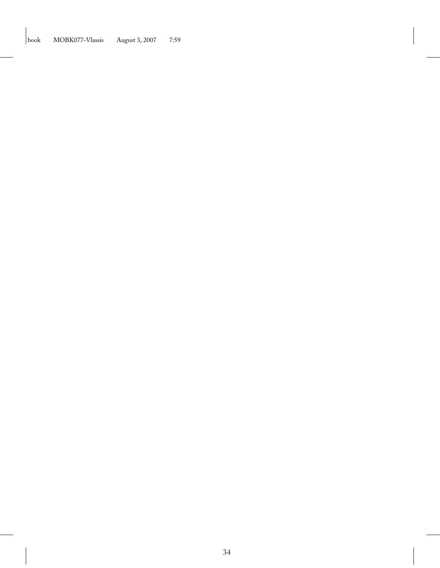<span id="page-45-0"></span>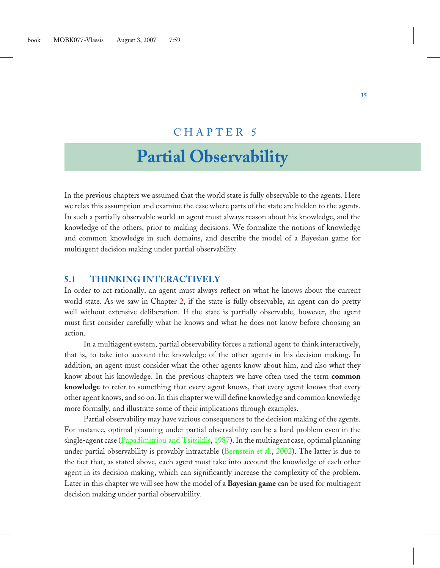## CHAPTER 5

# **Partial Observability**

In the previous chapters we assumed that the world state is fully observable to the agents. Here we relax this assumption and examine the case where parts of the state are hidden to the agents. In such a partially observable world an agent must always reason about his knowledge, and the knowledge of the others, prior to making decisions. We formalize the notions of knowledge and common knowledge in such domains, and describe the model of a Bayesian game for multiagent decision making under partial observability.

## **5.1 THINKING INTERACTIVELY**

In order to act rationally, an agent must always reflect on what he knows about the current world state. As we saw in Chapter [2,](#page-17-0) if the state is fully observable, an agent can do pretty well without extensive deliberation. If the state is partially observable, however, the agent must first consider carefully what he knows and what he does not know before choosing an action.

In a multiagent system, partial observability forces a rational agent to think interactively, that is, to take into account the knowledge of the other agents in his decision making. In addition, an agent must consider what the other agents know about him, and also what they know about his knowledge. In the previous chapters we have often used the term **common knowledge** to refer to something that every agent knows, that every agent knows that every other agent knows, and so on. In this chapter we will define knowledge and common knowledge more formally, and illustrate some of their implications through examples.

Partial observability may have various consequences to the decision making of the agents. For instance, optimal planning under partial observability can be a hard problem even in the single-agent case [\(Papadimitriou and Tsitsiklis](#page-78-2), [1987\)](#page-78-2). In the multiagent case, optimal planning under partial observability is provably intractable [\(Bernstein et al.](#page-74-3), [2002](#page-74-3)). The latter is due to the fact that, as stated above, each agent must take into account the knowledge of each other agent in its decision making, which can significantly increase the complexity of the problem. Later in this chapter we will see how the model of a **Bayesian game** can be used for multiagent decision making under partial observability.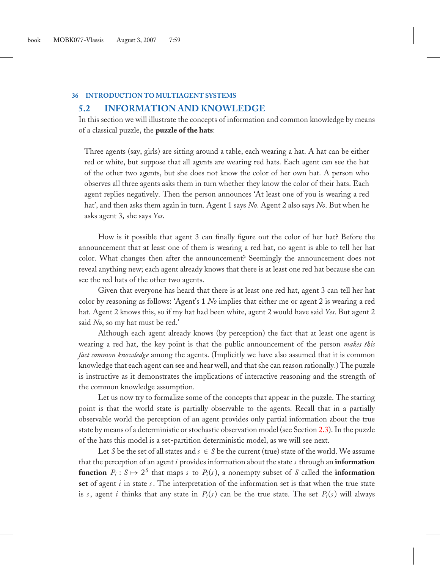## **5.2 INFORMATION AND KNOWLEDGE**

In this section we will illustrate the concepts of information and common knowledge by means of a classical puzzle, the **puzzle of the hats**:

Three agents (say, girls) are sitting around a table, each wearing a hat. A hat can be either red or white, but suppose that all agents are wearing red hats. Each agent can see the hat of the other two agents, but she does not know the color of her own hat. A person who observes all three agents asks them in turn whether they know the color of their hats. Each agent replies negatively. Then the person announces 'At least one of you is wearing a red hat', and then asks them again in turn. Agent 1 says *No*. Agent 2 also says *No*. But when he asks agent 3, she says *Yes*.

How is it possible that agent 3 can finally figure out the color of her hat? Before the announcement that at least one of them is wearing a red hat, no agent is able to tell her hat color. What changes then after the announcement? Seemingly the announcement does not reveal anything new; each agent already knows that there is at least one red hat because she can see the red hats of the other two agents.

Given that everyone has heard that there is at least one red hat, agent 3 can tell her hat color by reasoning as follows: 'Agent's 1 *No* implies that either me or agent 2 is wearing a red hat. Agent 2 knows this, so if my hat had been white, agent 2 would have said *Yes*. But agent 2 said *No*, so my hat must be red.'

Although each agent already knows (by perception) the fact that at least one agent is wearing a red hat, the key point is that the public announcement of the person *makes this fact common knowledge* among the agents. (Implicitly we have also assumed that it is common knowledge that each agent can see and hear well, and that she can reason rationally.) The puzzle is instructive as it demonstrates the implications of interactive reasoning and the strength of the common knowledge assumption.

Let us now try to formalize some of the concepts that appear in the puzzle. The starting point is that the world state is partially observable to the agents. Recall that in a partially observable world the perception of an agent provides only partial information about the true state by means of a deterministic or stochastic observation model (see Section [2.3\)](#page-19-0). In the puzzle of the hats this model is a set-partition deterministic model, as we will see next.

Let *S* be the set of all states and  $s \in S$  be the current (true) state of the world. We assume that the perception of an agent *i* provides information about the state *s* through an **information function**  $P_i$ :  $S \mapsto 2^S$  that maps *s* to  $P_i(s)$ , a nonempty subset of *S* called the **information set** of agent *i* in state *s* . The interpretation of the information set is that when the true state is *s*, agent *i* thinks that any state in  $P_i(s)$  can be the true state. The set  $P_i(s)$  will always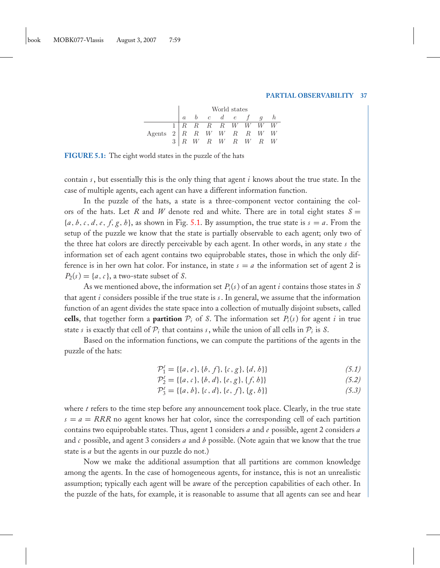#### **PARTIAL OBSERVABILITY 37**

|  | World states |  |                                     |  |  |  |   |  |  |
|--|--------------|--|-------------------------------------|--|--|--|---|--|--|
|  |              |  | $b \quad c \quad d \quad e \quad f$ |  |  |  | q |  |  |
|  |              |  |                                     |  |  |  |   |  |  |
|  |              |  |                                     |  |  |  |   |  |  |
|  |              |  |                                     |  |  |  |   |  |  |

<span id="page-48-0"></span>**FIGURE 5.1:** The eight world states in the puzzle of the hats

contain *s* , but essentially this is the only thing that agent *i* knows about the true state. In the case of multiple agents, each agent can have a different information function.

In the puzzle of the hats, a state is a three-component vector containing the colors of the hats. Let *R* and *W* denote red and white. There are in total eight states  $S =$  ${a, b, c, d, e, f, g, h}$ , as shown in Fig. [5.1.](#page-48-0) By assumption, the true state is  $s = a$ . From the setup of the puzzle we know that the state is partially observable to each agent; only two of the three hat colors are directly perceivable by each agent. In other words, in any state *s* the information set of each agent contains two equiprobable states, those in which the only difference is in her own hat color. For instance, in state  $s = a$  the information set of agent 2 is  $P_2(s) = \{a, c\}$ , a two-state subset of *S*.

As we mentioned above, the information set *Pi*(*s*) of an agent *i* contains those states in *S* that agent *i* considers possible if the true state is *s* . In general, we assume that the information function of an agent divides the state space into a collection of mutually disjoint subsets, called **cells**, that together form a **partition**  $P_i$  of *S*. The information set  $P_i(s)$  for agent *i* in true state *s* is exactly that cell of  $P_i$  that contains *s*, while the union of all cells in  $P_i$  is *S*.

Based on the information functions, we can compute the partitions of the agents in the puzzle of the hats:

<span id="page-48-1"></span>
$$
\mathcal{P}_1^t = \{\{a, e\}, \{b, f\}, \{c, g\}, \{d, b\}\}\tag{5.1}
$$

<span id="page-48-2"></span>
$$
\mathcal{P}_2^t = \{\{a, c\}, \{b, d\}, \{e, g\}, \{f, b\}\}\tag{5.2}
$$

<span id="page-48-3"></span>
$$
\mathcal{P}_3^t = \{\{a, b\}, \{c, d\}, \{e, f\}, \{g, b\}\}\tag{5.3}
$$

where  $t$  refers to the time step before any announcement took place. Clearly, in the true state  $s = a = RRR$  no agent knows her hat color, since the corresponding cell of each partition contains two equiprobable states. Thus, agent 1 considers *a* and *e* possible, agent 2 considers *a* and *c* possible, and agent 3 considers *a* and *b* possible. (Note again that we know that the true state is *a* but the agents in our puzzle do not.)

Now we make the additional assumption that all partitions are common knowledge among the agents. In the case of homogeneous agents, for instance, this is not an unrealistic assumption; typically each agent will be aware of the perception capabilities of each other. In the puzzle of the hats, for example, it is reasonable to assume that all agents can see and hear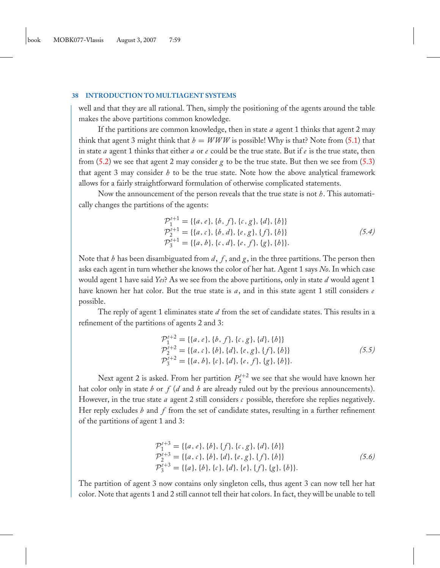well and that they are all rational. Then, simply the positioning of the agents around the table makes the above partitions common knowledge.

If the partitions are common knowledge, then in state *a* agent 1 thinks that agent 2 may think that agent 3 might think that  $h = WWW$  is possible! Why is that? Note from [\(5.1\)](#page-48-1) that in state *a* agent 1 thinks that either *a* or *e* could be the true state. But if *e* is the true state, then from  $(5.2)$  we see that agent 2 may consider *g* to be the true state. But then we see from  $(5.3)$ that agent 3 may consider  $h$  to be the true state. Note how the above analytical framework allows for a fairly straightforward formulation of otherwise complicated statements.

Now the announcement of the person reveals that the true state is not *h*. This automatically changes the partitions of the agents:

$$
\mathcal{P}_{1}^{t+1} = \{\{a, e\}, \{b, f\}, \{c, g\}, \{d\}, \{b\}\}\
$$
  
\n
$$
\mathcal{P}_{2}^{t+1} = \{\{a, c\}, \{b, d\}, \{e, g\}, \{f\}, \{b\}\}\
$$
  
\n
$$
\mathcal{P}_{3}^{t+1} = \{\{a, b\}, \{c, d\}, \{e, f\}, \{g\}, \{b\}\}.
$$
\n(5.4)

Note that *h* has been disambiguated from *d*, *f* , and *g*, in the three partitions. The person then asks each agent in turn whether she knows the color of her hat. Agent 1 says *No*. In which case would agent 1 have said *Yes*? As we see from the above partitions, only in state *d* would agent 1 have known her hat color. But the true state is *a*, and in this state agent 1 still considers *e* possible.

The reply of agent 1 eliminates state *d* from the set of candidate states. This results in a refinement of the partitions of agents 2 and 3:

$$
\mathcal{P}_{1}^{t+2} = \{\{a, e\}, \{b, f\}, \{c, g\}, \{d\}, \{b\}\}\
$$
  
\n
$$
\mathcal{P}_{2}^{t+2} = \{\{a, c\}, \{b\}, \{d\}, \{e, g\}, \{f\}, \{b\}\}\
$$
  
\n
$$
\mathcal{P}_{3}^{t+2} = \{\{a, b\}, \{c\}, \{d\}, \{e, f\}, \{g\}, \{b\}\}.
$$
\n(5.5)

<span id="page-49-0"></span>Next agent 2 is asked. From her partition  $P_2^{t+2}$  we see that she would have known her hat color only in state  $\phi$  or  $f$  ( $d$  and  $b$  are already ruled out by the previous announcements). However, in the true state  $a$  agent 2 still considers  $c$  possible, therefore she replies negatively. Her reply excludes *b* and *f* from the set of candidate states, resulting in a further refinement of the partitions of agent 1 and 3:

$$
\mathcal{P}_{1}^{t+3} = \{\{a, e\}, \{b\}, \{f\}, \{c, g\}, \{d\}, \{b\}\}\
$$
  
\n
$$
\mathcal{P}_{2}^{t+3} = \{\{a, c\}, \{b\}, \{d\}, \{e, g\}, \{f\}, \{b\}\}
$$
  
\n
$$
\mathcal{P}_{3}^{t+3} = \{\{a\}, \{b\}, \{c\}, \{d\}, \{e\}, \{f\}, \{g\}, \{b\}\}.
$$
\n(5.6)

The partition of agent 3 now contains only singleton cells, thus agent 3 can now tell her hat color. Note that agents 1 and 2 still cannot tell their hat colors. In fact, they will be unable to tell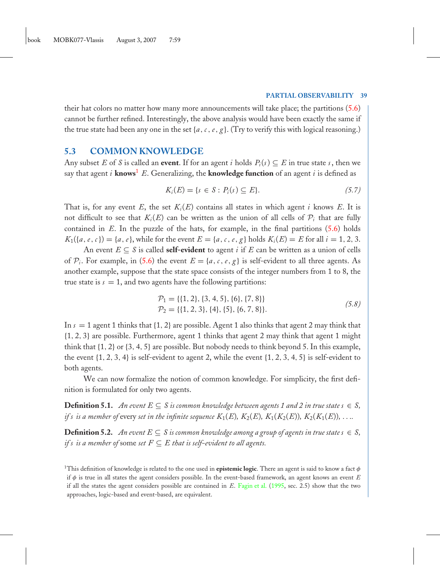## **PARTIAL OBSERVABILITY 39**

their hat colors no matter how many more announcements will take place; the partitions [\(5.6\)](#page-49-0) cannot be further refined. Interestingly, the above analysis would have been exactly the same if the true state had been any one in the set  $\{a, c, e, g\}$ . (Try to verify this with logical reasoning.)

## **5.3 COMMON KNOWLEDGE**

Any subset *E* of *S* is called an **event**. If for an agent *i* holds  $P_i(s) \subseteq E$  in true state *s*, then we say that agent *i* **knows**<sup>[1](#page-50-0)</sup> *E*. Generalizing, the **knowledge function** of an agent *i* is defined as

$$
K_i(E) = \{ s \in S : P_i(s) \subseteq E \}. \tag{5.7}
$$

That is, for any event E, the set  $K_i(E)$  contains all states in which agent *i* knows E. It is not difficult to see that  $K_i(E)$  can be written as the union of all cells of  $\mathcal{P}_i$  that are fully contained in *E*. In the puzzle of the hats, for example, in the final partitions [\(5.6\)](#page-49-0) holds  $K_1({a, e, c}) = {a, e}$ , while for the event  $E = {a, c, e, g}$  holds  $K_i(E) = E$  for all  $i = 1, 2, 3$ .

An event  $E \subseteq S$  is called **self-evident** to agent *i* if  $E$  can be written as a union of cells of  $P_i$ . For example, in [\(5.6\)](#page-49-0) the event  $E = \{a, c, e, g\}$  is self-evident to all three agents. As another example, suppose that the state space consists of the integer numbers from 1 to 8, the true state is  $s = 1$ , and two agents have the following partitions:

$$
\mathcal{P}_1 = \{ \{1, 2\}, \{3, 4, 5\}, \{6\}, \{7, 8\} \} \n\mathcal{P}_2 = \{ \{1, 2, 3\}, \{4\}, \{5\}, \{6, 7, 8\} \}.
$$
\n(5.8)

In  $s = 1$  agent 1 thinks that  $\{1, 2\}$  are possible. Agent 1 also thinks that agent 2 may think that {1, 2, 3} are possible. Furthermore, agent 1 thinks that agent 2 may think that agent 1 might think that  $\{1, 2\}$  or  $\{3, 4, 5\}$  are possible. But nobody needs to think beyond 5. In this example, the event  $\{1, 2, 3, 4\}$  is self-evident to agent 2, while the event  $\{1, 2, 3, 4, 5\}$  is self-evident to both agents.

We can now formalize the notion of common knowledge. For simplicity, the first definition is formulated for only two agents.

**Definition 5.1.** *An event*  $E \subseteq S$  *is common knowledge between agents* 1 and 2 *in true state s* ∈ *S*, *if s is a member of every set in the infinite sequence*  $K_1(E)$ ,  $K_2(E)$ ,  $K_1(K_2(E))$ ,  $K_2(K_1(E))$ , ....

<span id="page-50-1"></span>**Definition 5.2.** *An event*  $E \subseteq S$  *is common knowledge among a group of agents in true state*  $s \in S$ *, if s is a member of* some *set*  $F \subseteq E$  *that is self-evident to all agents.* 

<span id="page-50-0"></span><sup>&</sup>lt;sup>1</sup>This definition of knowledge is related to the one used in **epistemic logic**. There an agent is said to know a fact  $\phi$ if  $\phi$  is true in all states the agent considers possible. In the event-based framework, an agent knows an event *E* if all the states the agent considers possible are contained in *E*. [Fagin et al.](#page-75-4) [\(1995](#page-75-4), sec. 2.5) show that the two approaches, logic-based and event-based, are equivalent.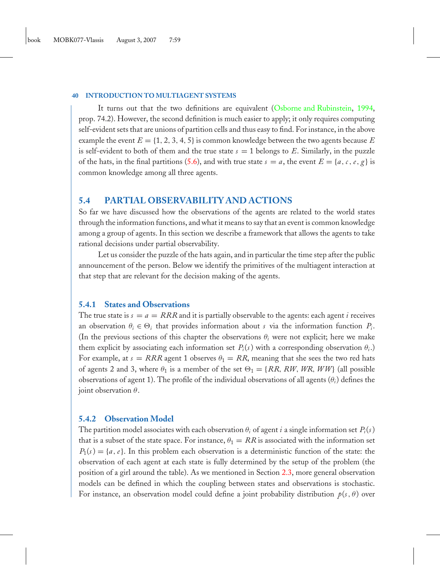It turns out that the two definitions are equivalent [\(Osborne and Rubinstein,](#page-78-3) [1994](#page-78-3), prop. 74.2). However, the second definition is much easier to apply; it only requires computing self-evident sets that are unions of partition cells and thus easy to find. For instance, in the above example the event  $E = \{1, 2, 3, 4, 5\}$  is common knowledge between the two agents because E is self-evident to both of them and the true state  $s = 1$  belongs to E. Similarly, in the puzzle of the hats, in the final partitions [\(5.6\)](#page-49-0), and with true state  $s = a$ , the event  $E = \{a, c, e, g\}$  is common knowledge among all three agents.

## <span id="page-51-0"></span>**5.4 PARTIAL OBSERVABILITY AND ACTIONS**

So far we have discussed how the observations of the agents are related to the world states through the information functions, and what it means to say that an event is common knowledge among a group of agents. In this section we describe a framework that allows the agents to take rational decisions under partial observability.

Let us consider the puzzle of the hats again, and in particular the time step after the public announcement of the person. Below we identify the primitives of the multiagent interaction at that step that are relevant for the decision making of the agents.

## **5.4.1 States and Observations**

The true state is  $s = a = RRR$  and it is partially observable to the agents: each agent *i* receives an observation  $\theta_i \in \Theta_i$  that provides information about *s* via the information function  $P_i$ . (In the previous sections of this chapter the observations  $\theta_i$  were not explicit; here we make them explicit by associating each information set  $P_i(s)$  with a corresponding observation  $\theta_i$ .) For example, at  $s = RRR$  agent 1 observes  $\theta_1 = RR$ , meaning that she sees the two red hats of agents 2 and 3, where  $\theta_1$  is a member of the set  $\Theta_1 = \{RR, RW, WR, WW\}$  (all possible observations of agent 1). The profile of the individual observations of all agents (θ*i*) defines the joint observation  $\theta$ .

## **5.4.2 Observation Model**

The partition model associates with each observation  $\theta_i$  of agent *i* a single information set  $P_i(s)$ that is a subset of the state space. For instance,  $\theta_1 = RR$  is associated with the information set  $P_1(s) = \{a, e\}$ . In this problem each observation is a deterministic function of the state: the observation of each agent at each state is fully determined by the setup of the problem (the position of a girl around the table). As we mentioned in Section [2.3,](#page-19-0) more general observation models can be defined in which the coupling between states and observations is stochastic. For instance, an observation model could define a joint probability distribution  $p(s, \theta)$  over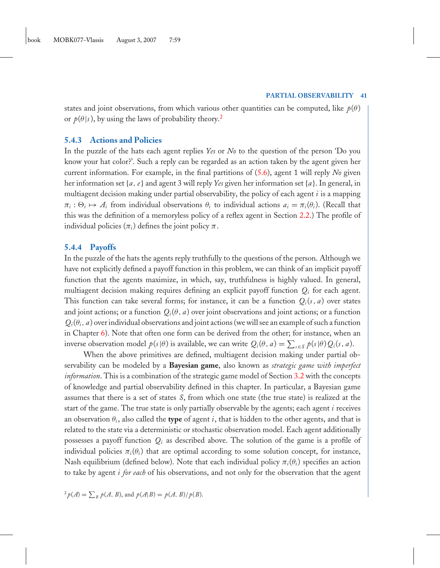#### **PARTIAL OBSERVABILITY 41**

states and joint observations, from which various other quantities can be computed, like  $p(\theta)$ or  $p(\theta|s)$ , by using the laws of probability theory.<sup>[2](#page-52-0)</sup>

## **5.4.3 Actions and Policies**

In the puzzle of the hats each agent replies *Yes* or *No* to the question of the person 'Do you know your hat color?'. Such a reply can be regarded as an action taken by the agent given her current information. For example, in the final partitions of [\(5.6\)](#page-49-0), agent 1 will reply *No* given her information set {*a*,*e*} and agent 3 will reply *Yes* given her information set {*a*}. In general, in multiagent decision making under partial observability, the policy of each agent *i* is a mapping  $\pi_i : \Theta_i \mapsto A_i$  from individual observations  $\theta_i$  to individual actions  $a_i = \pi_i(\theta_i)$ . (Recall that this was the definition of a memoryless policy of a reflex agent in Section [2.2.](#page-18-0)) The profile of individual policies  $(\pi_i)$  defines the joint policy  $\pi$ .

## **5.4.4 Payoffs**

In the puzzle of the hats the agents reply truthfully to the questions of the person. Although we have not explicitly defined a payoff function in this problem, we can think of an implicit payoff function that the agents maximize, in which, say, truthfulness is highly valued. In general, multiagent decision making requires defining an explicit payoff function *Qi* for each agent. This function can take several forms; for instance, it can be a function  $Q_i(s, a)$  over states and joint actions; or a function  $Q_i(\theta, a)$  over joint observations and joint actions; or a function  $Q_i(\theta_i, a)$  over individual observations and joint actions (we will see an example of such a function in Chapter [6\)](#page-56-0). Note that often one form can be derived from the other; for instance, when an inverse observation model  $p(s|\theta)$  is available, we can write  $Q_i(\theta, a) = \sum_{s \in S} p(s|\theta) Q_i(s, a)$ .

When the above primitives are defined, multiagent decision making under partial observability can be modeled by a **Bayesian game**, also known as *strategic game with imperfect information*. This is a combination of the strategic game model of Section [3.2](#page-27-0) with the concepts of knowledge and partial observability defined in this chapter. In particular, a Bayesian game assumes that there is a set of states *S*, from which one state (the true state) is realized at the start of the game. The true state is only partially observable by the agents; each agent *i* receives an observation  $\theta_i$ , also called the **type** of agent *i*, that is hidden to the other agents, and that is related to the state via a deterministic or stochastic observation model. Each agent additionally possesses a payoff function *Qi* as described above. The solution of the game is a profile of individual policies  $\pi_i(\theta_i)$  that are optimal according to some solution concept, for instance, Nash equilibrium (defined below). Note that each individual policy  $\pi_i(\theta_i)$  specifies an action to take by agent *i for each* of his observations, and not only for the observation that the agent

<span id="page-52-0"></span>
$$
{}^{2}p(A) = \sum_{B} p(A, B), \text{ and } p(A|B) = p(A, B)/p(B).
$$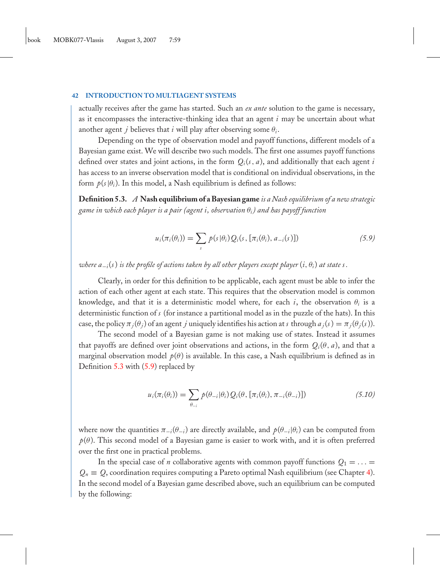actually receives after the game has started. Such an *ex ante* solution to the game is necessary, as it encompasses the interactive-thinking idea that an agent *i* may be uncertain about what another agent *j* believes that *i* will play after observing some  $\theta_i$ .

Depending on the type of observation model and payoff functions, different models of a Bayesian game exist. We will describe two such models. The first one assumes payoff functions defined over states and joint actions, in the form  $Q_i(s, a)$ , and additionally that each agent *i* has access to an inverse observation model that is conditional on individual observations, in the form  $p(s|\theta_i)$ . In this model, a Nash equilibrium is defined as follows:

<span id="page-53-0"></span>**Definition 5.3.** *A* **Nash equilibrium of a Bayesian game** *is a Nash equilibrium of a new strategic game in which each player is a pair (agent i, observation* θ*i) and has payoff function*

<span id="page-53-1"></span>
$$
u_i(\pi_i(\theta_i)) = \sum_s \rho(s|\theta_i) Q_i(s, [\pi_i(\theta_i), a_{-i}(s)]) \qquad (5.9)
$$

*where a*<sup>−</sup>*i*(*s*) *is the profile of actions taken by all other players except player* (*i*, θ*i*) *at state s .*

Clearly, in order for this definition to be applicable, each agent must be able to infer the action of each other agent at each state. This requires that the observation model is common knowledge, and that it is a deterministic model where, for each *i*, the observation  $\theta_i$  is a deterministic function of *s* (for instance a partitional model as in the puzzle of the hats). In this case, the policy  $\pi_j(\theta_j)$  of an agent *j* uniquely identifies his action at *s* through  $a_j(s) = \pi_j(\theta_j(s))$ .

The second model of a Bayesian game is not making use of states. Instead it assumes that payoffs are defined over joint observations and actions, in the form  $Q_i(\theta, a)$ , and that a marginal observation model  $p(\theta)$  is available. In this case, a Nash equilibrium is defined as in Definition [5.3](#page-53-0) with [\(5.9\)](#page-53-1) replaced by

<span id="page-53-2"></span>
$$
u_i(\pi_i(\theta_i)) = \sum_{\theta_{-i}} p(\theta_{-i}|\theta_i) Q_i(\theta, [\pi_i(\theta_i), \pi_{-i}(\theta_{-i})])
$$
\n(5.10)

where now the quantities  $\pi_{-i}(\theta_{-i})$  are directly available, and  $p(\theta_{-i}|\theta_i)$  can be computed from  $p(\theta)$ . This second model of a Bayesian game is easier to work with, and it is often preferred over the first one in practical problems.

In the special case of *n* collaborative agents with common payoff functions  $Q_1 = \ldots =$  $Q_n \equiv Q$ , coordination requires computing a Pareto optimal Nash equilibrium (see Chapter [4\)](#page-33-0). In the second model of a Bayesian game described above, such an equilibrium can be computed by the following: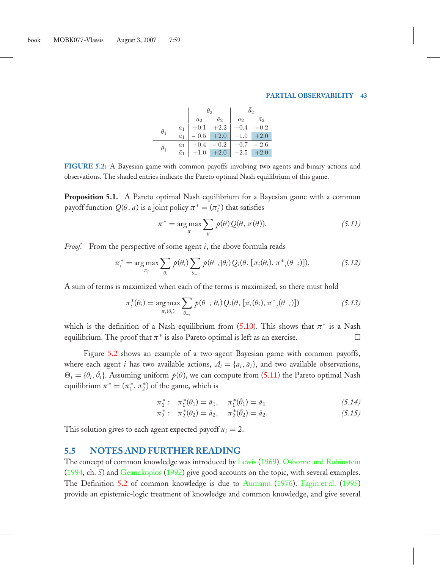#### **PARTIAL OBSERVABILITY 43**

|                  |             |                                                                                                                           | $\theta_2$  | θ0             |    |  |
|------------------|-------------|---------------------------------------------------------------------------------------------------------------------------|-------------|----------------|----|--|
|                  |             | a <sub>2</sub>                                                                                                            | $\bar{a}_2$ | a <sub>2</sub> | āэ |  |
| $\theta_1$       | $a_1$       | $\begin{vmatrix} +0.1 & +2.2 \\ -0.5 & +2.0 \end{vmatrix}$ +0.4 -0.2<br>-0.5 +2.0 +1.0 +2.0                               |             |                |    |  |
|                  | $\bar{a}_1$ |                                                                                                                           |             |                |    |  |
| $\bar{\theta}_1$ | $a_1$       |                                                                                                                           |             |                |    |  |
|                  | $\bar{a}_1$ | $\begin{array}{ l c c c c c } \hline +0.4 & -0.2 & +0.7 & -2.6 \\ \hline +1.0 & +2.0 & +2.5 & +2.0 \\ \hline \end{array}$ |             |                |    |  |

<span id="page-54-0"></span>**FIGURE 5.2:** A Bayesian game with common payoffs involving two agents and binary actions and observations. The shaded entries indicate the Pareto optimal Nash equilibrium of this game.

**Proposition 5.1.** A Pareto optimal Nash equilibrium for a Bayesian game with a common payoff function  $Q(\theta, a)$  is a joint policy  $\pi^* = (\pi_i^*)$  that satisfies

<span id="page-54-1"></span>
$$
\pi^* = \underset{\pi}{\arg \max} \sum_{\theta} p(\theta) Q(\theta, \pi(\theta)). \tag{5.11}
$$

*Proof.* From the perspective of some agent *i*, the above formula reads

$$
\pi_i^* = \underset{\pi_i}{\arg \max} \sum_{\theta_i} p(\theta_i) \sum_{\theta_{-i}} p(\theta_{-i}|\theta_i) Q_i(\theta, [\pi_i(\theta_i), \pi_{-i}^*(\theta_{-i})]). \qquad (5.12)
$$

A sum of terms is maximized when each of the terms is maximized, so there must hold

$$
\pi_i^*(\theta_i) = \underset{\pi_i(\theta_i)}{\arg \max} \sum_{\theta_{-i}} \rho(\theta_{-i}|\theta_i) Q_i(\theta, [\pi_i(\theta_i), \pi_{-i}^*(\theta_{-i})])
$$
\n(5.13)

which is the definition of a Nash equilibrium from [\(5.10\)](#page-53-2). This shows that  $\pi^*$  is a Nash equilibrium. The proof that  $\pi^*$  is also Pareto optimal is left as an exercise.

Figure [5.2](#page-54-0) shows an example of a two-agent Bayesian game with common payoffs, where each agent *i* has two available actions,  $A_i = \{a_i, \bar{a}_i\}$ , and two available observations,  $\Theta_i = {\theta_i, \bar{\theta_i}}$ . Assuming uniform  $p(\theta)$ , we can compute from [\(5.11\)](#page-54-1) the Pareto optimal Nash equilibrium  $\pi^* = (\pi_1^*, \pi_2^*)$  of the game, which is

$$
\pi_1^* : \quad \pi_1^*(\theta_1) = \bar{a}_1, \quad \pi_1^*(\bar{\theta}_1) = \bar{a}_1 \tag{5.14}
$$

$$
\pi_2^* : \quad \pi_2^*(\theta_2) = \bar{a}_2, \quad \pi_2^*(\bar{\theta}_2) = \bar{a}_2. \tag{5.15}
$$

This solution gives to each agent expected payoff  $u_i = 2$ .

## **5.5 NOTES AND FURTHER READING**

The concept of common knowledge was introduced by [Lewis](#page-77-2) [\(1969\)](#page-77-2). [Osborne and Rubinstein](#page-78-3) [\(1994](#page-78-3), ch. 5) and [Geanakoplos](#page-75-5) [\(1992](#page-75-5)) give good accounts on the topic, with several examples. The Definition [5.2](#page-50-1) of common knowledge is due to [Aumann](#page-74-4) [\(1976](#page-74-4)). [Fagin et al.](#page-75-4) [\(1995](#page-75-4)) provide an epistemic-logic treatment of knowledge and common knowledge, and give several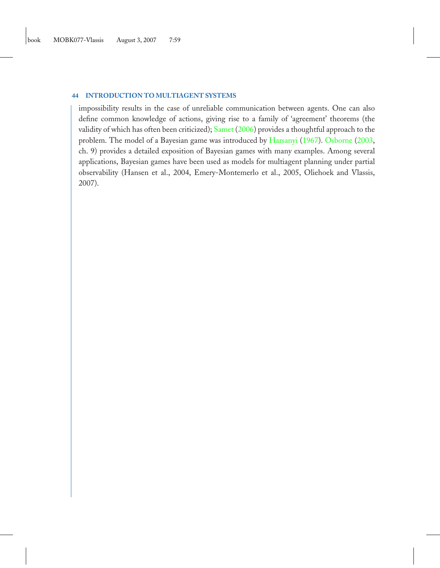impossibility results in the case of unreliable communication between agents. One can also define common knowledge of actions, giving rise to a family of 'agreement' theorems (the validity of which has often been criticized); [Samet](#page-79-3) [\(2006](#page-79-3)) provides a thoughtful approach to the problem. The model of a Bayesian game was introduced by [Harsanyi](#page-76-3) [\(1967](#page-76-3)). [Osborne](#page-78-4) [\(2003](#page-78-4), ch. 9) provides a detailed exposition of Bayesian games with many examples. Among several applications, Bayesian games have been used as models for multiagent planning under partial observability (Hansen et al., 2004, Emery-Montemerlo et al., 2005, Oliehoek and Vlassis, 2007).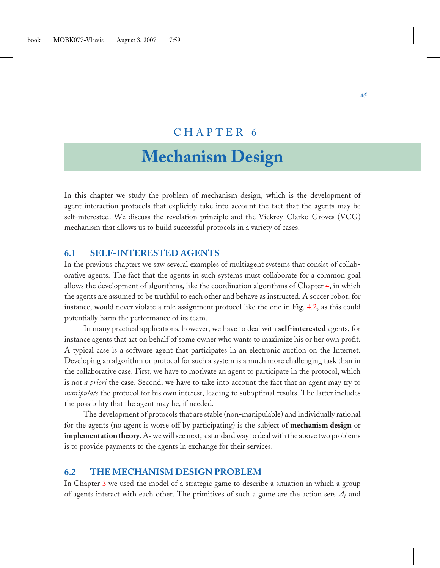## CHAPTER 6

# **Mechanism Design**

<span id="page-56-0"></span>In this chapter we study the problem of mechanism design, which is the development of agent interaction protocols that explicitly take into account the fact that the agents may be self-interested. We discuss the revelation principle and the Vickrey–Clarke–Groves (VCG) mechanism that allows us to build successful protocols in a variety of cases.

## **6.1 SELF-INTERESTED AGENTS**

In the previous chapters we saw several examples of multiagent systems that consist of collaborative agents. The fact that the agents in such systems must collaborate for a common goal allows the development of algorithms, like the coordination algorithms of Chapter [4,](#page-33-0) in which the agents are assumed to be truthful to each other and behave as instructed. A soccer robot, for instance, would never violate a role assignment protocol like the one in Fig. [4.2,](#page-37-0) as this could potentially harm the performance of its team.

In many practical applications, however, we have to deal with **self-interested** agents, for instance agents that act on behalf of some owner who wants to maximize his or her own profit. A typical case is a software agent that participates in an electronic auction on the Internet. Developing an algorithm or protocol for such a system is a much more challenging task than in the collaborative case. First, we have to motivate an agent to participate in the protocol, which is not *a priori* the case. Second, we have to take into account the fact that an agent may try to *manipulate* the protocol for his own interest, leading to suboptimal results. The latter includes the possibility that the agent may lie, if needed.

The development of protocols that are stable (non-manipulable) and individually rational for the agents (no agent is worse off by participating) is the subject of **mechanism design** or **implementation theory**. As we will see next, a standard way to deal with the above two problems is to provide payments to the agents in exchange for their services.

## **6.2 THE MECHANISM DESIGN PROBLEM**

In Chapter [3](#page-25-0) we used the model of a strategic game to describe a situation in which a group of agents interact with each other. The primitives of such a game are the action sets *Ai* and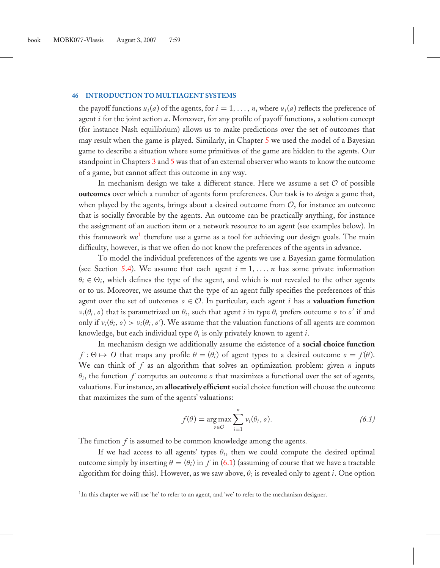the payoff functions  $u_i(a)$  of the agents, for  $i = 1, \ldots, n$ , where  $u_i(a)$  reflects the preference of agent *i* for the joint action *a*. Moreover, for any profile of payoff functions, a solution concept (for instance Nash equilibrium) allows us to make predictions over the set of outcomes that may result when the game is played. Similarly, in Chapter [5](#page-45-0) we used the model of a Bayesian game to describe a situation where some primitives of the game are hidden to the agents. Our standpoint in Chapters [3](#page-25-0) and [5](#page-45-0) was that of an external observer who wants to know the outcome of a game, but cannot affect this outcome in any way.

In mechanism design we take a different stance. Here we assume a set  $\mathcal O$  of possible **outcomes** over which a number of agents form preferences. Our task is to *design* a game that, when played by the agents, brings about a desired outcome from  $\mathcal{O}$ , for instance an outcome that is socially favorable by the agents. An outcome can be practically anything, for instance the assignment of an auction item or a network resource to an agent (see examples below). In this framework we<sup>1</sup> therefore use a game as a tool for achieving our design goals. The main difficulty, however, is that we often do not know the preferences of the agents in advance.

To model the individual preferences of the agents we use a Bayesian game formulation (see Section [5.4\)](#page-51-0). We assume that each agent  $i = 1, \ldots, n$  has some private information  $\theta_i \in \Theta_i$ , which defines the type of the agent, and which is not revealed to the other agents or to us. Moreover, we assume that the type of an agent fully specifies the preferences of this agent over the set of outcomes  $o \in \mathcal{O}$ . In particular, each agent *i* has a **valuation function**  $\nu_i(\theta_i, o)$  that is parametrized on  $\theta_i$ , such that agent *i* in type  $\theta_i$  prefers outcome *o* to *o'* if and only if  $v_i(\theta_i, o) > v_i(\theta_i, o')$ . We assume that the valuation functions of all agents are common knowledge, but each individual type θ*<sup>i</sup>* is only privately known to agent *i*.

In mechanism design we additionally assume the existence of a **social choice function**  $f: \Theta \mapsto O$  that maps any profile  $\theta = (\theta_i)$  of agent types to a desired outcome  $o = f(\theta)$ . We can think of *f* as an algorithm that solves an optimization problem: given *n* inputs  $\theta_i$ , the function f computes an outcome  $\phi$  that maximizes a functional over the set of agents, valuations. For instance, an **allocatively efficient** social choice function will choose the outcome that maximizes the sum of the agents' valuations:

<span id="page-57-1"></span>
$$
f(\theta) = \underset{o \in \mathcal{O}}{\arg \max} \sum_{i=1}^{n} v_i(\theta_i, o). \tag{6.1}
$$

The function *f* is assumed to be common knowledge among the agents.

If we had access to all agents' types  $\theta_i$ , then we could compute the desired optimal outcome simply by inserting  $\theta = (\theta_i)$  in f in [\(6.1\)](#page-57-1) (assuming of course that we have a tractable algorithm for doing this). However, as we saw above, θ*<sup>i</sup>* is revealed only to agent *i*. One option

<span id="page-57-0"></span><sup>&</sup>lt;sup>1</sup>In this chapter we will use 'he' to refer to an agent, and 'we' to refer to the mechanism designer.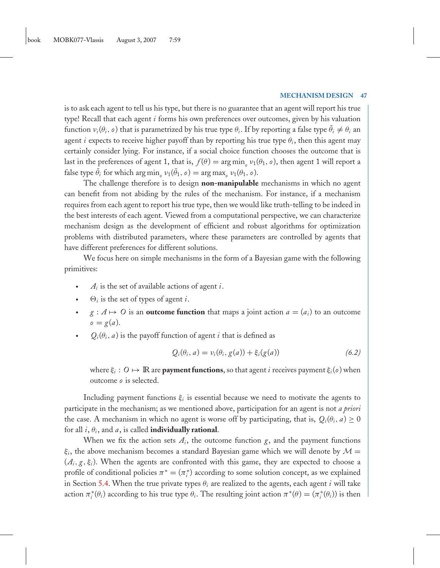### **MECHANISM DESIGN 47**

is to ask each agent to tell us his type, but there is no guarantee that an agent will report his true type! Recall that each agent *i* forms his own preferences over outcomes, given by his valuation function  $v_i(\theta_i, o)$  that is parametrized by his true type  $\theta_i$ . If by reporting a false type  $\tilde{\theta}_i \neq \theta_i$  an agent *i* expects to receive higher payoff than by reporting his true type  $\theta_i$ , then this agent may certainly consider lying. For instance, if a social choice function chooses the outcome that is last in the preferences of agent 1, that is,  $f(\theta) = \arg \min_{\theta} v_1(\theta_1, \theta)$ , then agent 1 will report a false type  $\tilde{\theta}_i$  for which arg min<sub>*o*</sub>  $v_1(\tilde{\theta}_1, \rho) = \arg \max_{\rho} v_1(\theta_1, \rho)$ .

The challenge therefore is to design **non-manipulable** mechanisms in which no agent can benefit from not abiding by the rules of the mechanism. For instance, if a mechanism requires from each agent to report his true type, then we would like truth-telling to be indeed in the best interests of each agent. Viewed from a computational perspective, we can characterize mechanism design as the development of efficient and robust algorithms for optimization problems with distributed parameters, where these parameters are controlled by agents that have different preferences for different solutions.

We focus here on simple mechanisms in the form of a Bayesian game with the following primitives:

- *Ai* is the set of available actions of agent *i*.
- *<sup>i</sup>* is the set of types of agent *i*.
- $g : A \mapsto O$  is an **outcome function** that maps a joint action  $a = (a_i)$  to an outcome  $o = g(a).$
- $Q_i(\theta_i, a)$  is the payoff function of agent *i* that is defined as

<span id="page-58-0"></span>
$$
Q_i(\theta_i, a) = \nu_i(\theta_i, g(a)) + \xi_i(g(a))
$$
\n(6.2)

where  $\xi_i$ :  $O \mapsto \mathbb{R}$  are **payment functions**, so that agent *i* receives payment  $\xi_i$  (*o*) when outcome *o* is selected.

Including payment functions ξ*<sup>i</sup>* is essential because we need to motivate the agents to participate in the mechanism; as we mentioned above, participation for an agent is not *a priori* the case. A mechanism in which no agent is worse off by participating, that is,  $Q_i(\theta_i, a) \geq 0$ for all  $i$ ,  $\theta_i$ , and  $a$ , is called **individually rational**.

When we fix the action sets  $A_i$ , the outcome function  $g$ , and the payment functions  $\xi_i$ , the above mechanism becomes a standard Bayesian game which we will denote by  $\mathcal{M} =$  $(A_i, g, \xi_i)$ . When the agents are confronted with this game, they are expected to choose a profile of conditional policies  $\pi^* = (\pi_i^*)$  according to some solution concept, as we explained in Section [5.4.](#page-51-0) When the true private types θ*<sup>i</sup>* are realized to the agents, each agent *i* will take action  $\pi_i^*(\theta_i)$  according to his true type  $\theta_i$ . The resulting joint action  $\pi^*(\theta) = (\pi_i^*(\theta_i))$  is then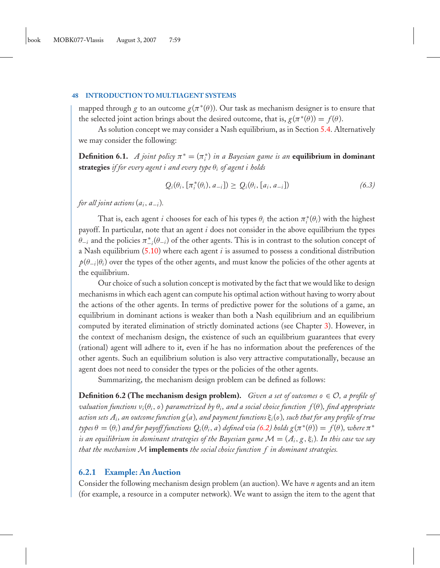mapped through *g* to an outcome  $g(\pi^*(\theta))$ . Our task as mechanism designer is to ensure that the selected joint action brings about the desired outcome, that is,  $g(\pi^*(\theta)) = f(\theta)$ .

As solution concept we may consider a Nash equilibrium, as in Section [5.4.](#page-51-0) Alternatively we may consider the following:

**Definition 6.1.** *A joint policy*  $\pi^* = (\pi_i^*)$  *in a Bayesian game is an* **equilibrium in dominant strategies** *if for every agent i and every type* θ*<sup>i</sup> of agent i holds*

$$
Q_i(\theta_i, [\pi_i^*(\theta_i), a_{-i}]) \ge Q_i(\theta_i, [a_i, a_{-i}])
$$
\n(6.3)

*for all joint actions*  $(a_i, a_{-i})$ .

That is, each agent *i* chooses for each of his types  $\theta_i$  the action  $\pi_i^*(\theta_i)$  with the highest payoff. In particular, note that an agent *i* does not consider in the above equilibrium the types  $\theta_{-i}$  and the policies  $\pi^*_{-i}(\theta_{-i})$  of the other agents. This is in contrast to the solution concept of a Nash equilibrium [\(5.10\)](#page-53-2) where each agent *i* is assumed to possess a conditional distribution  $p(\theta_{-i}|\theta_i)$  over the types of the other agents, and must know the policies of the other agents at the equilibrium.

Our choice of such a solution concept is motivated by the fact that we would like to design mechanisms in which each agent can compute his optimal action without having to worry about the actions of the other agents. In terms of predictive power for the solutions of a game, an equilibrium in dominant actions is weaker than both a Nash equilibrium and an equilibrium computed by iterated elimination of strictly dominated actions (see Chapter [3\)](#page-25-0). However, in the context of mechanism design, the existence of such an equilibrium guarantees that every (rational) agent will adhere to it, even if he has no information about the preferences of the other agents. Such an equilibrium solution is also very attractive computationally, because an agent does not need to consider the types or the policies of the other agents.

Summarizing, the mechanism design problem can be defined as follows:

<span id="page-59-0"></span>**Definition 6.2 (The mechanism design problem).** *Given a set of outcomes o* ∈ O*, a profile of valuation functions* ν*i*(θ*i*,*o*) *parametrized by* θ*<sup>i</sup> , and a social choice function f* (θ)*, find appropriate action sets Ai , an outcome function g*(*a*)*, and payment functions* ξ*i*(*o*)*, such that for any profile of true*  $t$ ypes  $\theta = (\theta_i)$  and for payoff functions  $Q_i(\theta_i, a)$  defined via [\(6.2\)](#page-58-0) holds  $g(\pi^*(\theta)) = f(\theta)$ , where  $\pi^*$ *is an equilibrium in dominant strategies of the Bayesian game*  $\mathcal{M} = (A_i, g, \xi_i)$ . In this case we say *that the mechanism* M **implements** *the social choice function f in dominant strategies.*

## **6.2.1 Example: An Auction**

Consider the following mechanism design problem (an auction). We have *n* agents and an item (for example, a resource in a computer network). We want to assign the item to the agent that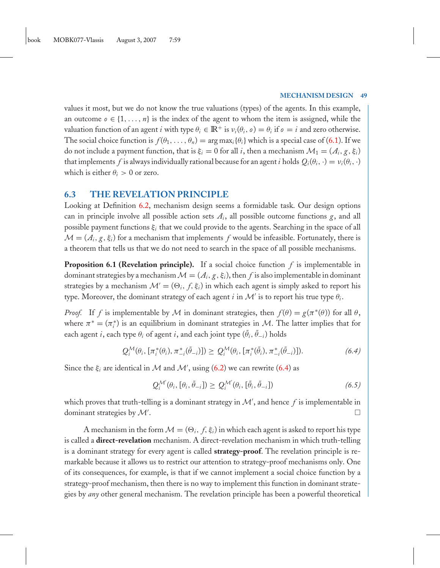#### **MECHANISM DESIGN 49**

values it most, but we do not know the true valuations (types) of the agents. In this example, an outcome  $o \in \{1, \ldots, n\}$  is the index of the agent to whom the item is assigned, while the valuation function of an agent *i* with type  $\theta_i \in \mathbb{R}^+$  is  $\nu_i(\theta_i, \rho) = \theta_i$  if  $\rho = i$  and zero otherwise. The social choice function is  $f(\theta_1,\ldots,\theta_n) = \arg \max_i {\{\theta_i\}}$  which is a special case of [\(6.1\)](#page-57-1). If we do not include a payment function, that is  $\xi_i = 0$  for all *i*, then a mechanism  $\mathcal{M}_1 = (\mathcal{A}_i, g, \xi_i)$ that implements *f* is always individually rational because for an agent *i* holds  $Q_i(\theta_i, \cdot) = v_i(\theta_i, \cdot)$ which is either  $\theta_i > 0$  or zero.

## **6.3 THE REVELATION PRINCIPLE**

Looking at Definition [6.2,](#page-59-0) mechanism design seems a formidable task. Our design options can in principle involve all possible action sets  $A_i$ , all possible outcome functions  $g$ , and all possible payment functions ξ*<sup>i</sup>* that we could provide to the agents. Searching in the space of all  $\mathcal{M} = (\mathcal{A}_i, g, \xi_i)$  for a mechanism that implements f would be infeasible. Fortunately, there is a theorem that tells us that we do not need to search in the space of all possible mechanisms.

**Proposition 6.1 (Revelation principle).** If a social choice function f is implementable in dominant strategies by a mechanism  $\mathcal{M} = (A_i, g, \xi_i)$ , then f is also implementable in dominant strategies by a mechanism  $\mathcal{M}' = (\Theta_i, f, \xi_i)$  in which each agent is simply asked to report his type. Moreover, the dominant strategy of each agent *i* in  $\mathcal{M}'$  is to report his true type  $\theta_i$ .

*Proof.* If *f* is implementable by M in dominant strategies, then  $f(\theta) = g(\pi^*(\theta))$  for all  $\theta$ , where  $\pi^* = (\pi_i^*)$  is an equilibrium in dominant strategies in M. The latter implies that for each agent *i*, each type  $\theta_i$  of agent *i*, and each joint type  $(\tilde{\theta}_i, \tilde{\theta}_{-i})$  holds

$$
Q_i^{\mathcal{M}}(\theta_i, [\pi_i^*(\theta_i), \pi_{-i}^*(\tilde{\theta}_{-i})]) \ge Q_i^{\mathcal{M}}(\theta_i, [\pi_i^*(\tilde{\theta}_i), \pi_{-i}^*(\tilde{\theta}_{-i})]).
$$
\n(6.4)

Since the  $\xi_i$  are identical in M and M', using [\(6.2\)](#page-58-0) we can rewrite [\(6.4\)](#page-60-0) as

<span id="page-60-0"></span>
$$
Q_i^{\mathcal{M}'}(\theta_i, [\theta_i, \tilde{\theta}_{-i}]) \ge Q_i^{\mathcal{M}'}(\theta_i, [\tilde{\theta}_i, \tilde{\theta}_{-i}])
$$
\n(6.5)

which proves that truth-telling is a dominant strategy in  $\mathcal{M}'$ , and hence  $f$  is implementable in dominant strategies by  $\mathcal{M}'$ . . В последните поставите на селото на селото на селото на селото на селото на селото на селото на селото на се<br>Селото на селото на селото на селото на селото на селото на селото на селото на селото на селото на селото на

A mechanism in the form  $M = (\Theta_i, f, \xi_i)$  in which each agent is asked to report his type is called a **direct-revelation** mechanism. A direct-revelation mechanism in which truth-telling is a dominant strategy for every agent is called **strategy-proof**. The revelation principle is remarkable because it allows us to restrict our attention to strategy-proof mechanisms only. One of its consequences, for example, is that if we cannot implement a social choice function by a strategy-proof mechanism, then there is no way to implement this function in dominant strategies by *any* other general mechanism. The revelation principle has been a powerful theoretical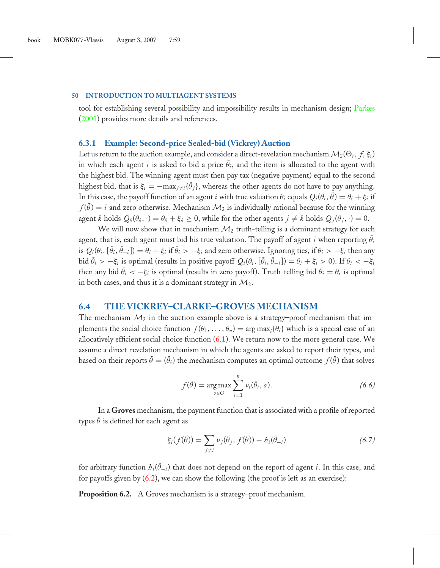tool for establishing several possibility and impossibility results in mechanism design; [Parkes](#page-78-5) [\(2001\)](#page-78-5) provides more details and references.

## **6.3.1 Example: Second-price Sealed-bid (Vickrey) Auction**

Let us return to the auction example, and consider a direct-revelation mechanism  $\mathcal{M}_2(\Theta_i, f, \xi_i)$ in which each agent *i* is asked to bid a price  $\tilde{\theta}_i$ , and the item is allocated to the agent with the highest bid. The winning agent must then pay tax (negative payment) equal to the second highest bid, that is  $\xi_i = -\max_{j\neq i} {\{\tilde{\theta}_j\}}$ , whereas the other agents do not have to pay anything. In this case, the payoff function of an agent *i* with true valuation  $\theta_i$  equals  $Q_i(\theta_i, \tilde{\theta}) = \theta_i + \xi_i$  if  $f(\tilde{\theta}) = i$  and zero otherwise. Mechanism  $\mathcal{M}_2$  is individually rational because for the winning agent *k* holds  $Q_k(\theta_k, \cdot) = \theta_k + \xi_k \geq 0$ , while for the other agents  $j \neq k$  holds  $Q_j(\theta_j, \cdot) = 0$ .

We will now show that in mechanism  $\mathcal{M}_2$  truth-telling is a dominant strategy for each agent, that is, each agent must bid his true valuation. The payoff of agent *i* when reporting  $\tilde{\theta}_i$ is  $Q_i(\theta_i, [\tilde{\theta}_i, \tilde{\theta}_{-i}]) = \theta_i + \xi_i$  if  $\tilde{\theta}_i > -\xi_i$  and zero otherwise. Ignoring ties, if  $\theta_i > -\xi_i$  then any bid  $\tilde{\theta}_i > -\xi_i$  is optimal (results in positive payoff  $Q_i(\theta_i, [\tilde{\theta}_i, \tilde{\theta}_{-i}]) = \theta_i + \xi_i > 0$ ). If  $\theta_i < -\xi_i$ then any bid  $\tilde{\theta}_i < -\xi_i$  is optimal (results in zero payoff). Truth-telling bid  $\tilde{\theta}_i = \theta_i$  is optimal in both cases, and thus it is a dominant strategy in  $\mathcal{M}_2$ .

## **6.4 THE VICKREY–CLARKE–GROVES MECHANISM**

The mechanism  $\mathcal{M}_2$  in the auction example above is a strategy–proof mechanism that implements the social choice function  $f(\theta_1,\ldots,\theta_n) = \arg \max_i {\{\theta_i\}}$  which is a special case of an allocatively efficient social choice function [\(6.1\)](#page-57-1). We return now to the more general case. We assume a direct-revelation mechanism in which the agents are asked to report their types, and based on their reports  $\tilde{\theta} = (\tilde{\theta}_i)$  the mechanism computes an optimal outcome  $f(\tilde{\theta})$  that solves

<span id="page-61-0"></span>
$$
f(\tilde{\theta}) = \underset{o \in \mathcal{O}}{\arg \max} \sum_{i=1}^{n} \nu_i(\tilde{\theta}_i, o). \tag{6.6}
$$

In a **Groves** mechanism, the payment function that is associated with a profile of reported types  $\tilde{\theta}$  is defined for each agent as

<span id="page-61-1"></span>
$$
\xi_i(f(\tilde{\theta})) = \sum_{j \neq i} \nu_j(\tilde{\theta}_j, f(\tilde{\theta})) - b_i(\tilde{\theta}_{-i})
$$
\n(6.7)

for arbitrary function  $h_i(õ−i)$  that does not depend on the report of agent *i*. In this case, and for payoffs given by [\(6.2\)](#page-58-0), we can show the following (the proof is left as an exercise):

**Proposition 6.2.** A Groves mechanism is a strategy–proof mechanism.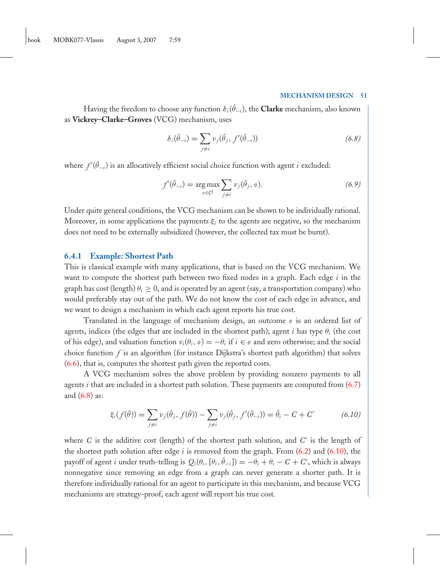#### **MECHANISM DESIGN 51**

Having the freedom to choose any function  $h_i(\tilde{\theta}_{-i})$ , the **Clarke** mechanism, also known as **Vickrey–Clarke–Groves** (VCG) mechanism, uses

<span id="page-62-0"></span>
$$
b_i(\tilde{\theta}_{-i}) = \sum_{j \neq i} v_j(\tilde{\theta}_j, f'(\tilde{\theta}_{-i}))
$$
\n(6.8)

where  $f'(\tilde{\theta}_{-i})$  is an allocatively efficient social choice function with agent *i* excluded:

$$
f'(\tilde{\theta}_{-i}) = \underset{o \in \mathcal{O}}{\arg \max} \sum_{j \neq i} \nu_j(\tilde{\theta}_j, o). \tag{6.9}
$$

Under quite general conditions, the VCG mechanism can be shown to be individually rational. Moreover, in some applications the payments ξ*<sup>i</sup>* to the agents are negative, so the mechanism does not need to be externally subsidized (however, the collected tax must be burnt).

## **6.4.1 Example: Shortest Path**

This is classical example with many applications, that is based on the VCG mechanism. We want to compute the shortest path between two fixed nodes in a graph. Each edge *i* in the graph has cost (length)  $\theta_i \geq 0$ , and is operated by an agent (say, a transportation company) who would preferably stay out of the path. We do not know the cost of each edge in advance, and we want to design a mechanism in which each agent reports his true cost.

Translated in the language of mechanism design, an outcome *o* is an ordered list of agents, indices (the edges that are included in the shortest path); agent *i* has type θ*<sup>i</sup>* (the cost of his edge), and valuation function  $v_i(\theta_i, \rho) = -\theta_i$  if  $i \in \rho$  and zero otherwise; and the social choice function *f* is an algorithm (for instance Dijkstra's shortest path algorithm) that solves [\(6.6\)](#page-61-0), that is, computes the shortest path given the reported costs.

<span id="page-62-1"></span>A VCG mechanism solves the above problem by providing nonzero payments to all agents *i* that are included in a shortest path solution. These payments are computed from [\(6.7\)](#page-61-1) and [\(6.8\)](#page-62-0) as:

$$
\xi_i(f(\tilde{\theta})) = \sum_{j \neq i} \nu_j(\tilde{\theta}_j, f(\tilde{\theta})) - \sum_{j \neq i} \nu_j(\tilde{\theta}_j, f'(\tilde{\theta}_{-i})) = \tilde{\theta}_i - C + C'
$$
(6.10)

where *C* is the additive cost (length) of the shortest path solution, and *C* is the length of the shortest path solution after edge *i* is removed from the graph. From  $(6.2)$  and  $(6.10)$ , the payoff of agent *i* under truth-telling is  $Q_i(\theta_i, [\theta_i, \tilde{\theta}_{-i}]) = -\theta_i + \theta_i - C + C'$ , which is always nonnegative since removing an edge from a graph can never generate a shorter path. It is therefore individually rational for an agent to participate in this mechanism, and because VCG mechanisms are strategy-proof, each agent will report his true cost.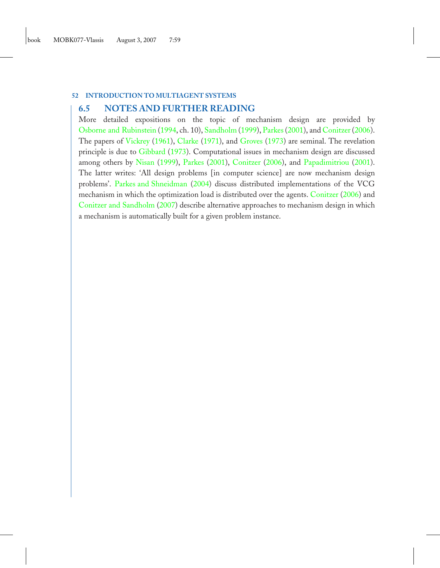## **6.5 NOTES AND FURTHER READING**

More detailed expositions on the topic of mechanism design are provided by [Osborne and Rubinstein](#page-78-3) [\(1994](#page-78-3), ch. 10), [Sandholm](#page-79-4) [\(1999](#page-79-4)), [Parkes](#page-78-5) [\(2001](#page-78-5)), and [Conitzer](#page-75-6) [\(2006\)](#page-75-6). The papers of [Vickrey](#page-80-2) [\(1961](#page-80-2)), [Clarke](#page-75-7) [\(1971](#page-75-7)), and [Groves](#page-76-4) [\(1973\)](#page-76-4) are seminal. The revelation principle is due to [Gibbard](#page-75-8) [\(1973](#page-75-8)). Computational issues in mechanism design are discussed among others by [Nisan](#page-77-3) [\(1999](#page-77-3)), [Parkes](#page-78-5) [\(2001](#page-78-5)), [Conitzer](#page-75-6) [\(2006](#page-75-6)), and [Papadimitriou](#page-78-6) [\(2001\)](#page-78-6). The latter writes: 'All design problems [in computer science] are now mechanism design problems'. [Parkes and Shneidman](#page-78-7) [\(2004\)](#page-78-7) discuss distributed implementations of the VCG mechanism in which the optimization load is distributed over the agents. [Conitzer](#page-75-6) [\(2006](#page-75-6)) and [Conitzer and Sandholm](#page-75-9) [\(2007\)](#page-75-9) describe alternative approaches to mechanism design in which a mechanism is automatically built for a given problem instance.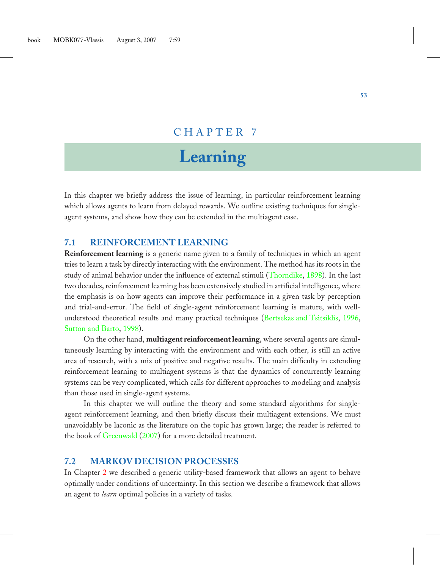## CHAPTER 7

# **Learning**

In this chapter we briefly address the issue of learning, in particular reinforcement learning which allows agents to learn from delayed rewards. We outline existing techniques for singleagent systems, and show how they can be extended in the multiagent case.

## **7.1 REINFORCEMENT LEARNING**

**Reinforcement learning** is a generic name given to a family of techniques in which an agent tries to learn a task by directly interacting with the environment. The method has its roots in the study of animal behavior under the influence of external stimuli [\(Thorndike](#page-80-3), [1898\)](#page-80-3). In the last two decades, reinforcement learning has been extensively studied in artificial intelligence, where the emphasis is on how agents can improve their performance in a given task by perception and trial-and-error. The field of single-agent reinforcement learning is mature, with wellunderstood theoretical results and many practical techniques [\(Bertsekas and Tsitsiklis,](#page-74-5) [1996](#page-74-5), [Sutton and Barto,](#page-80-4) [1998](#page-80-4)).

On the other hand, **multiagent reinforcement learning**, where several agents are simultaneously learning by interacting with the environment and with each other, is still an active area of research, with a mix of positive and negative results. The main difficulty in extending reinforcement learning to multiagent systems is that the dynamics of concurrently learning systems can be very complicated, which calls for different approaches to modeling and analysis than those used in single-agent systems.

In this chapter we will outline the theory and some standard algorithms for singleagent reinforcement learning, and then briefly discuss their multiagent extensions. We must unavoidably be laconic as the literature on the topic has grown large; the reader is referred to the book of [Greenwald](#page-76-5) [\(2007\)](#page-76-5) for a more detailed treatment.

## **7.2 MARKOV DECISION PROCESSES**

In Chapter [2](#page-17-0) we described a generic utility-based framework that allows an agent to behave optimally under conditions of uncertainty. In this section we describe a framework that allows an agent to *learn* optimal policies in a variety of tasks.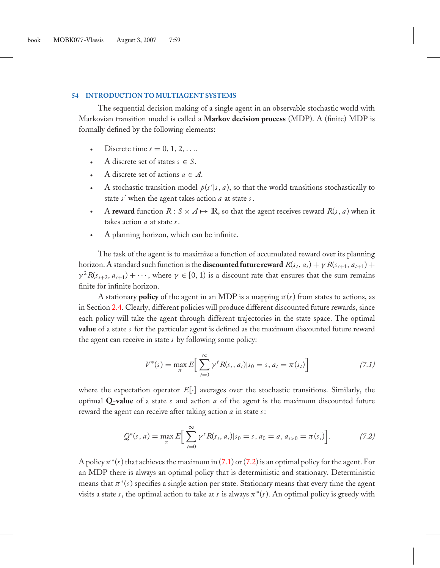The sequential decision making of a single agent in an observable stochastic world with Markovian transition model is called a **Markov decision process** (MDP). A (finite) MDP is formally defined by the following elements:

- Discrete time  $t = 0, 1, 2, ...$
- A discrete set of states  $s \in S$ .
- A discrete set of actions *a* ∈ *A*.
- A stochastic transition model  $p(s'|s, a)$ , so that the world transitions stochastically to state *s* when the agent takes action *a* at state *s* .
- A **reward** function  $R: S \times A \mapsto \mathbb{R}$ , so that the agent receives reward  $R(s, a)$  when it takes action *a* at state *s* .
- A planning horizon, which can be infinite.

The task of the agent is to maximize a function of accumulated reward over its planning horizon. A standard such function is the **discounted future reward**  $R(s_t, a_t) + \gamma R(s_{t+1}, a_{t+1})$  +  $\gamma^2 R(s_{t+2}, a_{t+1}) + \cdots$ , where  $\gamma \in [0, 1)$  is a discount rate that ensures that the sum remains finite for infinite horizon.

A stationary **policy** of the agent in an MDP is a mapping  $\pi(s)$  from states to actions, as in Section [2.4.](#page-21-0) Clearly, different policies will produce different discounted future rewards, since each policy will take the agent through different trajectories in the state space. The optimal **value** of a state *s* for the particular agent is defined as the maximum discounted future reward the agent can receive in state *s* by following some policy:

<span id="page-65-1"></span><span id="page-65-0"></span>
$$
V^*(s) = \max_{\pi} E\bigg[\sum_{t=0}^{\infty} \gamma^t R(s_t, a_t) | s_0 = s, a_t = \pi(s_t)\bigg]
$$
 (7.1)

where the expectation operator  $E[\cdot]$  averages over the stochastic transitions. Similarly, the optimal **Q-value** of a state *s* and action *a* of the agent is the maximum discounted future reward the agent can receive after taking action *a* in state *s* :

$$
Q^*(s, a) = \max_{\pi} E\bigg[\sum_{t=0}^{\infty} \gamma^t R(s_t, a_t) | s_0 = s, a_0 = a, a_{t>0} = \pi(s_t)\bigg].
$$
 (7.2)

A policy  $\pi^*(s)$  that achieves the maximum in [\(7.1\)](#page-65-0) or [\(7.2\)](#page-65-1) is an optimal policy for the agent. For an MDP there is always an optimal policy that is deterministic and stationary. Deterministic means that  $\pi^*(s)$  specifies a single action per state. Stationary means that every time the agent visits a state *s*, the optimal action to take at *s* is always  $\pi^*(s)$ . An optimal policy is greedy with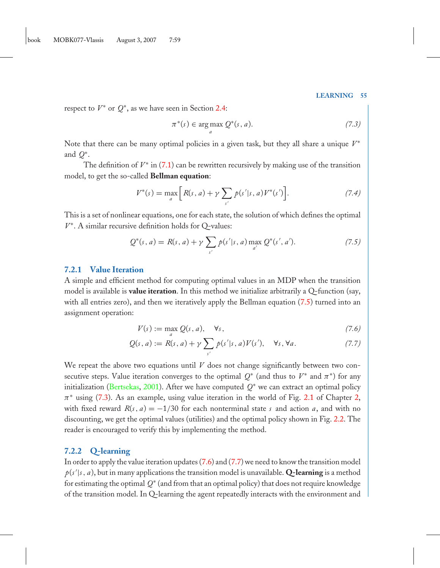#### **LEARNING 55**

respect to  $V^*$  or  $Q^*$ , as we have seen in Section [2.4:](#page-21-0)

<span id="page-66-1"></span>
$$
\pi^*(s) \in \underset{a}{\text{arg max }} Q^*(s, a). \tag{7.3}
$$

Note that there can be many optimal policies in a given task, but they all share a unique  $V^*$ and *Q*<sup>∗</sup>.

The definition of  $V^*$  in [\(7.1\)](#page-65-0) can be rewritten recursively by making use of the transition model, to get the so-called **Bellman equation**:

$$
V^*(s) = \max_{a} \left[ R(s, a) + \gamma \sum_{s'} p(s'|s, a) V^*(s') \right]. \tag{7.4}
$$

This is a set of nonlinear equations, one for each state, the solution of which defines the optimal *V*<sup>∗</sup>. A similar recursive definition holds for Q-values:

<span id="page-66-0"></span>
$$
Q^*(s, a) = R(s, a) + \gamma \sum_{s'} p(s'|s, a) \max_{a'} Q^*(s', a'). \qquad (7.5)
$$

## **7.2.1 Value Iteration**

A simple and efficient method for computing optimal values in an MDP when the transition model is available is **value iteration**. In this method we initialize arbitrarily a Q-function (say, with all entries zero), and then we iteratively apply the Bellman equation [\(7.5\)](#page-66-0) turned into an assignment operation:

<span id="page-66-3"></span><span id="page-66-2"></span>
$$
V(s) := \max_{a} Q(s, a), \quad \forall s,
$$
\n<sup>(7.6)</sup>

$$
Q(s, a) := R(s, a) + \gamma \sum_{s'} p(s'|s, a) V(s'), \quad \forall s, \forall a.
$$
 (7.7)

We repeat the above two equations until *V* does not change significantly between two consecutive steps. Value iteration converges to the optimal  $Q^*$  (and thus to  $V^*$  and  $\pi^*$ ) for any initialization [\(Bertsekas,](#page-74-6) [2001](#page-74-6)). After we have computed *Q*<sup>∗</sup> we can extract an optimal policy  $\pi^*$  using [\(7.3\)](#page-66-1). As an example, using value iteration in the world of Fig. [2.1](#page-22-0) of Chapter [2,](#page-17-0) with fixed reward  $R(s, a) = -1/30$  for each nonterminal state *s* and action *a*, and with no discounting, we get the optimal values (utilities) and the optimal policy shown in Fig. [2.2.](#page-24-0) The reader is encouraged to verify this by implementing the method.

## **7.2.2 Q-learning**

In order to apply the value iteration updates [\(7.6\)](#page-66-2) and [\(7.7\)](#page-66-3) we need to know the transition model *p*(*s* |*s*, *a*), but in many applications the transition model is unavailable. **Q-learning** is a method for estimating the optimal *Q*<sup>∗</sup> (and from that an optimal policy) that does not require knowledge of the transition model. In Q-learning the agent repeatedly interacts with the environment and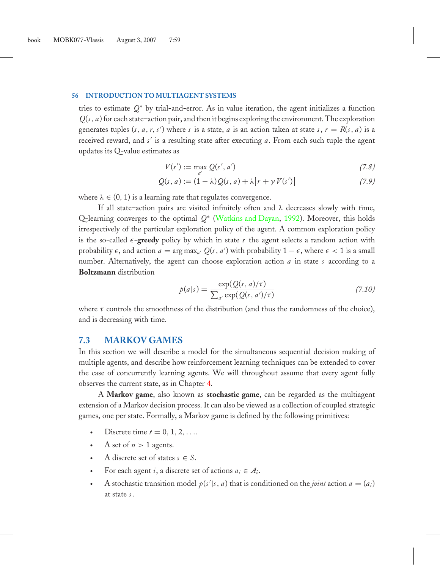tries to estimate *Q*<sup>∗</sup> by trial-and-error. As in value iteration, the agent initializes a function  $Q(s, a)$  for each state–action pair, and then it begins exploring the environment. The exploration generates tuples  $(s, a, r, s')$  where *s* is a state, *a* is an action taken at state *s*,  $r = R(s, a)$  is a received reward, and *s* is a resulting state after executing *a*. From each such tuple the agent updates its Q-value estimates as

<span id="page-67-0"></span>
$$
V(s') := \max_{a'} Q(s', a') \tag{7.8}
$$

$$
Q(s, a) := (1 - \lambda)Q(s, a) + \lambda[r + \gamma V(s')] \qquad (7.9)
$$

where  $\lambda \in (0, 1)$  is a learning rate that regulates convergence.

If all state–action pairs are visited infinitely often and  $\lambda$  decreases slowly with time, Q-learning converges to the optimal *Q*<sup>∗</sup> [\(Watkins and Dayan,](#page-80-5) [1992](#page-80-5)). Moreover, this holds irrespectively of the particular exploration policy of the agent. A common exploration policy is the so-called  $\epsilon$ -greedy policy by which in state s the agent selects a random action with probability  $\epsilon$ , and action  $a = \arg \max_{a'} Q(s, a')$  with probability  $1 - \epsilon$ , where  $\epsilon < 1$  is a small number. Alternatively, the agent can choose exploration action *a* in state *s* according to a **Boltzmann** distribution

$$
p(a|s) = \frac{\exp(Q(s, a)/\tau)}{\sum_{a'} \exp(Q(s, a')/\tau)}
$$
(7.10)

where  $\tau$  controls the smoothness of the distribution (and thus the randomness of the choice), and is decreasing with time.

## **7.3 MARKOV GAMES**

In this section we will describe a model for the simultaneous sequential decision making of multiple agents, and describe how reinforcement learning techniques can be extended to cover the case of concurrently learning agents. We will throughout assume that every agent fully observes the current state, as in Chapter [4.](#page-33-0)

A **Markov game**, also known as **stochastic game**, can be regarded as the multiagent extension of a Markov decision process. It can also be viewed as a collection of coupled strategic games, one per state. Formally, a Markov game is defined by the following primitives:

- Discrete time  $t = 0, 1, 2, \ldots$
- A set of  $n > 1$  agents.
- A discrete set of states  $s \in S$ .
- For each agent *i*, a discrete set of actions  $a_i \in A_i$ .
- A stochastic transition model  $p(s'|s, a)$  that is conditioned on the *joint* action  $a = (a_i)$ at state *s* .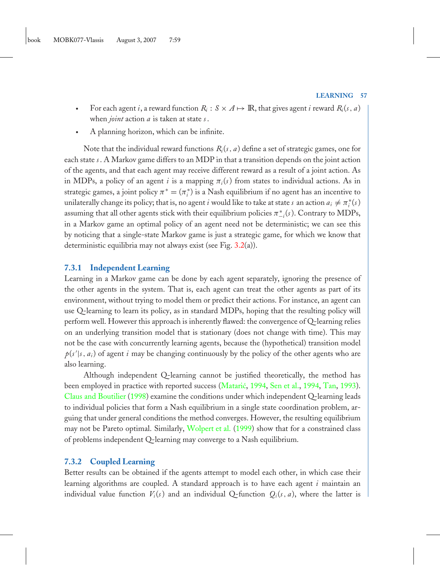### **LEARNING 57**

- For each agent *i*, a reward function  $R_i : S \times A \mapsto \mathbb{R}$ , that gives agent *i* reward  $R_i(s, a)$ when *joint* action *a* is taken at state *s* .
- A planning horizon, which can be infinite.

Note that the individual reward functions  $R_i(s, a)$  define a set of strategic games, one for each state *s* . A Markov game differs to an MDP in that a transition depends on the joint action of the agents, and that each agent may receive different reward as a result of a joint action. As in MDPs, a policy of an agent *i* is a mapping  $\pi_i(s)$  from states to individual actions. As in strategic games, a joint policy  $\pi^* = (\pi_i^*)$  is a Nash equilibrium if no agent has an incentive to unilaterally change its policy; that is, no agent *i* would like to take at state *s* an action  $a_i \neq \pi_i^*(s)$ assuming that all other agents stick with their equilibrium policies  $\pi^*_{-i}(s)$ . Contrary to MDPs, in a Markov game an optimal policy of an agent need not be deterministic; we can see this by noticing that a single-state Markov game is just a strategic game, for which we know that deterministic equilibria may not always exist (see Fig. [3.2\(](#page-28-0)a)).

## **7.3.1 Independent Learning**

Learning in a Markov game can be done by each agent separately, ignoring the presence of the other agents in the system. That is, each agent can treat the other agents as part of its environment, without trying to model them or predict their actions. For instance, an agent can use Q-learning to learn its policy, as in standard MDPs, hoping that the resulting policy will perform well. However this approach is inherently flawed: the convergence of Q-learning relies on an underlying transition model that is stationary (does not change with time). This may not be the case with concurrently learning agents, because the (hypothetical) transition model  $p(s'|s, a_i)$  of agent *i* may be changing continuously by the policy of the other agents who are also learning.

Although independent Q-learning cannot be justified theoretically, the method has been employed in practice with reported success (Matarić, [1994](#page-79-5), [Sen et al.](#page-79-5), 1994, [Tan,](#page-80-6) [1993\)](#page-80-6). [Claus and Boutilier](#page-75-10) [\(1998](#page-75-10)) examine the conditions under which independent Q-learning leads to individual policies that form a Nash equilibrium in a single state coordination problem, arguing that under general conditions the method converges. However, the resulting equilibrium may not be Pareto optimal. Similarly, [Wolpert et al.](#page-81-2) [\(1999](#page-81-2)) show that for a constrained class of problems independent Q-learning may converge to a Nash equilibrium.

#### **7.3.2 Coupled Learning**

Better results can be obtained if the agents attempt to model each other, in which case their learning algorithms are coupled. A standard approach is to have each agent *i* maintain an individual value function  $V_i(s)$  and an individual Q-function  $Q_i(s, a)$ , where the latter is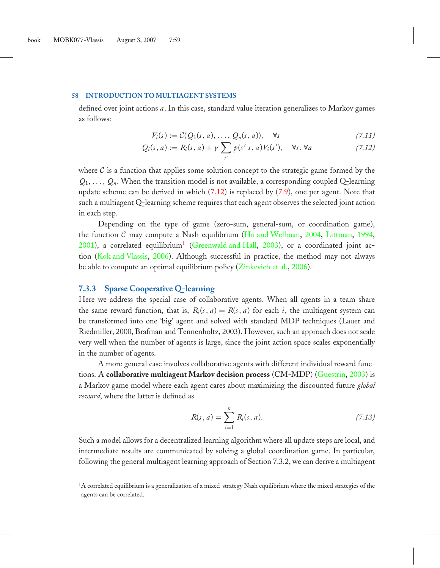defined over joint actions *a*. In this case, standard value iteration generalizes to Markov games as follows:

<span id="page-69-0"></span>
$$
V_i(s) := \mathcal{C}(Q_1(s, a), \dots, Q_n(s, a)), \quad \forall s \tag{7.11}
$$

$$
Q_i(s, a) := R_i(s, a) + \gamma \sum_{s'} p(s'|s, a) V_i(s'), \quad \forall s, \forall a \qquad (7.12)
$$

where  $\mathcal C$  is a function that applies some solution concept to the strategic game formed by the  $Q_1, \ldots, Q_n$ . When the transition model is not available, a corresponding coupled Q-learning update scheme can be derived in which [\(7.12\)](#page-69-0) is replaced by [\(7.9\)](#page-67-0), one per agent. Note that such a multiagent Q-learning scheme requires that each agent observes the selected joint action in each step.

Depending on the type of game (zero-sum, general-sum, or coordination game), the function C may compute a Nash equilibrium [\(Hu and Wellman,](#page-76-6) [2004,](#page-76-6) [Littman](#page-77-5), [1994](#page-77-5),  $2001$ ), a correlated equilibrium<sup>1</sup> [\(Greenwald and Hall](#page-76-7), [2003\)](#page-76-7), or a coordinated joint action [\(Kok and Vlassis,](#page-77-0) [2006\)](#page-77-0). Although successful in practice, the method may not always be able to compute an optimal equilibrium policy [\(Zinkevich et al.](#page-81-3), [2006\)](#page-81-3).

## **7.3.3 Sparse Cooperative Q-learning**

Here we address the special case of collaborative agents. When all agents in a team share the same reward function, that is,  $R_i(s, a) = R(s, a)$  for each *i*, the multiagent system can be transformed into one 'big' agent and solved with standard MDP techniques (Lauer and Riedmiller, 2000, Brafman and Tennenholtz, 2003). However, such an approach does not scale very well when the number of agents is large, since the joint action space scales exponentially in the number of agents.

A more general case involves collaborative agents with different individual reward functions. A **collaborative multiagent Markov decision process** (CM-MDP) [\(Guestrin,](#page-76-8) [2003\)](#page-76-8) is a Markov game model where each agent cares about maximizing the discounted future *global reward*, where the latter is defined as

$$
R(s, a) = \sum_{i=1}^{n} R_i(s, a).
$$
 (7.13)

Such a model allows for a decentralized learning algorithm where all update steps are local, and intermediate results are communicated by solving a global coordination game. In particular, following the general multiagent learning approach of Section 7.3.2, we can derive a multiagent

<span id="page-69-1"></span> $1A$  correlated equilibrium is a generalization of a mixed-strategy Nash equilibrium where the mixed strategies of the agents can be correlated.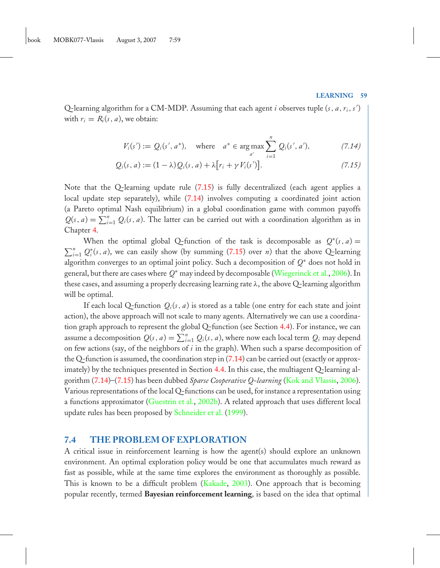#### <span id="page-70-1"></span><span id="page-70-0"></span>**LEARNING 59**

Q-learning algorithm for a CM-MDP. Assuming that each agent *i* observes tuple (*s*, *a*,*ri*, *s* ) with  $r_i = R_i(s, a)$ , we obtain:

$$
V_i(s') := Q_i(s', a^*), \quad \text{where} \quad a^* \in \argmax_{a'} \sum_{i=1}^n Q_i(s', a'), \tag{7.14}
$$

$$
Q_i(s, a) := (1 - \lambda) Q_i(s, a) + \lambda [r_i + \gamma V_i(s')] \tag{7.15}
$$

Note that the Q-learning update rule [\(7.15\)](#page-70-0) is fully decentralized (each agent applies a local update step separately), while [\(7.14\)](#page-70-1) involves computing a coordinated joint action (a Pareto optimal Nash equilibrium) in a global coordination game with common payoffs  $Q(s, a) = \sum_{i=1}^{n} Q_i(s, a)$ . The latter can be carried out with a coordination algorithm as in Chapter [4.](#page-33-0)

When the optimal global Q-function of the task is decomposable as  $Q^*(s, a)$  =  $\sum_{i=1}^{n} Q_i^*(s, a)$ , we can easily show (by summing [\(7.15\)](#page-70-0) over *n*) that the above Q-learning algorithm converges to an optimal joint policy. Such a decomposition of *Q*<sup>∗</sup> does not hold in general, but there are cases where *Q*<sup>∗</sup> may indeed by decomposable [\(Wiegerinck et al.,](#page-80-7) [2006\)](#page-80-7). In these cases, and assuming a properly decreasing learning rate  $\lambda$ , the above Q-learning algorithm will be optimal.

If each local Q-function  $Q_i(s, a)$  is stored as a table (one entry for each state and joint action), the above approach will not scale to many agents. Alternatively we can use a coordination graph approach to represent the global Q-function (see Section [4.4\)](#page-37-1). For instance, we can assume a decomposition  $Q(s, a) = \sum_{i=1}^{n} Q_i(s, a)$ , where now each local term  $Q_i$  may depend on few actions (say, of the neighbors of *i* in the graph). When such a sparse decomposition of the Q-function is assumed, the coordination step in [\(7.14\)](#page-70-1) can be carried out (exactly or approximately) by the techniques presented in Section [4.4.](#page-37-1) In this case, the multiagent Q-learning algorithm [\(7.14\)](#page-70-1)–[\(7.15\)](#page-70-0) has been dubbed *Sparse Cooperative Q-learning* [\(Kok and Vlassis](#page-77-0), [2006\)](#page-77-0). Various representations of the local Q-functions can be used, for instance a representation using a functions approximator [\(Guestrin et al.,](#page-76-9) [2002b\)](#page-76-9). A related approach that uses different local update rules has been proposed by [Schneider et al.](#page-79-6) [\(1999\)](#page-79-6).

## **7.4 THE PROBLEM OF EXPLORATION**

A critical issue in reinforcement learning is how the agent(s) should explore an unknown environment. An optimal exploration policy would be one that accumulates much reward as fast as possible, while at the same time explores the environment as thoroughly as possible. This is known to be a difficult problem [\(Kakade,](#page-76-10) [2003](#page-76-10)). One approach that is becoming popular recently, termed **Bayesian reinforcement learning**, is based on the idea that optimal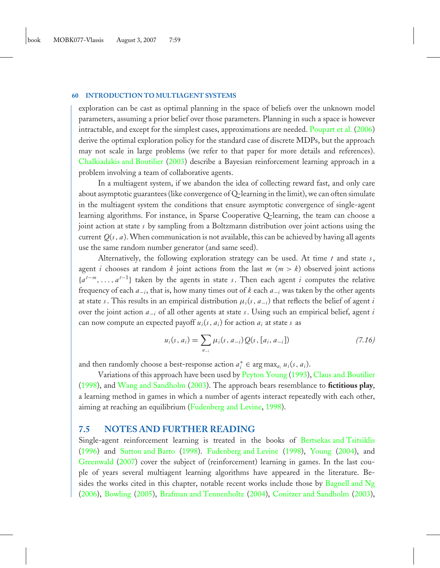exploration can be cast as optimal planning in the space of beliefs over the unknown model parameters, assuming a prior belief over those parameters. Planning in such a space is however intractable, and except for the simplest cases, approximations are needed. [Poupart et al.](#page-78-8) [\(2006](#page-78-8)) derive the optimal exploration policy for the standard case of discrete MDPs, but the approach may not scale in large problems (we refer to that paper for more details and references). [Chalkiadakis and Boutilier](#page-75-11) [\(2003\)](#page-75-11) describe a Bayesian reinforcement learning approach in a problem involving a team of collaborative agents.

In a multiagent system, if we abandon the idea of collecting reward fast, and only care about asymptotic guarantees (like convergence of Q-learning in the limit), we can often simulate in the multiagent system the conditions that ensure asymptotic convergence of single-agent learning algorithms. For instance, in Sparse Cooperative Q-learning, the team can choose a joint action at state *s* by sampling from a Boltzmann distribution over joint actions using the current  $Q(s, a)$ . When communication is not available, this can be achieved by having all agents use the same random number generator (and same seed).

Alternatively, the following exploration strategy can be used. At time *t* and state *s* , agent *i* chooses at random *k* joint actions from the last  $m$  ( $m > k$ ) observed joint actions {*a<sup>t</sup>*−*<sup>m</sup>*,..., *a<sup>t</sup>*−<sup>1</sup>} taken by the agents in state *s* . Then each agent *i* computes the relative frequency of each  $a_{-i}$ , that is, how many times out of  $k$  each  $a_{-i}$  was taken by the other agents at state *s*. This results in an empirical distribution  $\mu_i(s, a_{-i})$  that reflects the belief of agent *i* over the joint action *a*<sup>−</sup>*<sup>i</sup>* of all other agents at state *s* . Using such an empirical belief, agent *i* can now compute an expected payoff  $u_i(s, a_i)$  for action  $a_i$  at state *s* as

$$
u_i(s, a_i) = \sum_{a_{-i}} \mu_i(s, a_{-i}) Q(s, [a_i, a_{-i}])
$$
\n(7.16)

and then randomly choose a best-response action  $a_i^* \in \arg \max_{a_i} u_i(s, a_i)$ .

Variations of this approach have been used by [Peyton Young](#page-78-9) [\(1993\)](#page-78-9), [Claus and Boutilier](#page-75-10) [\(1998](#page-75-10)), and [Wang and Sandholm](#page-80-8) [\(2003](#page-80-8)). The approach bears resemblance to **fictitious play**, a learning method in games in which a number of agents interact repeatedly with each other, aiming at reaching an equilibrium [\(Fudenberg and Levine](#page-75-12), [1998\)](#page-75-12).

## **7.5 NOTES AND FURTHER READING**

Single-agent reinforcement learning is treated in the books of [Bertsekas and Tsitsiklis](#page-74-5) [\(1996\)](#page-74-5) and [Sutton and Barto](#page-80-4) [\(1998](#page-80-4)). [Fudenberg and Levine](#page-75-12) [\(1998](#page-75-12)), [Young](#page-81-4) [\(2004](#page-81-4)), and [Greenwald](#page-76-5) [\(2007\)](#page-76-5) cover the subject of (reinforcement) learning in games. In the last couple of years several multiagent learning algorithms have appeared in the literature. Besides the works cited in this chapter, notable recent works include those by [Bagnell and Ng](#page-74-7) [\(2006\)](#page-74-7), [Bowling](#page-74-8) [\(2005](#page-74-8)), [Brafman and Tennenholtz](#page-74-9) [\(2004](#page-74-9)), [Conitzer and Sandholm](#page-75-13) [\(2003\)](#page-75-13),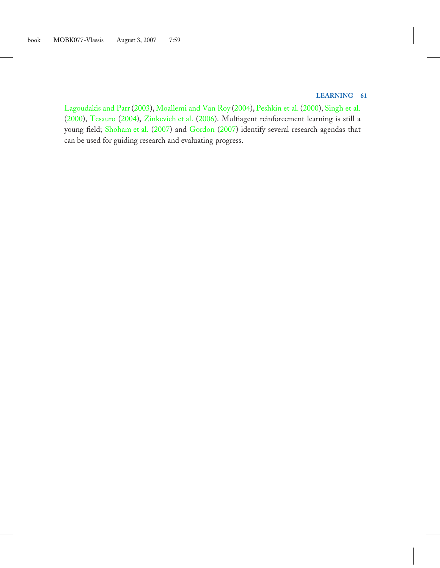## **LEARNING 61**

[Lagoudakis and Parr](#page-77-0) [\(2003\)](#page-77-0), [Moallemi and Van Roy](#page-77-1) [\(2004](#page-77-1)), [Peshkin et al.](#page-78-0) [\(2000\)](#page-78-0), [Singh et al.](#page-79-0) [\(2000](#page-79-0)), [Tesauro](#page-80-0) [\(2004](#page-80-0)), [Zinkevich et al.](#page-81-0) [\(2006](#page-81-0)). Multiagent reinforcement learning is still a young field; [Shoham et al.](#page-79-1) [\(2007](#page-79-1)) and [Gordon](#page-76-0) [\(2007](#page-76-0)) identify several research agendas that can be used for guiding research and evaluating progress.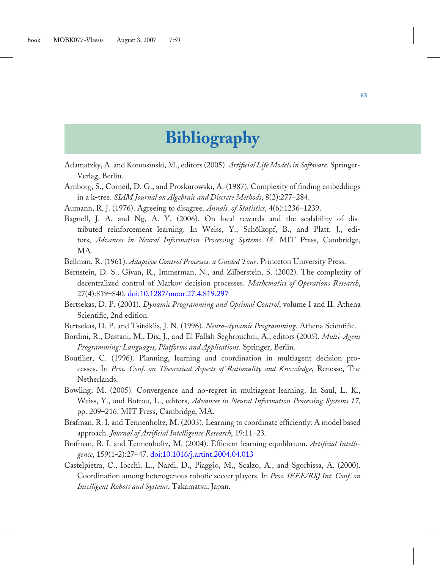## **Bibliography**

- Adamatzky, A. and Komosinski, M., editors (2005). *Artificial Life Models in Software*. Springer-Verlag, Berlin.
- Arnborg, S., Corneil, D. G., and Proskurowski, A. (1987). Complexity of finding embeddings in a k-tree. *SIAM Journal on Algebraic and Discrete Methods*, 8(2):277–284.
- Aumann, R. J. (1976). Agreeing to disagree. *Annals. of Statistics*, 4(6):1236–1239.
- Bagnell, J. A. and Ng, A. Y. (2006). On local rewards and the scalability of distributed reinforcement learning. In Weiss, Y., Scholkopf, B., and Platt, J., edi- ¨ tors, *Advances in Neural Information Processing Systems 18*. MIT Press, Cambridge, MA.
- Bellman, R. (1961). *Adaptive Control Processes: a Guided Tour*. Princeton University Press.
- Bernstein, D. S., Givan, R., Immerman, N., and Zilberstein, S. (2002). The complexity of decentralized control of Markov decision processes. *Mathematics of Operations Research*, 27(4):819–840. [doi:10.1287/moor.27.4.819.297](http://dx.doi.org/10.1287/moor.27.4.819.297)
- Bertsekas, D. P. (2001). *Dynamic Programming and Optimal Control*, volume I and II. Athena Scientific, 2nd edition.
- Bertsekas, D. P. and Tsitsiklis, J. N. (1996). *Neuro-dynamic Programming*. Athena Scientific.
- Bordini, R., Dastani, M., Dix, J., and El Fallah Seghrouchni, A., editors (2005). *Multi-Agent Programming: Languages, Platforms and Applications*. Springer, Berlin.
- Boutilier, C. (1996). Planning, learning and coordination in multiagent decision processes. In *Proc. Conf. on Theoretical Aspects of Rationality and Knowledge*, Renesse, The Netherlands.
- Bowling, M. (2005). Convergence and no-regret in multiagent learning. In Saul, L. K., Weiss, Y., and Bottou, L., editors, *Advances in Neural Information Processing Systems 17*, pp. 209–216. MIT Press, Cambridge, MA.
- Brafman, R. I. and Tennenholtz, M. (2003). Learning to coordinate efficiently: A model based approach. *Journal of Artificial Intelligence Research*, 19:11–23.
- Brafman, R. I. and Tennenholtz, M. (2004). Efficient learning equilibrium. *Artificial Intelligence*, 159(1-2):27–47. [doi:10.1016/j.artint.2004.04.013](http://dx.doi.org/10.1016/j.artint.2004.04.013)
- Castelpietra, C., Iocchi, L., Nardi, D., Piaggio, M., Scalzo, A., and Sgorbissa, A. (2000). Coordination among heterogenous robotic soccer players. In *Proc. IEEE/RSJ Int. Conf. on Intelligent Robots and Systems*, Takamatsu, Japan.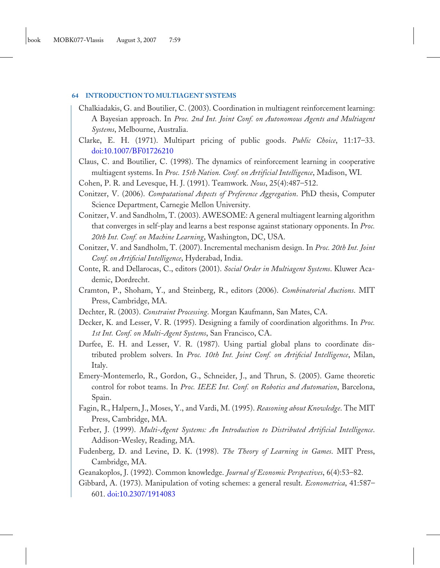- Chalkiadakis, G. and Boutilier, C. (2003). Coordination in multiagent reinforcement learning: A Bayesian approach. In *Proc. 2nd Int. Joint Conf. on Autonomous Agents and Multiagent Systems*, Melbourne, Australia.
- Clarke, E. H. (1971). Multipart pricing of public goods. *Public Choice*, 11:17–33. [doi:10.1007/BF01726210](http://dx.doi.org/10.1007/BF01726210)
- Claus, C. and Boutilier, C. (1998). The dynamics of reinforcement learning in cooperative multiagent systems. In *Proc. 15th Nation. Conf. on Artificial Intelligence*, Madison, WI.
- Cohen, P. R. and Levesque, H. J. (1991). Teamwork. *Nous*, 25(4):487–512.
- Conitzer, V. (2006). *Computational Aspects of Preference Aggregation*. PhD thesis, Computer Science Department, Carnegie Mellon University.
- Conitzer, V. and Sandholm, T. (2003). AWESOME: A general multiagent learning algorithm that converges in self-play and learns a best response against stationary opponents. In *Proc. 20th Int. Conf. on Machine Learning*, Washington, DC, USA.
- Conitzer, V. and Sandholm, T. (2007). Incremental mechanism design. In *Proc. 20th Int. Joint Conf. on Artificial Intelligence*, Hyderabad, India.
- Conte, R. and Dellarocas, C., editors (2001). *Social Order in Multiagent Systems*. Kluwer Academic, Dordrecht.
- Cramton, P., Shoham, Y., and Steinberg, R., editors (2006). *Combinatorial Auctions*. MIT Press, Cambridge, MA.
- Dechter, R. (2003). *Constraint Processing*. Morgan Kaufmann, San Mates, CA.
- Decker, K. and Lesser, V. R. (1995). Designing a family of coordination algorithms. In *Proc. 1st Int. Conf. on Multi-Agent Systems*, San Francisco, CA.
- Durfee, E. H. and Lesser, V. R. (1987). Using partial global plans to coordinate distributed problem solvers. In *Proc. 10th Int. Joint Conf. on Artificial Intelligence*, Milan, Italy.
- Emery-Montemerlo, R., Gordon, G., Schneider, J., and Thrun, S. (2005). Game theoretic control for robot teams. In *Proc. IEEE Int. Conf. on Robotics and Automation*, Barcelona, Spain.
- Fagin, R., Halpern, J., Moses, Y., and Vardi, M. (1995). *Reasoning about Knowledge*. The MIT Press, Cambridge, MA.
- Ferber, J. (1999). *Multi-Agent Systems: An Introduction to Distributed Artificial Intelligence*. Addison-Wesley, Reading, MA.
- Fudenberg, D. and Levine, D. K. (1998). *The Theory of Learning in Games*. MIT Press, Cambridge, MA.
- Geanakoplos, J. (1992). Common knowledge. *Journal of Economic Perspectives*, 6(4):53–82.
- Gibbard, A. (1973). Manipulation of voting schemes: a general result. *Econometrica*, 41:587– 601. [doi:10.2307/1914083](http://dx.doi.org/10.2307/1914083)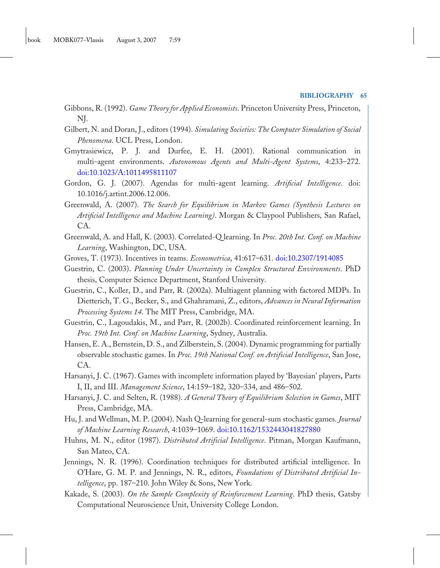#### **BIBLIOGRAPHY 65**

- Gibbons, R. (1992). *Game Theory for Applied Economists*. Princeton University Press, Princeton, NJ.
- Gilbert, N. and Doran, J., editors (1994). *Simulating Societies: The Computer Simulation of Social Phenomena*. UCL Press, London.
- Gmytrasiewicz, P. J. and Durfee, E. H. (2001). Rational communication in multi-agent environments. *Autonomous Agents and Multi-Agent Systems*, 4:233–272. [doi:10.1023/A:1011495811107](http://dx.doi.org/10.1023/A:1011495811107)
- <span id="page-76-0"></span>Gordon, G. J. (2007). Agendas for multi-agent learning. *Artificial Intelligence*. doi: 10.1016/j.artint.2006.12.006.
- Greenwald, A. (2007). *The Search for Equilibrium in Markov Games (Synthesis Lectures on Artificial Intelligence and Machine Learning)*. Morgan & Claypool Publishers, San Rafael, CA.
- Greenwald, A. and Hall, K. (2003). Correlated-Q learning. In *Proc. 20th Int. Conf. on Machine Learning*, Washington, DC, USA.
- Groves, T. (1973). Incentives in teams. *Econometrica*, 41:617–631. [doi:10.2307/1914085](http://dx.doi.org/10.2307/1914085)
- Guestrin, C. (2003). *Planning Under Uncertainty in Complex Structured Environments*. PhD thesis, Computer Science Department, Stanford University.
- Guestrin, C., Koller, D., and Parr, R. (2002a). Multiagent planning with factored MDPs. In Dietterich, T. G., Becker, S., and Ghahramani, Z., editors, *Advances in Neural Information Processing Systems 14*. The MIT Press, Cambridge, MA.
- Guestrin, C., Lagoudakis, M., and Parr, R. (2002b). Coordinated reinforcement learning. In *Proc. 19th Int. Conf. on Machine Learning*, Sydney, Australia.
- Hansen, E. A., Bernstein, D. S., and Zilberstein, S. (2004). Dynamic programming for partially observable stochastic games. In *Proc. 19th National Conf. on Artificial Intelligence*, San Jose, CA.
- Harsanyi, J. C. (1967). Games with incomplete information played by 'Bayesian' players, Parts I, II, and III. *Management Science*, 14:159–182, 320–334, and 486–502.
- Harsanyi, J. C. and Selten, R. (1988). *A General Theory of Equilibrium Selection in Games*, MIT Press, Cambridge, MA.
- Hu, J. and Wellman, M. P. (2004). Nash Q-learning for general-sum stochastic games. *Journal of Machine Learning Research*, 4:1039–1069. [doi:10.1162/1532443041827880](http://dx.doi.org/10.1162/1532443041827880)
- Huhns, M. N., editor (1987). *Distributed Artificial Intelligence*. Pitman, Morgan Kaufmann, San Mateo, CA.
- Jennings, N. R. (1996). Coordination techniques for distributed artificial intelligence. In O'Hare, G. M. P. and Jennings, N. R., editors, *Foundations of Distributed Artificial Intelligence*, pp. 187–210. John Wiley & Sons, New York.
- Kakade, S. (2003). *On the Sample Complexity of Reinforcement Learning*. PhD thesis, Gatsby Computational Neuroscience Unit, University College London.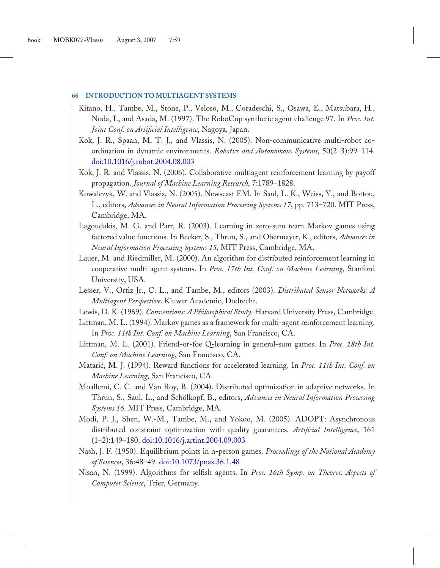- Kitano, H., Tambe, M., Stone, P., Veloso, M., Coradeschi, S., Osawa, E., Matsubara, H., Noda, I., and Asada, M. (1997). The RoboCup synthetic agent challenge 97. In *Proc. Int. Joint Conf. on Artificial Intelligence*, Nagoya, Japan.
- Kok, J. R., Spaan, M. T. J., and Vlassis, N. (2005). Non-communicative multi-robot coordination in dynamic environments. *Robotics and Autonomous Systems*, 50(2–3):99–114. [doi:10.1016/j.robot.2004.08.003](http://dx.doi.org/10.1016/j.robot.2004.08.003)
- Kok, J. R. and Vlassis, N. (2006). Collaborative multiagent reinforcement learning by payoff propagation. *Journal of Machine Learning Research*, 7:1789–1828.
- Kowalczyk, W. and Vlassis, N. (2005). Newscast EM. In Saul, L. K., Weiss, Y., and Bottou, L., editors, *Advances in Neural Information Processing Systems 17*, pp. 713–720. MIT Press, Cambridge, MA.
- <span id="page-77-0"></span>Lagoudakis, M. G. and Parr, R. (2003). Learning in zero-sum team Markov games using factored value functions. In Becker, S., Thrun, S., and Obermayer, K., editors, *Advances in Neural Information Processing Systems 15*, MIT Press, Cambridge, MA.
- Lauer, M. and Riedmiller, M. (2000). An algorithm for distributed reinforcement learning in cooperative multi-agent systems. In *Proc. 17th Int. Conf. on Machine Learning*, Stanford University, USA.
- Lesser, V., Ortiz Jr., C. L., and Tambe, M., editors (2003). *Distributed Sensor Networks: A Multiagent Perspective*. Kluwer Academic, Dodrecht.
- Lewis, D. K. (1969). *Conventions: A Philosophical Study*. Harvard University Press, Cambridge.
- Littman, M. L. (1994). Markov games as a framework for multi-agent reinforcement learning. In *Proc. 11th Int. Conf. on Machine Learning*, San Francisco, CA.
- Littman, M. L. (2001). Friend-or-foe Q-learning in general-sum games. In *Proc. 18th Int. Conf. on Machine Learning*, San Francisco, CA.
- Matarić, M. J. (1994). Reward functions for accelerated learning. In *Proc. 11th Int. Conf. on Machine Learning*, San Francisco, CA.
- <span id="page-77-1"></span>Moallemi, C. C. and Van Roy, B. (2004). Distributed optimization in adaptive networks. In Thrun, S., Saul, L., and Scholkopf, B., editors, ¨ *Advances in Neural Information Processing Systems 16*. MIT Press, Cambridge, MA.
- Modi, P. J., Shen, W.-M., Tambe, M., and Yokoo, M. (2005). ADOPT: Asynchronous distributed constraint optimization with quality guarantees. *Artificial Intelligence*, 161 (1–2):149–180. [doi:10.1016/j.artint.2004.09.003](http://dx.doi.org/10.1016/j.artint.2004.09.003)
- Nash, J. F. (1950). Equilibrium points in n-person games. *Proceedings of the National Academy of Sciences*, 36:48–49. [doi:10.1073/pnas.36.1.48](http://dx.doi.org/10.1073/pnas.36.1.48)
- Nisan, N. (1999). Algorithms for selfish agents. In *Proc. 16th Symp. on Theoret. Aspects of Computer Science*, Trier, Germany.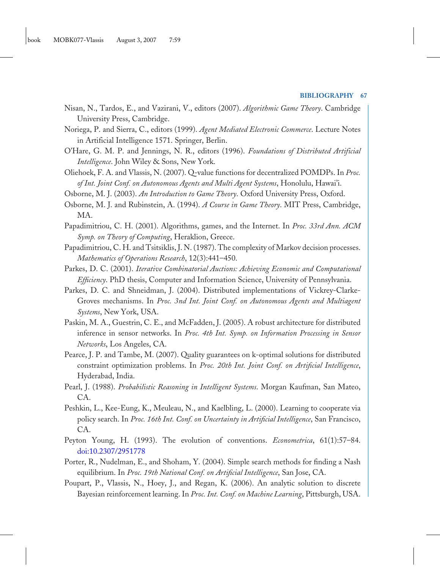#### **BIBLIOGRAPHY 67**

- Nisan, N., Tardos, E., and Vazirani, V., editors (2007). *Algorithmic Game Theory*. Cambridge University Press, Cambridge.
- Noriega, P. and Sierra, C., editors (1999). *Agent Mediated Electronic Commerce*. Lecture Notes in Artificial Intelligence 1571. Springer, Berlin.
- O'Hare, G. M. P. and Jennings, N. R., editors (1996). *Foundations of Distributed Artificial Intelligence*. John Wiley & Sons, New York.
- Oliehoek, F. A. and Vlassis, N. (2007). Q-value functions for decentralized POMDPs. In *Proc. of Int. Joint Conf. on Autonomous Agents and Multi Agent Systems*, Honolulu, Hawai'i.
- Osborne, M. J. (2003). *An Introduction to Game Theory*. Oxford University Press, Oxford.
- Osborne, M. J. and Rubinstein, A. (1994). *A Course in Game Theory*. MIT Press, Cambridge, MA.
- Papadimitriou, C. H. (2001). Algorithms, games, and the Internet. In *Proc. 33rd Ann. ACM Symp. on Theory of Computing*, Heraklion, Greece.
- Papadimitriou, C. H. and Tsitsiklis, J. N. (1987). The complexity of Markov decision processes. *Mathematics of Operations Research*, 12(3):441–450.
- Parkes, D. C. (2001). *Iterative Combinatorial Auctions: Achieving Economic and Computational Efficiency*. PhD thesis, Computer and Information Science, University of Pennsylvania.
- Parkes, D. C. and Shneidman, J. (2004). Distributed implementations of Vickrey-Clarke-Groves mechanisms. In *Proc. 3nd Int. Joint Conf. on Autonomous Agents and Multiagent Systems*, New York, USA.
- Paskin, M. A., Guestrin, C. E., and McFadden, J. (2005). A robust architecture for distributed inference in sensor networks. In *Proc. 4th Int. Symp. on Information Processing in Sensor Networks*, Los Angeles, CA.
- Pearce, J. P. and Tambe, M. (2007). Quality guarantees on k-optimal solutions for distributed constraint optimization problems. In *Proc. 20th Int. Joint Conf. on Artificial Intelligence*, Hyderabad, India.
- Pearl, J. (1988). *Probabilistic Reasoning in Intelligent Systems*. Morgan Kaufman, San Mateo, CA.
- <span id="page-78-0"></span>Peshkin, L., Kee-Eung, K., Meuleau, N., and Kaelbling, L. (2000). Learning to cooperate via policy search. In *Proc. 16th Int. Conf. on Uncertainty in Artificial Intelligence*, San Francisco, CA.
- Peyton Young, H. (1993). The evolution of conventions. *Econometrica*, 61(1):57–84. [doi:10.2307/2951778](http://dx.doi.org/10.2307/2951778)
- Porter, R., Nudelman, E., and Shoham, Y. (2004). Simple search methods for finding a Nash equilibrium. In *Proc. 19th National Conf. on Artificial Intelligence*, San Jose, CA.
- Poupart, P., Vlassis, N., Hoey, J., and Regan, K. (2006). An analytic solution to discrete Bayesian reinforcement learning. In *Proc. Int. Conf. on Machine Learning*, Pittsburgh, USA.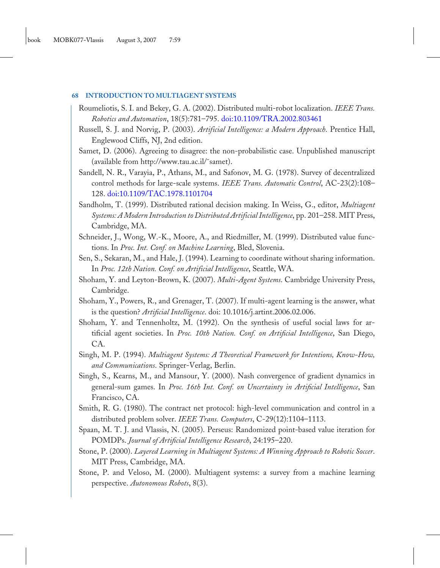- Roumeliotis, S. I. and Bekey, G. A. (2002). Distributed multi-robot localization. *IEEE Trans. Robotics and Automation*, 18(5):781–795. [doi:10.1109/TRA.2002.803461](http://dx.doi.org/10.1109/TRA.2002.803461)
- Russell, S. J. and Norvig, P. (2003). *Artificial Intelligence: a Modern Approach*. Prentice Hall, Englewood Cliffs, NJ, 2nd edition.
- Samet, D. (2006). Agreeing to disagree: the non-probabilistic case. Unpublished manuscript (available from http://www.tau.ac.il/˜samet).
- Sandell, N. R., Varayia, P., Athans, M., and Safonov, M. G. (1978). Survey of decentralized control methods for large-scale systems. *IEEE Trans. Automatic Control*, AC-23(2):108– 128. [doi:10.1109/TAC.1978.1101704](http://dx.doi.org/10.1109/TAC.1978.1101704)
- Sandholm, T. (1999). Distributed rational decision making. In Weiss, G., editor, *Multiagent Systems: A Modern Introduction to Distributed Artificial Intelligence*, pp. 201–258. MIT Press, Cambridge, MA.
- Schneider, J., Wong, W.-K., Moore, A., and Riedmiller, M. (1999). Distributed value functions. In *Proc. Int. Conf. on Machine Learning*, Bled, Slovenia.
- Sen, S., Sekaran, M., and Hale, J. (1994). Learning to coordinate without sharing information. In *Proc. 12th Nation. Conf. on Artificial Intelligence*, Seattle, WA.
- Shoham, Y. and Leyton-Brown, K. (2007). *Multi-Agent Systems*. Cambridge University Press, Cambridge.
- <span id="page-79-1"></span>Shoham, Y., Powers, R., and Grenager, T. (2007). If multi-agent learning is the answer, what is the question? *Artificial Intelligence*. doi: 10.1016/j.artint.2006.02.006.
- Shoham, Y. and Tennenholtz, M. (1992). On the synthesis of useful social laws for artificial agent societies. In *Proc. 10th Nation. Conf. on Artificial Intelligence*, San Diego, CA.
- Singh, M. P. (1994). *Multiagent Systems: A Theoretical Framework for Intentions, Know-How, and Communications*. Springer-Verlag, Berlin.
- <span id="page-79-0"></span>Singh, S., Kearns, M., and Mansour, Y. (2000). Nash convergence of gradient dynamics in general-sum games. In *Proc. 16th Int. Conf. on Uncertainty in Artificial Intelligence*, San Francisco, CA.
- Smith, R. G. (1980). The contract net protocol: high-level communication and control in a distributed problem solver. *IEEE Trans. Computers*, C-29(12):1104–1113.
- Spaan, M. T. J. and Vlassis, N. (2005). Perseus: Randomized point-based value iteration for POMDPs. *Journal of Artificial Intelligence Research*, 24:195–220.
- Stone, P. (2000). *Layered Learning in Multiagent Systems: A Winning Approach to Robotic Soccer*. MIT Press, Cambridge, MA.
- Stone, P. and Veloso, M. (2000). Multiagent systems: a survey from a machine learning perspective. *Autonomous Robots*, 8(3).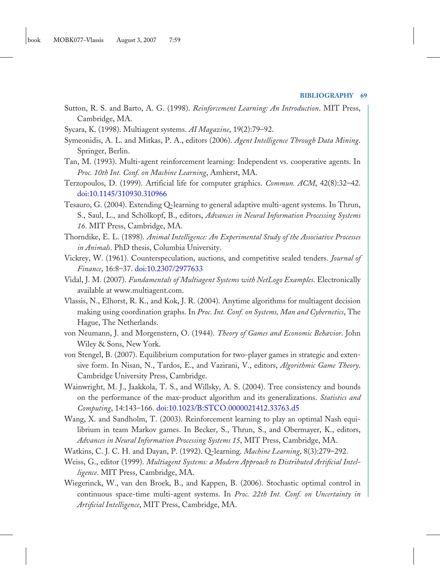- Sutton, R. S. and Barto, A. G. (1998). *Reinforcement Learning: An Introduction*. MIT Press, Cambridge, MA.
- Sycara, K. (1998). Multiagent systems. *AI Magazine*, 19(2):79–92.
- Symeonidis, A. L. and Mitkas, P. A., editors (2006). *Agent Intelligence Through Data Mining*. Springer, Berlin.
- Tan, M. (1993). Multi-agent reinforcement learning: Independent vs. cooperative agents. In *Proc. 10th Int. Conf. on Machine Learning*, Amherst, MA.
- Terzopoulos, D. (1999). Artificial life for computer graphics. *Commun. ACM*, 42(8):32–42. [doi:10.1145/310930.310966](http://dx.doi.org/10.1145/310930.310966)
- <span id="page-80-0"></span>Tesauro, G. (2004). Extending Q-learning to general adaptive multi-agent systems. In Thrun, S., Saul, L., and Schölkopf, B., editors, *Advances in Neural Information Processing Systems 16*. MIT Press, Cambridge, MA.
- Thorndike, E. L. (1898). *Animal Intelligence: An Experimental Study of the Associative Processes in Animals*. PhD thesis, Columbia University.
- Vickrey, W. (1961). Counterspeculation, auctions, and competitive sealed tenders. *Journal of Finance*, 16:8–37. [doi:10.2307/2977633](http://dx.doi.org/10.2307/2977633)
- Vidal, J. M. (2007). *Fundamentals of Multiagent Systems with NetLogo Examples*. Electronically available at www.multiagent.com.
- Vlassis, N., Elhorst, R. K., and Kok, J. R. (2004). Anytime algorithms for multiagent decision making using coordination graphs. In *Proc. Int. Conf. on Systems, Man and Cybernetics*, The Hague, The Netherlands.
- von Neumann, J. and Morgenstern, O. (1944). *Theory of Games and Economic Behavior*. John Wiley & Sons, New York.
- von Stengel, B. (2007). Equilibrium computation for two-player games in strategic and extensive form. In Nisan, N., Tardos, E., and Vazirani, V., editors, *Algorithmic Game Theory*. Cambridge University Press, Cambridge.
- Wainwright, M. J., Jaakkola, T. S., and Willsky, A. S. (2004). Tree consistency and bounds on the performance of the max-product algorithm and its generalizations. *Statistics and Computing*, 14:143–166. [doi:10.1023/B:STCO.0000021412.33763.d5](http://dx.doi.org/10.1023/B:STCO.0000021412.33763.d5)
- Wang, X. and Sandholm, T. (2003). Reinforcement learning to play an optimal Nash equilibrium in team Markov games. In Becker, S., Thrun, S., and Obermayer, K., editors, *Advances in Neural Information Processing Systems 15*, MIT Press, Cambridge, MA.
- Watkins, C. J. C. H. and Dayan, P. (1992). Q-learning. *Machine Learning*, 8(3):279–292.
- Weiss, G., editor (1999). *Multiagent Systems: a Modern Approach to Distributed Artificial Intelligence*. MIT Press, Cambridge, MA.
- Wiegerinck, W., van den Broek, B., and Kappen, B. (2006). Stochastic optimal control in continuous space-time multi-agent systems. In *Proc. 22th Int. Conf. on Uncertainty in Artificial Intelligence*, MIT Press, Cambridge, MA.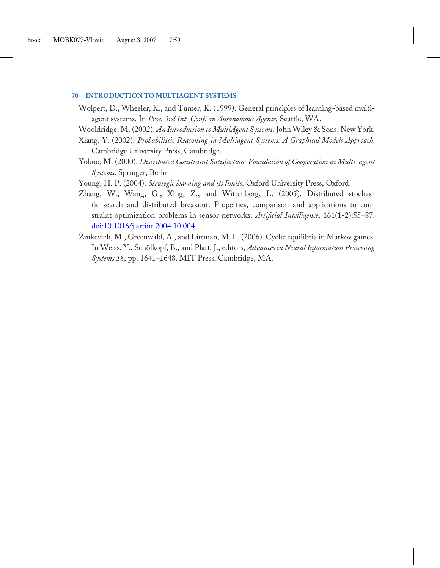- Wolpert, D., Wheeler, K., and Tumer, K. (1999). General principles of learning-based multiagent systems. In *Proc. 3rd Int. Conf. on Autonomous Agents*, Seattle, WA.
- Wooldridge, M. (2002). *An Introduction to MultiAgent Systems*. John Wiley & Sons, New York.
- Xiang, Y. (2002). *Probabilistic Reasoning in Multiagent Systems: A Graphical Models Approach*. Cambridge University Press, Cambridge.
- Yokoo, M. (2000). *Distributed Constraint Satisfaction: Foundation of Cooperation in Multi-agent Systems*. Springer, Berlin.
- Young, H. P. (2004). *Strategic learning and its limits*. Oxford University Press, Oxford.
- Zhang, W., Wang, G., Xing, Z., and Wittenberg, L. (2005). Distributed stochastic search and distributed breakout: Properties, comparison and applications to constraint optimization problems in sensor networks. *Artificial Intelligence*, 161(1-2):55–87. [doi:10.1016/j.artint.2004.10.004](http://dx.doi.org/10.1016/j.artint.2004.10.004)
- <span id="page-81-0"></span>Zinkevich, M., Greenwald, A., and Littman, M. L. (2006). Cyclic equilibria in Markov games. In Weiss, Y., Schölkopf, B., and Platt, J., editors, *Advances in Neural Information Processing Systems 18*, pp. 1641–1648. MIT Press, Cambridge, MA.